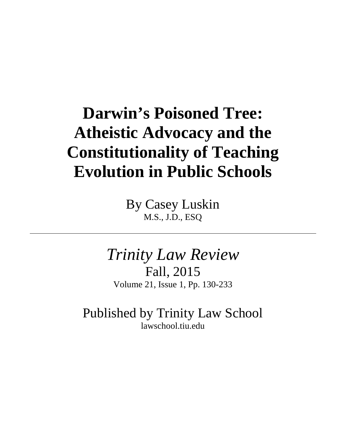# **Darwin's Poisoned Tree: Atheistic Advocacy and the Constitutionality of Teaching Evolution in Public Schools**

By Casey Luskin M.S., J.D., ESQ

*Trinity Law Review* Fall, 2015 Volume 21, Issue 1, Pp. 130-233

Published by Trinity Law School lawschool.tiu.edu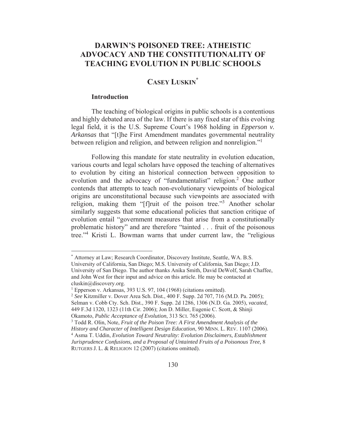# **DARWIN'S POISONED TREE: ATHEISTIC** ADVOCACY AND THE CONSTITUTIONALITY OF **TEACHING EVOLUTION IN PUBLIC SCHOOLS**

# **CASEY LUSKIN**\*

#### **Introduction**

The teaching of biological origins in public schools is a contentious and highly debated area of the law. If there is any fixed star of this evolving legal field, it is the U.S. Supreme Court's 1968 holding in *Epperson v*. Arkansas that "[t]he First Amendment mandates governmental neutrality between religion and religion, and between religion and nonreligion."

Following this mandate for state neutrality in evolution education, various courts and legal scholars have opposed the teaching of alternatives to evolution by citing an historical connection between opposition to evolution and the advocacy of "fundamentalist" religion.<sup>2</sup> One author contends that attempts to teach non-evolutionary viewpoints of biological origins are unconstitutional because such viewpoints are associated with religion, making them "[f] ruit of the poison tree."<sup>3</sup> Another scholar similarly suggests that some educational policies that sanction critique of evolution entail "government measures that arise from a constitutionally problematic history" and are therefore "tainted . . . fruit of the poisonous tree."<sup>4</sup> Kristi L. Bowman warns that under current law, the "religious"

<sup>3</sup> Todd R. Olin, Note, Fruit of the Poison Tree: A First Amendment Analysis of the History and Character of Intelligent Design Education, 90 MINN. L. REV. 1107 (2006).

<sup>\*</sup> Attorney at Law; Research Coordinator, Discovery Institute, Seattle, WA. B.S.

University of California, San Diego; M.S. University of California, San Diego; J.D. University of San Diego. The author thanks Anika Smith, David DeWolf, Sarah Chaffee, and John West for their input and advice on this article. He may be contacted at cluskin@discovery.org.

<sup>&</sup>lt;sup>1</sup> Epperson v. Arkansas, 393 U.S. 97, 104 (1968) (citations omitted).

<sup>&</sup>lt;sup>2</sup> See Kitzmiller v. Dover Area Sch. Dist., 400 F. Supp. 2d 707, 716 (M.D. Pa. 2005); Selman v. Cobb Cty. Sch. Dist., 390 F. Supp. 2d 1286, 1306 (N.D. Ga. 2005), vacated, 449 F.3d 1320, 1323 (11th Cir. 2006); Jon D. Miller, Eugenie C. Scott, & Shinji Okamoto, Public Acceptance of Evolution, 313 SCI. 765 (2006).

<sup>&</sup>lt;sup>4</sup> Asma T. Uddin, Evolution Toward Neutrality: Evolution Disclaimers, Establishment Jurisprudence Confusions, and a Proposal of Untainted Fruits of a Poisonous Tree, 8 RUTGERS J. L. & RELIGION 12 (2007) (citations omitted).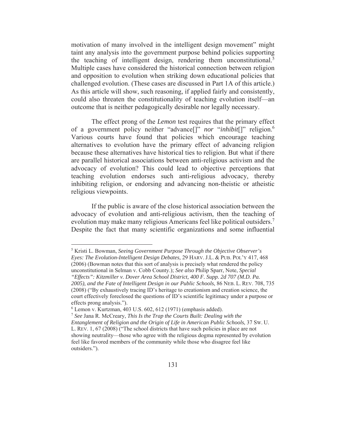motivation of many involved in the intelligent design movement" might taint any analysis into the government purpose behind policies supporting the teaching of intelligent design, rendering them unconstitutional.<sup>5</sup> Multiple cases have considered the historical connection between religion and opposition to evolution when striking down educational policies that challenged evolution. (These cases are discussed in Part 1A of this article.) As this article will show, such reasoning, if applied fairly and consistently, could also threaten the constitutionality of teaching evolution itself—an outcome that is neither pedagogically desirable nor legally necessary.

The effect prong of the *Lemon* test requires that the primary effect of a government policy neither "advance<sup>[]"</sup> *nor* "*inhibit*[]" religion.<sup>6</sup> Various courts have found that policies which encourage teaching alternatives to evolution have the primary effect of advancing religion because these alternatives have historical ties to religion. But what if there are parallel historical associations between anti-religious activism and the advocacy of evolution? This could lead to objective perceptions that teaching evolution endorses such anti-religious advocacy, thereby inhibiting religion, or endorsing and advancing non-theistic or atheistic religious viewpoints.

If the public is aware of the close historical association between the advocacy of evolution and anti-religious activism, then the teaching of evolution may make many religious Americans feel like political outsiders.<sup>7</sup> Despite the fact that many scientific organizations and some influential

"Effects": Kitzmiller v. Dover Area School District, 400 F. Supp. 2d 707 (M.D. Pa. 2005), and the Fate of Intelligent Design in our Public Schools, 86 NEB. L. REV. 708, 735 (2008) ("By exhaustively tracing ID's heritage to creationism and creation science, the

<sup>&</sup>lt;sup>5</sup> Kristi L. Bowman, Seeing Government Purpose Through the Objective Observer's Eyes: The Evolution-Intelligent Design Debates, 29 HARV. J.L. & PUB. POL'Y 417, 468 (2006) (Bowman notes that this sort of analysis is precisely what rendered the policy unconstitutional in Selman v. Cobb County.); See also Philip Sparr, Note, Special

court effectively foreclosed the questions of ID's scientific legitimacy under a purpose or effects prong analysis.").

 $6$  Lemon v. Kurtzman, 403 U.S. 602, 612 (1971) (emphasis added).

<sup>&</sup>lt;sup>7</sup> See Jana R. McCreary, *This Is the Trap the Courts Built: Dealing with the* Entanglement of Religion and the Origin of Life in American Public Schools, 37 Sw. U. L. REV. 1, 67 (2008) ("The school districts that have such policies in place are not showing neutrality—those who agree with the religious dogma represented by evolution feel like favored members of the community while those who disagree feel like outsiders.").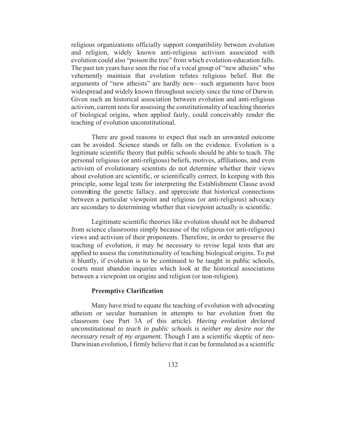religious organizations officially support compatibility between evolution and religion, widely known anti-religious activism associated with evolution could also "poison the tree" from which evolution-education falls. The past ten years have seen the rise of a vocal group of "new atheists" who vehemently maintain that evolution refutes religious belief. But the arguments of "new atheists" are hardly new—such arguments have been widespread and widely known throughout society since the time of Darwin. Given such an historical association between evolution and anti-religious activism, current tests for assessing the constitutionality of teaching theories of biological origins, when applied fairly, could conceivably render the teaching of evolution unconstitutional.

There are good reasons to expect that such an unwanted outcome can be avoided. Science stands or falls on the evidence. Evolution is a legitimate scientific theory that public schools should be able to teach. The personal religious (or anti-religious) beliefs, motives, affiliations, and even activism of evolutionary scientists do not determine whether their views about evolution are scientific, or scientifically correct. In keeping with this principle, some legal tests for interpreting the Establishment Clause avoid committing the genetic fallacy, and appreciate that historical connections between a particular viewpoint and religious (or anti-religious) advocacy are secondary to determining whether that viewpoint actually is scientific.

Legitimate scientific theories like evolution should not be disbarred from science classrooms simply because of the religious (or anti-religious) views and activism of their proponents. Therefore, in order to preserve the teaching of evolution, it may be necessary to revise legal tests that are applied to assess the constitutionality of teaching biological origins. To put it bluntly, if evolution is to be continued to be taught in public schools, courts must abandon inquiries which look at the historical associations between a viewpoint on origins and religion (or non-religion).

#### **Preemptive Clarification**

Many have tried to equate the teaching of evolution with advocating atheism or secular humanism in attempts to bar evolution from the classroom (see Part 3A of this article). Having evolution declared unconstitutional to teach in public schools is neither my desire nor the necessary result of my argument. Though I am a scientific skeptic of neo-Darwinian evolution, I firmly believe that it can be formulated as a scientific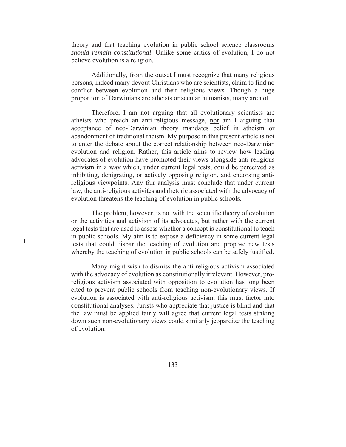theory and that teaching evolution in public school science classrooms should remain constitutional. Unlike some critics of evolution, I do not believe evolution is a religion.

Additionally, from the outset I must recognize that many religious persons, indeed many devout Christians who are scientists, claim to find no conflict between evolution and their religious views. Though a huge proportion of Darwinians are atheists or secular humanists, many are not.

Therefore, I am not arguing that all evolutionary scientists are atheists who preach an anti-religious message, nor am I arguing that acceptance of neo-Darwinian theory mandates belief in atheism or abandonment of traditional theism. My purpose in this present article is not to enter the debate about the correct relationship between neo-Darwinian evolution and religion. Rather, this article aims to review how leading advocates of evolution have promoted their views alongside anti-religious activism in a way which, under current legal tests, could be perceived as inhibiting, denigrating, or actively opposing religion, and endorsing antireligious viewpoints. Any fair analysis must conclude that under current law, the anti-religious activities and rhetoric associated with the advocacy of evolution threatens the teaching of evolution in public schools.

The problem, however, is not with the scientific theory of evolution or the activities and activism of its advocates, but rather with the current legal tests that are used to assess whether a concept is constitutional to teach in public schools. My aim is to expose a deficiency in some current legal tests that could disbar the teaching of evolution and propose new tests whereby the teaching of evolution in public schools can be safely justified.

I

Many might wish to dismiss the anti-religious activism associated with the advocacy of evolution as constitutionally irrelevant. However, proreligious activism associated with opposition to evolution has long been cited to prevent public schools from teaching non-evolutionary views. If evolution is associated with anti-religious activism, this must factor into constitutional analyses. Jurists who appreciate that justice is blind and that the law must be applied fairly will agree that current legal tests striking down such non-evolutionary views could similarly jeopardize the teaching of evolution.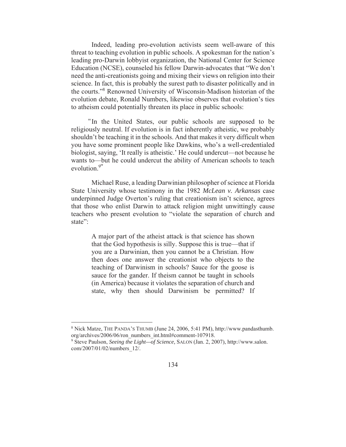Indeed, leading pro-evolution activists seem well-aware of this threat to teaching evolution in public schools. A spokesman for the nation's leading pro-Darwin lobbyist organization, the National Center for Science Education (NCSE), counseled his fellow Darwin-advocates that "We don't need the anti-creationists going and mixing their views on religion into their science. In fact, this is probably the surest path to disaster politically and in the courts."<sup>8</sup> Renowned University of Wisconsin-Madison historian of the evolution debate, Ronald Numbers, likewise observes that evolution's ties to atheism could potentially threaten its place in public schools:

"In the United States, our public schools are supposed to be religiously neutral. If evolution is in fact inherently atheistic, we probably shouldn't be teaching it in the schools. And that makes it very difficult when you have some prominent people like Dawkins, who's a well-credentialed biologist, saying, 'It really is atheistic.' He could undercut—not because he wants to—but he could undercut the ability of American schools to teach evolution.<sup>9"</sup>

Michael Ruse, a leading Darwinian philosopher of science at Florida State University whose testimony in the 1982 McLean v. Arkansas case underpinned Judge Overton's ruling that creationism isn't science, agrees that those who enlist Darwin to attack religion might unwittingly cause teachers who present evolution to "violate the separation of church and state" $\cdot$ 

A major part of the atheist attack is that science has shown that the God hypothesis is silly. Suppose this is true—that if you are a Darwinian, then you cannot be a Christian. How then does one answer the creationist who objects to the teaching of Darwinism in schools? Sauce for the goose is sauce for the gander. If theism cannot be taught in schools (in America) because it violates the separation of church and state, why then should Darwinism be permitted? If

<sup>&</sup>lt;sup>8</sup> Nick Matze, THE PANDA'S THUMB (June 24, 2006, 5:41 PM), http://www.pandasthumb. org/archives/2006/06/ron numbers int.html#comment-107918.

<sup>&</sup>lt;sup>9</sup> Steve Paulson, Seeing the Light-of Science, SALON (Jan. 2, 2007), http://www.salon. com/2007/01/02/numbers 12/.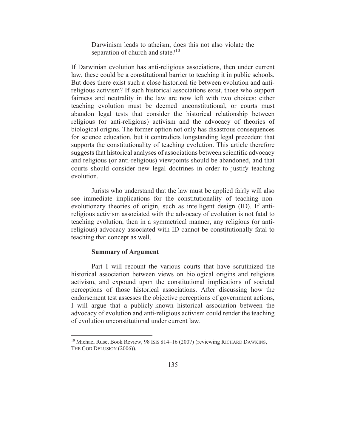Darwinism leads to atheism, does this not also violate the separation of church and state?<sup>10</sup>

If Darwinian evolution has anti-religious associations, then under current law, these could be a constitutional barrier to teaching it in public schools. But does there exist such a close historical tie between evolution and antireligious activism? If such historical associations exist, those who support fairness and neutrality in the law are now left with two choices: either teaching evolution must be deemed unconstitutional, or courts must abandon legal tests that consider the historical relationship between religious (or anti-religious) activism and the advocacy of theories of biological origins. The former option not only has disastrous consequences for science education, but it contradicts longstanding legal precedent that supports the constitutionality of teaching evolution. This article therefore suggests that historical analyses of associations between scientific advocacy and religious (or anti-religious) viewpoints should be abandoned, and that courts should consider new legal doctrines in order to justify teaching evolution

Jurists who understand that the law must be applied fairly will also see immediate implications for the constitutionality of teaching nonevolutionary theories of origin, such as intelligent design (ID). If antireligious activism associated with the advocacy of evolution is not fatal to teaching evolution, then in a symmetrical manner, any religious (or antireligious) advocacy associated with ID cannot be constitutionally fatal to teaching that concept as well.

### **Summary of Argument**

Part I will recount the various courts that have scrutinized the historical association between views on biological origins and religious activism, and expound upon the constitutional implications of societal perceptions of those historical associations. After discussing how the endorsement test assesses the objective perceptions of government actions, I will argue that a publicly-known historical association between the advocacy of evolution and anti-religious activism could render the teaching of evolution unconstitutional under current law

<sup>&</sup>lt;sup>10</sup> Michael Ruse, Book Review, 98 ISIS 814-16 (2007) (reviewing RICHARD DAWKINS, THE GOD DELUSION (2006)).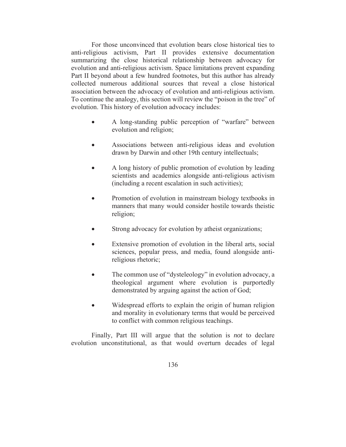For those unconvinced that evolution bears close historical ties to anti-religious activism, Part II provides extensive documentation summarizing the close historical relationship between advocacy for evolution and anti-religious activism. Space limitations prevent expanding Part II beyond about a few hundred footnotes, but this author has already collected numerous additional sources that reveal a close historical association between the advocacy of evolution and anti-religious activism. To continue the analogy, this section will review the "poison in the tree" of evolution. This history of evolution advocacy includes:

- A long-standing public perception of "warfare" between  $\bullet$ evolution and religion;
- Associations between anti-religious ideas and evolution  $\bullet$ drawn by Darwin and other 19th century intellectuals;
- A long history of public promotion of evolution by leading  $\bullet$ scientists and academics alongside anti-religious activism (including a recent escalation in such activities);
- Promotion of evolution in mainstream biology textbooks in manners that many would consider hostile towards theistic religion;
- Strong advocacy for evolution by atheist organizations;
- Extensive promotion of evolution in the liberal arts, social sciences, popular press, and media, found alongside antireligious rhetoric;
- The common use of "dysteleology" in evolution advocacy, a  $\bullet$ theological argument where evolution is purportedly demonstrated by arguing against the action of God;
- Widespread efforts to explain the origin of human religion and morality in evolutionary terms that would be perceived to conflict with common religious teachings.

Finally, Part III will argue that the solution is *not* to declare evolution unconstitutional, as that would overturn decades of legal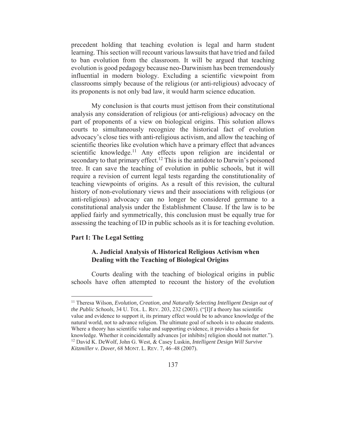precedent holding that teaching evolution is legal and harm student learning. This section will recount various lawsuits that have tried and failed to ban evolution from the classroom. It will be argued that teaching evolution is good pedagogy because neo-Darwinism has been tremendously influential in modern biology. Excluding a scientific viewpoint from classrooms simply because of the religious (or anti-religious) advocacy of its proponents is not only bad law, it would harm science education.

My conclusion is that courts must jettison from their constitutional analysis any consideration of religious (or anti-religious) advocacy on the part of proponents of a view on biological origins. This solution allows courts to simultaneously recognize the historical fact of evolution advocacy's close ties with anti-religious activism, and allow the teaching of scientific theories like evolution which have a primary effect that advances scientific knowledge.<sup>11</sup> Any effects upon religion are incidental or secondary to that primary effect.<sup>12</sup> This is the antidote to Darwin's poisoned tree. It can save the teaching of evolution in public schools, but it will require a revision of current legal tests regarding the constitutionality of teaching viewpoints of origins. As a result of this revision, the cultural history of non-evolutionary views and their associations with religious (or anti-religious) advocacy can no longer be considered germane to a constitutional analysis under the Establishment Clause. If the law is to be applied fairly and symmetrically, this conclusion must be equally true for assessing the teaching of ID in public schools as it is for teaching evolution.

## **Part I: The Legal Setting**

## A. Judicial Analysis of Historical Religious Activism when Dealing with the Teaching of Biological Origins

Courts dealing with the teaching of biological origins in public schools have often attempted to recount the history of the evolution

<sup>&</sup>lt;sup>11</sup> Theresa Wilson, *Evolution, Creation, and Naturally Selecting Intelligent Design out of* the Public Schools, 34 U. TOL. L. REV. 203, 232 (2003). ("[I]f a theory has scientific value and evidence to support it, its primary effect would be to advance knowledge of the natural world, not to advance religion. The ultimate goal of schools is to educate students. Where a theory has scientific value and supporting evidence, it provides a basis for knowledge. Whether it coincidentally advances [or inhibits] religion should not matter."). <sup>12</sup> David K. DeWolf, John G. West, & Casey Luskin, Intelligent Design Will Survive Kitzmiller v. Dover, 68 MONT. L. REV. 7, 46-48 (2007).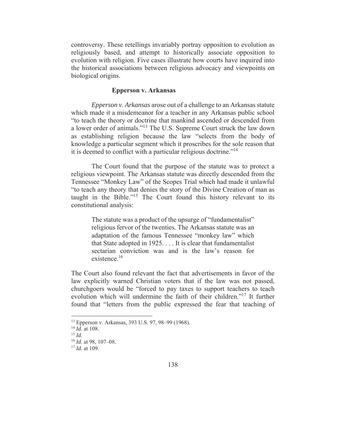controversy. These retellings invariably portray opposition to evolution as religiously based, and attempt to historically associate opposition to evolution with religion. Five cases illustrate how courts have inquired into the historical associations between religious advocacy and viewpoints on biological origins.

#### **Epperson v. Arkansas**

*Epperson v. Arkansas* arose out of a challenge to an Arkansas statute which made it a misdemeanor for a teacher in any Arkansas public school "to teach the theory or doctrine that mankind ascended or descended from a lower order of animals."<sup>13</sup> The U.S. Supreme Court struck the law down as establishing religion because the law "selects from the body of knowledge a particular segment which it proscribes for the sole reason that it is deemed to conflict with a particular religious doctrine."<sup>14</sup>

The Court found that the purpose of the statute was to protect a religious viewpoint. The Arkansas statute was directly descended from the Tennessee "Monkey Law" of the Scopes Trial which had made it unlawful "to teach any theory that denies the story of the Divine Creation of man as taught in the Bible."<sup>15</sup> The Court found this history relevant to its constitutional analysis:

The statute was a product of the upsurge of "fundamentalist" religious fervor of the twenties. The Arkansas statute was an adaptation of the famous Tennessee "monkey law" which that State adopted in  $1925...$  It is clear that fundamentalist sectarian conviction was and is the law's reason for existence. $16$ 

The Court also found relevant the fact that advertisements in favor of the law explicitly warned Christian voters that if the law was not passed, churchgoers would be "forced to pay taxes to support teachers to teach evolution which will undermine the faith of their children."<sup>17</sup> It further found that "letters from the public expressed the fear that teaching of

<sup>&</sup>lt;sup>13</sup> Epperson v. Arkansas, 393 U.S. 97, 98–99 (1968).

 $^{14}$  *Id.* at 108.

 $15$  Id.

 $16$  *Id.* at 98, 107-08.

 $17$  *Id.* at 109.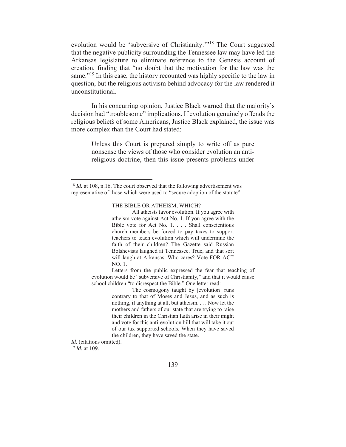evolution would be 'subversive of Christianity.'"<sup>18</sup> The Court suggested that the negative publicity surrounding the Tennessee law may have led the Arkansas legislature to eliminate reference to the Genesis account of creation, finding that "no doubt that the motivation for the law was the same."<sup>19</sup> In this case, the history recounted was highly specific to the law in question, but the religious activism behind advocacy for the law rendered it unconstitutional

In his concurring opinion, Justice Black warned that the majority's decision had "troublesome" implications. If evolution genuinely offends the religious beliefs of some Americans, Justice Black explained, the issue was more complex than the Court had stated:

Unless this Court is prepared simply to write off as pure nonsense the views of those who consider evolution an antireligious doctrine, then this issue presents problems under

THE BIBLE OR ATHEISM, WHICH?

All atheists favor evolution. If you agree with atheism vote against Act No. 1. If you agree with the Bible vote for Act No. 1. . . . Shall conscientious church members be forced to pay taxes to support teachers to teach evolution which will undermine the faith of their children? The Gazette said Russian Bolshevists laughed at Tennessee. True, and that sort will laugh at Arkansas. Who cares? Vote FOR ACT NO. 1.

Letters from the public expressed the fear that teaching of evolution would be "subversive of Christianity," and that it would cause school children "to disrespect the Bible." One letter read:

The cosmogony taught by [evolution] runs contrary to that of Moses and Jesus, and as such is nothing, if anything at all, but atheism... Now let the mothers and fathers of our state that are trying to raise their children in the Christian faith arise in their might and vote for this anti-evolution bill that will take it out of our tax supported schools. When they have saved the children, they have saved the state.

*Id.* (citations omitted).  $^{19}$  *Id.* at 109.

 $18$  *Id.* at 108, n.16. The court observed that the following advertisement was representative of those which were used to "secure adoption of the statute":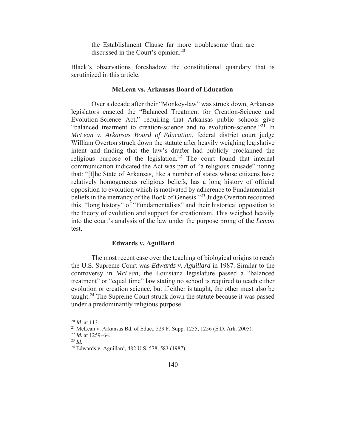the Establishment Clause far more troublesome than are discussed in the Court's opinion. $20$ 

Black's observations foreshadow the constitutional quandary that is scrutinized in this article

#### **McLean vs. Arkansas Board of Education**

Over a decade after their "Monkey-law" was struck down, Arkansas legislators enacted the "Balanced Treatment for Creation-Science and Evolution-Science Act," requiring that Arkansas public schools give "balanced treatment to creation-science and to evolution-science."<sup>21</sup> In McLean v. Arkansas Board of Education, federal district court judge William Overton struck down the statute after heavily weighing legislative intent and finding that the law's drafter had publicly proclaimed the religious purpose of the legislation.<sup>22</sup> The court found that internal communication indicated the Act was part of "a religious crusade" noting that: "[t]he State of Arkansas, like a number of states whose citizens have relatively homogeneous religious beliefs, has a long history of official opposition to evolution which is motivated by adherence to Fundamentalist beliefs in the inerrancy of the Book of Genesis."<sup>23</sup> Judge Overton recounted this "long history" of "Fundamentalists" and their historical opposition to the theory of evolution and support for creationism. This weighed heavily into the court's analysis of the law under the purpose prong of the *Lemon* test.

#### **Edwards v. Aguillard**

The most recent case over the teaching of biological origins to reach the U.S. Supreme Court was *Edwards v. Aguillard* in 1987. Similar to the controversy in *McLean*, the Louisiana legislature passed a "balanced" treatment" or "equal time" law stating no school is required to teach either evolution or creation science, but if either is taught, the other must also be taught.<sup>24</sup> The Supreme Court struck down the statute because it was passed under a predominantly religious purpose.

 $^{20}$  *Id.* at 113

<sup>&</sup>lt;sup>21</sup> McLean v. Arkansas Bd. of Educ., 529 F. Supp. 1255, 1256 (E.D. Ark. 2005).

 $22$  *Id.* at 1259–64.

 $^{23}$  *Id.* 

<sup>&</sup>lt;sup>24</sup> Edwards v. Aguillard, 482 U.S. 578, 583 (1987).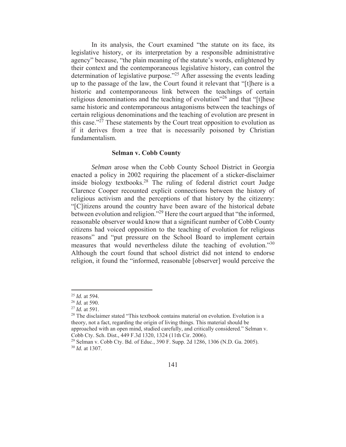In its analysis, the Court examined "the statute on its face, its legislative history, or its interpretation by a responsible administrative agency" because, "the plain meaning of the statute's words, enlightened by their context and the contemporaneous legislative history, can control the determination of legislative purpose."<sup>25</sup> After assessing the events leading up to the passage of the law, the Court found it relevant that "[t]here is a historic and contemporaneous link between the teachings of certain religious denominations and the teaching of evolution<sup>326</sup> and that "[t] hese same historic and contemporaneous antagonisms between the teachings of certain religious denominations and the teaching of evolution are present in this case."<sup>27</sup> These statements by the Court treat opposition to evolution as if it derives from a tree that is necessarily poisoned by Christian fundamentalism.

#### **Selman v. Cobb County**

Selman arose when the Cobb County School District in Georgia enacted a policy in 2002 requiring the placement of a sticker-disclaimer inside biology textbooks.<sup>28</sup> The ruling of federal district court Judge Clarence Cooper recounted explicit connections between the history of religious activism and the perceptions of that history by the citizenry: "[C]itizens around the country have been aware of the historical debate between evolution and religion."<sup>29</sup> Here the court argued that "the informed, reasonable observer would know that a significant number of Cobb County citizens had voiced opposition to the teaching of evolution for religious reasons" and "put pressure on the School Board to implement certain measures that would nevertheless dilute the teaching of evolution."30 Although the court found that school district did not intend to endorse religion, it found the "informed, reasonable [observer] would perceive the

<sup>&</sup>lt;sup>25</sup> *Id.* at 594.

 $26$  *Id.* at 590.

 $^{27}$  *Id.* at 591.

<sup>&</sup>lt;sup>28</sup> The disclaimer stated "This textbook contains material on evolution. Evolution is a theory, not a fact, regarding the origin of living things. This material should be approached with an open mind, studied carefully, and critically considered." Selman v.

Cobb Cty. Sch. Dist., 449 F.3d 1320, 1324 (11th Cir. 2006).

<sup>&</sup>lt;sup>29</sup> Selman v. Cobb Cty. Bd. of Educ., 390 F. Supp. 2d 1286, 1306 (N.D. Ga. 2005).  $30$  *Id.* at 1307.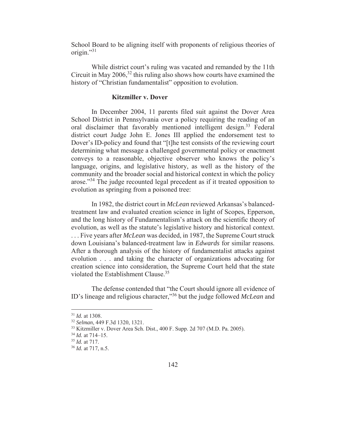School Board to be aligning itself with proponents of religious theories of origin."31

While district court's ruling was vacated and remanded by the 11th Circuit in May  $2006$ <sup>32</sup>, this ruling also shows how courts have examined the history of "Christian fundamentalist" opposition to evolution.

#### **Kitzmiller v. Dover**

In December 2004, 11 parents filed suit against the Dover Area School District in Pennsylvania over a policy requiring the reading of an oral disclaimer that favorably mentioned intelligent design.<sup>33</sup> Federal district court Judge John E. Jones III applied the endorsement test to Dover's ID-policy and found that "[t]he test consists of the reviewing court determining what message a challenged governmental policy or enactment conveys to a reasonable, objective observer who knows the policy's language, origins, and legislative history, as well as the history of the community and the broader social and historical context in which the policy arose."<sup>34</sup> The judge recounted legal precedent as if it treated opposition to evolution as springing from a poisoned tree:

In 1982, the district court in *McLean* reviewed Arkansas's balancedtreatment law and evaluated creation science in light of Scopes, Epperson, and the long history of Fundamentalism's attack on the scientific theory of evolution, as well as the statute's legislative history and historical context. ... Five years after *McLean* was decided, in 1987, the Supreme Court struck down Louisiana's balanced-treatment law in Edwards for similar reasons. After a thorough analysis of the history of fundamentalist attacks against evolution . . . and taking the character of organizations advocating for creation science into consideration, the Supreme Court held that the state violated the Establishment Clause.<sup>35</sup>

The defense contended that "the Court should ignore all evidence of ID's lineage and religious character,"<sup>36</sup> but the judge followed McLean and

 $31$  *Id.* at 1308.

<sup>&</sup>lt;sup>32</sup> Selman, 449 F.3d 1320, 1321.

<sup>&</sup>lt;sup>33</sup> Kitzmiller v. Dover Area Sch. Dist., 400 F. Supp. 2d 707 (M.D. Pa. 2005).

 $34$  *Id.* at 714–15.

 $35$  *Id.* at 717.

 $36$  *Id.* at 717, n.5.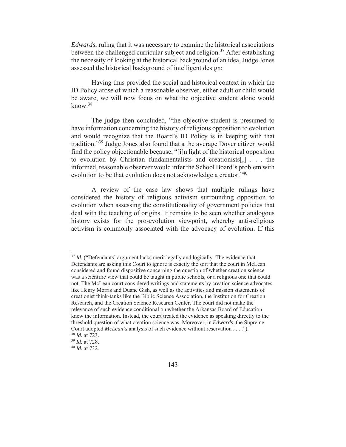*Edwards*, ruling that it was necessary to examine the historical associations between the challenged curricular subject and religion.<sup>37</sup> After establishing the necessity of looking at the historical background of an idea, Judge Jones assessed the historical background of intelligent design:

Having thus provided the social and historical context in which the ID Policy arose of which a reasonable observer, either adult or child would be aware, we will now focus on what the objective student alone would  $know.<sup>38</sup>$ 

The judge then concluded, "the objective student is presumed to have information concerning the history of religious opposition to evolution and would recognize that the Board's ID Policy is in keeping with that tradition."<sup>39</sup> Judge Jones also found that a the average Dover citizen would find the policy objectionable because, "[i]n light of the historical opposition to evolution by Christian fundamentalists and creationists[,] . . . the informed, reasonable observer would infer the School Board's problem with evolution to be that evolution does not acknowledge a creator."40

A review of the case law shows that multiple rulings have considered the history of religious activism surrounding opposition to evolution when assessing the constitutionality of government policies that deal with the teaching of origins. It remains to be seen whether analogous history exists for the pro-evolution viewpoint, whereby anti-religious activism is commonly associated with the advocacy of evolution. If this

<sup>&</sup>lt;sup>37</sup> Id. ("Defendants' argument lacks merit legally and logically. The evidence that Defendants are asking this Court to ignore is exactly the sort that the court in McLean considered and found dispositive concerning the question of whether creation science was a scientific view that could be taught in public schools, or a religious one that could not. The McLean court considered writings and statements by creation science advocates like Henry Morris and Duane Gish, as well as the activities and mission statements of creationist think-tanks like the Biblic Science Association, the Institution for Creation Research, and the Creation Science Research Center. The court did not make the relevance of such evidence conditional on whether the Arkansas Board of Education knew the information. Instead, the court treated the evidence as speaking directly to the threshold question of what creation science was. Moreover, in Edwards, the Supreme Court adopted *McLean's* analysis of such evidence without reservation . . . .").

<sup>&</sup>lt;sup>38</sup> *Id.* at 723.

 $39$  *Id.* at 728.

 $40$  *Id.* at 732.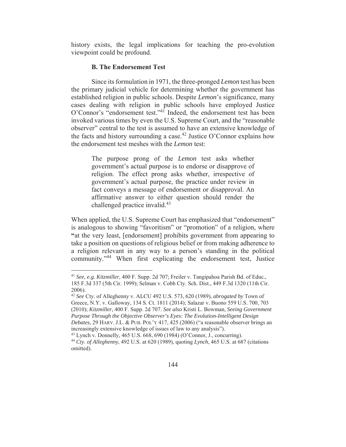history exists, the legal implications for teaching the pro-evolution viewpoint could be profound.

#### **B. The Endorsement Test**

Since its formulation in 1971, the three-pronged *Lemon* test has been the primary judicial vehicle for determining whether the government has established religion in public schools. Despite *Lemon*'s significance, many cases dealing with religion in public schools have employed Justice O'Connor's "endorsement test."<sup>41</sup> Indeed, the endorsement test has been invoked various times by even the U.S. Supreme Court, and the "reasonable" observer" central to the test is assumed to have an extensive knowledge of the facts and history surrounding a case.<sup>42</sup> Justice O'Connor explains how the endorsement test meshes with the *Lemon* test:

The purpose prong of the *Lemon* test asks whether government's actual purpose is to endorse or disapprove of religion. The effect prong asks whether, irrespective of government's actual purpose, the practice under review in fact conveys a message of endorsement or disapproval. An affirmative answer to either question should render the challenged practice invalid.<sup>43</sup>

When applied, the U.S. Supreme Court has emphasized that "endorsement" is analogous to showing "favoritism" or "promotion" of a religion, where "at the very least, [endorsement] prohibits government from appearing to take a position on questions of religious belief or from making adherence to a religion relevant in any way to a person's standing in the political community."<sup>44</sup> When first explicating the endorsement test, Justice

<sup>&</sup>lt;sup>41</sup> See, e.g. Kitzmiller, 400 F. Supp. 2d 707; Freiler v. Tangipahoa Parish Bd. of Educ., 185 F.3d 337 (5th Cir. 1999); Selman v. Cobb Cty. Sch. Dist., 449 F.3d 1320 (11th Cir.  $2006$ ).

<sup>&</sup>lt;sup>42</sup> See Cty. of Alleghenny v. ALCU 492 U.S. 573, 620 (1989), abrogated by Town of Greece, N.Y. v. Galloway, 134 S. Ct. 1811 (2014); Salazar v. Buono 559 U.S. 700, 703 (2010); Kitzmiller, 400 F. Supp. 2d 707. See also Kristi L. Bowman, Seeing Government Purpose Through the Objective Observer's Eyes: The Evolution-Intelligent Design Debates, 29 HARV. J.L. & PUB. POL'Y 417, 425 (2006) ("a reasonable observer brings an increasingly extensive knowledge of issues of law to any analysis").

 $43$  Lynch v. Donnelly, 465 U.S. 668, 690 (1984) (O'Connor, J., concurring).

<sup>&</sup>lt;sup>44</sup> Cty. of Alleghenny, 492 U.S. at 620 (1989), quoting Lynch, 465 U.S. at 687 (citations omitted).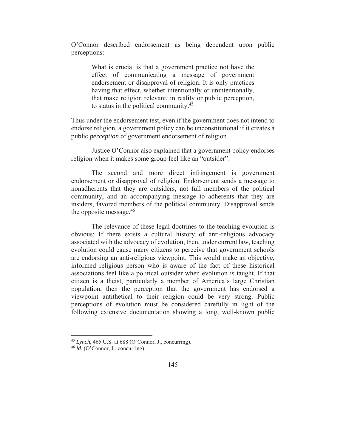O'Connor described endorsement as being dependent upon public perceptions:

What is crucial is that a government practice not have the effect of communicating a message of government endorsement or disapproval of religion. It is only practices having that effect, whether intentionally or unintentionally, that make religion relevant, in reality or public perception, to status in the political community.<sup>45</sup>

Thus under the endorsement test, even if the government does not intend to endorse religion, a government policy can be unconstitutional if it creates a public *perception* of government endorsement of religion.

Justice O'Connor also explained that a government policy endorses religion when it makes some group feel like an "outsider":

The second and more direct infringement is government endorsement or disapproval of religion. Endorsement sends a message to nonadherents that they are outsiders, not full members of the political community, and an accompanying message to adherents that they are insiders, favored members of the political community. Disapproval sends the opposite message.<sup>46</sup>

The relevance of these legal doctrines to the teaching evolution is obvious: If there exists a cultural history of anti-religious advocacy associated with the advocacy of evolution, then, under current law, teaching evolution could cause many citizens to perceive that government schools are endorsing an anti-religious viewpoint. This would make an objective, informed religious person who is aware of the fact of these historical associations feel like a political outsider when evolution is taught. If that citizen is a theist, particularly a member of America's large Christian population, then the perception that the government has endorsed a viewpoint antithetical to their religion could be very strong. Public perceptions of evolution must be considered carefully in light of the following extensive documentation showing a long, well-known public

 $45$  Lynch, 465 U.S. at 688 (O'Connor, J., concurring).

 $46$  *Id.* (O'Connor, J., concurring).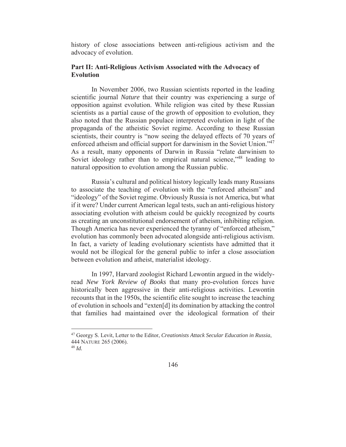history of close associations between anti-religious activism and the advocacy of evolution.

## Part II: Anti-Religious Activism Associated with the Advocacy of **Evolution**

In November 2006, two Russian scientists reported in the leading scientific journal *Nature* that their country was experiencing a surge of opposition against evolution. While religion was cited by these Russian scientists as a partial cause of the growth of opposition to evolution, they also noted that the Russian populace interpreted evolution in light of the propaganda of the atheistic Soviet regime. According to these Russian scientists, their country is "now seeing the delayed effects of 70 years of enforced atheism and official support for darwinism in the Soviet Union."<sup>47</sup> As a result, many opponents of Darwin in Russia "relate darwinism to Soviet ideology rather than to empirical natural science,<sup>148</sup> leading to natural opposition to evolution among the Russian public.

Russia's cultural and political history logically leads many Russians to associate the teaching of evolution with the "enforced atheism" and "ideology" of the Soviet regime. Obviously Russia is not America, but what if it were? Under current American legal tests, such an anti-religious history associating evolution with atheism could be quickly recognized by courts as creating an unconstitutional endorsement of atheism, inhibiting religion. Though America has never experienced the tyranny of "enforced atheism," evolution has commonly been advocated alongside anti-religious activism. In fact, a variety of leading evolutionary scientists have admitted that it would not be illogical for the general public to infer a close association between evolution and atheist, materialist ideology.

In 1997, Harvard zoologist Richard Lewontin argued in the widelyread New York Review of Books that many pro-evolution forces have historically been aggressive in their anti-religious activities. Lewontin recounts that in the 1950s, the scientific elite sought to increase the teaching of evolution in schools and "exten[d] its domination by attacking the control that families had maintained over the ideological formation of their

<sup>&</sup>lt;sup>47</sup> Georgy S. Levit, Letter to the Editor, Creationists Attack Secular Education in Russia, 444 NATURE 265 (2006).

 $48$  *M*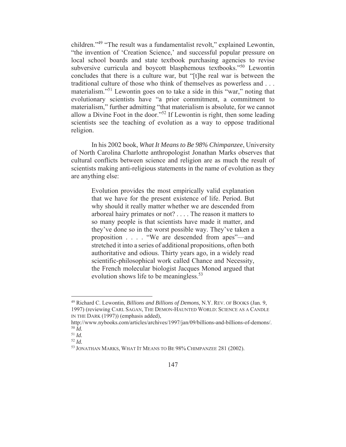children."<sup>49</sup> "The result was a fundamentalist revolt," explained Lewontin, "the invention of 'Creation Science,' and successful popular pressure on local school boards and state textbook purchasing agencies to revise subversive curricula and boycott blasphemous textbooks."<sup>50</sup> Lewontin concludes that there is a culture war, but "[t] the real war is between the traditional culture of those who think of themselves as powerless and ... materialism."<sup>51</sup> Lewontin goes on to take a side in this "war," noting that evolutionary scientists have "a prior commitment, a commitment to materialism," further admitting "that materialism is absolute, for we cannot allow a Divine Foot in the door."<sup>52</sup> If Lewontin is right, then some leading scientists see the teaching of evolution as a way to oppose traditional religion.

In his 2002 book, What It Means to Be 98% Chimpanzee, University of North Carolina Charlotte anthropologist Jonathan Marks observes that cultural conflicts between science and religion are as much the result of scientists making anti-religious statements in the name of evolution as they are anything else:

Evolution provides the most empirically valid explanation that we have for the present existence of life. Period. But why should it really matter whether we are descended from arboreal hairy primates or not? . . . . The reason it matters to so many people is that scientists have made it matter, and they've done so in the worst possible way. They've taken a proposition . . . . "We are descended from apes"—and stretched it into a series of additional propositions, often both authoritative and odious. Thirty years ago, in a widely read scientific-philosophical work called Chance and Necessity. the French molecular biologist Jacques Monod argued that evolution shows life to be meaningless.<sup>53</sup>

<sup>&</sup>lt;sup>49</sup> Richard C. Lewontin, *Billions and Billions of Demons*, N.Y. REV. OF BOOKS (Jan. 9, 1997) (reviewing CARL SAGAN, THE DEMON-HAUNTED WORLD: SCIENCE AS A CANDLE IN THE DARK (1997)) (emphasis added).

http://www.nybooks.com/articles/archives/1997/jan/09/billions-and-billions-of-demons/.  $50$  Id.

 $51$  Id.

 $52$  *Id.* 

<sup>&</sup>lt;sup>53</sup> JONATHAN MARKS, WHAT IT MEANS TO BE 98% CHIMPANZEE 281 (2002).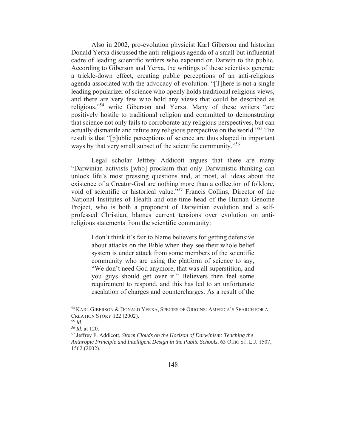Also in 2002, pro-evolution physicist Karl Giberson and historian Donald Yerxa discussed the anti-religious agenda of a small but influential cadre of leading scientific writers who expound on Darwin to the public. According to Giberson and Yerxa, the writings of these scientists generate a trickle-down effect, creating public perceptions of an anti-religious agenda associated with the advocacy of evolution. "[T] here is not a single leading popularizer of science who openly holds traditional religious views, and there are very few who hold any views that could be described as religious,"<sup>54</sup> write Giberson and Yerxa. Many of these writers "are positively hostile to traditional religion and committed to demonstrating that science not only fails to corroborate any religious perspectives, but can actually dismantle and refute any religious perspective on the world."<sup>55</sup> The result is that "[p]ublic perceptions of science are thus shaped in important ways by that very small subset of the scientific community."<sup>56</sup>

Legal scholar Jeffrey Addicott argues that there are many "Darwinian activists [who] proclaim that only Darwinistic thinking can unlock life's most pressing questions and, at most, all ideas about the existence of a Creator-God are nothing more than a collection of folklore, void of scientific or historical value."<sup>57</sup> Francis Collins, Director of the National Institutes of Health and one-time head of the Human Genome Project, who is both a proponent of Darwinian evolution and a selfprofessed Christian, blames current tensions over evolution on antireligious statements from the scientific community:

I don't think it's fair to blame believers for getting defensive about attacks on the Bible when they see their whole belief system is under attack from some members of the scientific community who are using the platform of science to say, "We don't need God anymore, that was all superstition, and you guys should get over it." Believers then feel some requirement to respond, and this has led to an unfortunate escalation of charges and countercharges. As a result of the

<sup>&</sup>lt;sup>54</sup> KARL GIBERSON & DONALD YERXA, SPECIES OF ORIGINS: AMERICA'S SEARCH FOR A CREATION STORY 122 (2002).

 $55$  *Id.* 

 $56$  *Id.* at 120.

<sup>&</sup>lt;sup>57</sup> Jeffrey F. Addicott, Storm Clouds on the Horizon of Darwinism: Teaching the Anthropic Principle and Intelligent Design in the Public Schools, 63 OHIO ST. L.J. 1507, 1562 (2002).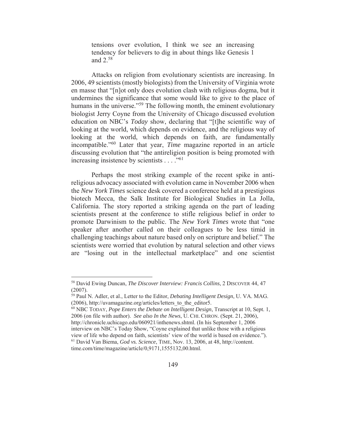tensions over evolution. I think we see an increasing tendency for believers to dig in about things like Genesis 1 and  $2^{58}$ 

Attacks on religion from evolutionary scientists are increasing. In 2006, 49 scientists (mostly biologists) from the University of Virginia wrote en masse that "[n] ot only does evolution clash with religious dogma, but it undermines the significance that some would like to give to the place of humans in the universe."<sup>59</sup> The following month, the eminent evolutionary biologist Jerry Coyne from the University of Chicago discussed evolution education on NBC's *Today* show, declaring that "[t]he scientific way of looking at the world, which depends on evidence, and the religious way of looking at the world, which depends on faith, are fundamentally incompatible."<sup>60</sup> Later that year, *Time* magazine reported in an article discussing evolution that "the antireligion position is being promoted with increasing insistence by scientists  $\ldots$ ."<sup>61</sup>

Perhaps the most striking example of the recent spike in antireligious advocacy associated with evolution came in November 2006 when the New York Times science desk covered a conference held at a prestigious biotech Mecca, the Salk Institute for Biological Studies in La Jolla, California. The story reported a striking agenda on the part of leading scientists present at the conference to stifle religious belief in order to promote Darwinism to the public. The New York Times wrote that "one speaker after another called on their colleagues to be less timid in challenging teachings about nature based only on scripture and belief." The scientists were worried that evolution by natural selection and other views are "losing out in the intellectual marketplace" and one scientist

<sup>&</sup>lt;sup>58</sup> David Ewing Duncan, *The Discover Interview: Francis Collins*, 2 DISCOVER 44, 47  $(2007).$ 

<sup>&</sup>lt;sup>59</sup> Paul N. Adler, et al., Letter to the Editor, *Debating Intelligent Design*, U. VA. MAG. (2006), http://uvamagazine.org/articles/letters\_to\_the\_editor5.

 $60$  NBC TODAY, Pope Enters the Debate on Intelligent Design, Transcript at 10, Sept. 1, 2006 (on file with author). See also In the News, U. CHI. CHRON. (Sept. 21, 2006), http://chronicle.uchicago.edu/060921/inthenews.shtml. (In his September 1, 2006 interview on NBC's Today Show, "Coyne explained that unlike those with a religious view of life who depend on faith, scientists' view of the world is based on evidence."). <sup>61</sup> David Van Biema, God vs. Science, TIME, Nov. 13, 2006, at 48, http://content. time.com/time/magazine/article/0.9171.1555132.00.html.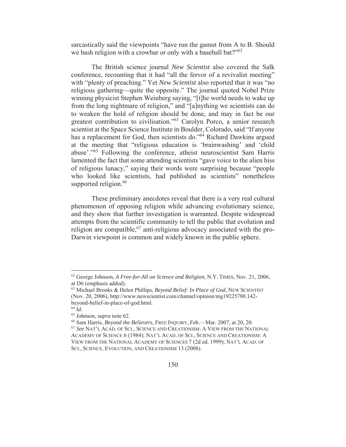sarcastically said the viewpoints "have run the gamut from A to B. Should we bash religion with a crowbar or only with a baseball bat?"<sup>62</sup>

The British science journal New Scientist also covered the Salk conference, recounting that it had "all the fervor of a revivalist meeting" with "plenty of preaching." Yet New Scientist also reported that it was "no religious gathering—quite the opposite." The journal quoted Nobel Prize winning physicist Stephen Weinberg saying, "[t]he world needs to wake up from the long nightmare of religion," and "[a] nything we scientists can do to weaken the hold of religion should be done, and may in fact be our greatest contribution to civilisation."<sup>63</sup> Carolyn Porco, a senior research scientist at the Space Science Institute in Boulder, Colorado, said "If anyone has a replacement for God, then scientists do."<sup>64</sup> Richard Dawkins argued at the meeting that "religious education is 'brainwashing' and 'child abuse'."<sup>65</sup> Following the conference, atheist neuroscientist Sam Harris lamented the fact that some attending scientists "gave voice to the alien hiss of religious lunacy," saying their words were surprising because "people" who looked like scientists, had published as scientists" nonetheless supported religion.<sup>66</sup>

These preliminary anecdotes reveal that there is a very real cultural phenomenon of opposing religion while advancing evolutionary science, and they show that further investigation is warranted. Despite widespread attempts from the scientific community to tell the public that evolution and religion are compatible,<sup>67</sup> anti-religious advocacy associated with the pro-Darwin viewpoint is common and widely known in the public sphere.

<sup>&</sup>lt;sup>62</sup> George Johnson, A Free-for-All on Science and Religion, N.Y. TIMES, Nov. 21, 2006, at D6 (emphasis added).

<sup>&</sup>lt;sup>63</sup> Michael Brooks & Helen Phillips, *Bevond Belief: In Place of God*, NEW SCIENTIST (Nov. 20, 2006), http://www.newscientist.com/channel/opinion/mg19225780.142beyond-belief-in-place-of-god.html.

 $64$  Id.

<sup>&</sup>lt;sup>65</sup> Johnson, *supra* note 62.

<sup>&</sup>lt;sup>66</sup> Sam Harris, *Beyond the Believers*, FREE INQUIRY, Feb.—Mar. 2007, at 20, 20.

<sup>&</sup>lt;sup>67</sup> See NAT'L ACAD. OF SCI., SCIENCE AND CREATIONISM: A VIEW FROM THE NATIONAL ACADEMY OF SCIENCE 6 (1984); NAT'L ACAD. OF SCI., SCIENCE AND CREATIONISM: A VIEW FROM THE NATIONAL ACADEMY OF SCIENCES 7 (2d ed. 1999); NAT'L ACAD. OF SCI., SCIENCE, EVOLUTION, AND CREATIONISM 13 (2008).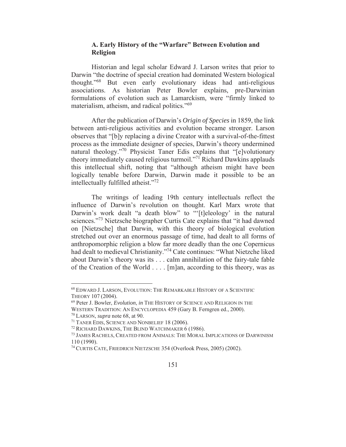## A. Early History of the "Warfare" Between Evolution and Religion

Historian and legal scholar Edward J. Larson writes that prior to Darwin "the doctrine of special creation had dominated Western biological thought."<sup>68</sup> But even early evolutionary ideas had anti-religious associations. As historian Peter Bowler explains, pre-Darwinian formulations of evolution such as Lamarckism, were "firmly linked to materialism, atheism, and radical politics."<sup>69</sup>

After the publication of Darwin's *Origin of Species* in 1859, the link between anti-religious activities and evolution became stronger. Larson observes that "[b]y replacing a divine Creator with a survival-of-the-fittest process as the immediate designer of species, Darwin's theory undermined natural theology."70 Physicist Taner Edis explains that "[e]volutionary theory immediately caused religious turmoil."<sup>71</sup> Richard Dawkins applauds this intellectual shift, noting that "although atheism might have been logically tenable before Darwin, Darwin made it possible to be an intellectually fulfilled atheist."72

The writings of leading 19th century intellectuals reflect the influence of Darwin's revolution on thought. Karl Marx wrote that Darwin's work dealt "a death blow" to "[t]eleology' in the natural sciences."<sup>73</sup> Nietzsche biographer Curtis Cate explains that "it had dawned" on [Nietzsche] that Darwin, with this theory of biological evolution stretched out over an enormous passage of time, had dealt to all forms of anthropomorphic religion a blow far more deadly than the one Copernicus had dealt to medieval Christianity."<sup>74</sup> Cate continues: "What Nietzche liked about Darwin's theory was its . . . calm annihilation of the fairy-tale fable of the Creation of the World . . . . [m]an, according to this theory, was as

<sup>68</sup> EDWARD J. LARSON, EVOLUTION: THE REMARKABLE HISTORY OF A SCIENTIFIC THEORY 107 (2004).

<sup>&</sup>lt;sup>69</sup> Peter J. Bowler, *Evolution*, *in* THE HISTORY OF SCIENCE AND RELIGION IN THE WESTERN TRADITION: AN ENCYCLOPEDIA 459 (Gary B. Ferngren ed., 2000).

 $70$  LARSON, *supra* note 68, at 90.

<sup>&</sup>lt;sup>71</sup> TANER EDIS, SCIENCE AND NONBELIEF 18 (2006).

<sup>&</sup>lt;sup>72</sup> RICHARD DAWKINS, THE BLIND WATCHMAKER 6 (1986).

<sup>&</sup>lt;sup>73</sup> JAMES RACHELS, CREATED FROM ANIMALS: THE MORAL IMPLICATIONS OF DARWINISM 110 (1990).

<sup>&</sup>lt;sup>74</sup> CURTIS CATE, FRIEDRICH NIETZSCHE 354 (Overlook Press, 2005) (2002).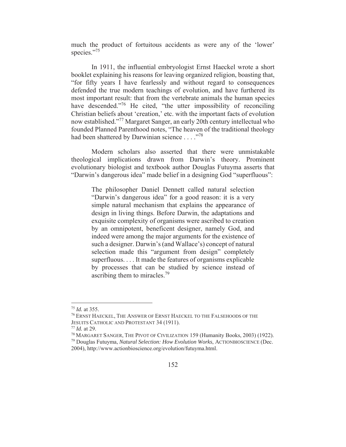much the product of fortuitous accidents as were any of the 'lower' species."75

In 1911, the influential embryologist Ernst Haeckel wrote a short booklet explaining his reasons for leaving organized religion, boasting that, "for fifty years I have fearlessly and without regard to consequences defended the true modern teachings of evolution, and have furthered its most important result: that from the vertebrate animals the human species have descended."<sup>76</sup> He cited, "the utter impossibility of reconciling Christian beliefs about 'creation,' etc. with the important facts of evolution now established."<sup>77</sup> Margaret Sanger, an early 20th century intellectual who founded Planned Parenthood notes, "The heaven of the traditional theology had been shattered by Darwinian science . . . . "78

Modern scholars also asserted that there were unmistakable theological implications drawn from Darwin's theory. Prominent evolutionary biologist and textbook author Douglas Futuyma asserts that "Darwin's dangerous idea" made belief in a designing God "superfluous":

The philosopher Daniel Dennett called natural selection "Darwin's dangerous idea" for a good reason: it is a very simple natural mechanism that explains the appearance of design in living things. Before Darwin, the adaptations and exquisite complexity of organisms were ascribed to creation by an omnipotent, beneficent designer, namely God, and indeed were among the major arguments for the existence of such a designer. Darwin's (and Wallace's) concept of natural selection made this "argument from design" completely superfluous.... It made the features of organisms explicable by processes that can be studied by science instead of ascribing them to miracles.<sup>79</sup>

 $^{75}$  *Id.* at 355.

<sup>&</sup>lt;sup>76</sup> ERNST HAECKEL, THE ANSWER OF ERNST HAECKEL TO THE FALSEHOODS OF THE **JESUITS CATHOLIC AND PROTESTANT 34 (1911).** 

 $77$  *Id.* at 29.

<sup>&</sup>lt;sup>78</sup> MARGARET SANGER, THE PIVOT OF CIVILIZATION 159 (Humanity Books, 2003) (1922).

<sup>&</sup>lt;sup>79</sup> Douglas Futuyma, Natural Selection: How Evolution Works, ACTIONBIOSCIENCE (Dec. 2004), http://www.actionbioscience.org/evolution/futuyma.html.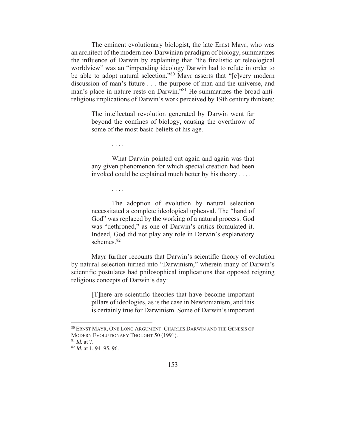The eminent evolutionary biologist, the late Ernst Mayr, who was an architect of the modern neo-Darwinian paradigm of biology, summarizes the influence of Darwin by explaining that "the finalistic or teleological worldview" was an "impending ideology Darwin had to refute in order to be able to adopt natural selection."<sup>80</sup> Mayr asserts that "[e]very modern discussion of man's future . . . the purpose of man and the universe, and man's place in nature rests on Darwin."<sup>81</sup> He summarizes the broad antireligious implications of Darwin's work perceived by 19th century thinkers:

The intellectual revolution generated by Darwin went far beyond the confines of biology, causing the overthrow of some of the most basic beliefs of his age.

What Darwin pointed out again and again was that any given phenomenon for which special creation had been invoked could be explained much better by his theory ....

 $\ldots$  .

 $\cdots$ 

The adoption of evolution by natural selection necessitated a complete ideological upheaval. The "hand of God" was replaced by the working of a natural process. God was "dethroned," as one of Darwin's critics formulated it. Indeed, God did not play any role in Darwin's explanatory schemes. $82$ 

Mayr further recounts that Darwin's scientific theory of evolution by natural selection turned into "Darwinism," wherein many of Darwin's scientific postulates had philosophical implications that opposed reigning religious concepts of Darwin's day:

[T] here are scientific theories that have become important pillars of ideologies, as is the case in Newtonianism, and this is certainly true for Darwinism. Some of Darwin's important

<sup>&</sup>lt;sup>80</sup> ERNST MAYR, ONE LONG ARGUMENT: CHARLES DARWIN AND THE GENESIS OF MODERN EVOLUTIONARY THOUGHT 50 (1991).

 $81$  *Id.* at 7.

 $82$  *Id.* at 1, 94–95, 96.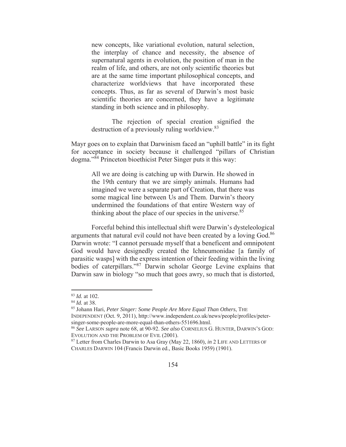new concepts, like variational evolution, natural selection, the interplay of chance and necessity, the absence of supernatural agents in evolution, the position of man in the realm of life, and others, are not only scientific theories but are at the same time important philosophical concepts, and characterize worldviews that have incorporated these concepts. Thus, as far as several of Darwin's most basic scientific theories are concerned, they have a legitimate standing in both science and in philosophy.

The rejection of special creation signified the destruction of a previously ruling worldview.<sup>83</sup>

Mayr goes on to explain that Darwinism faced an "uphill battle" in its fight for acceptance in society because it challenged "pillars of Christian dogma."<sup>84</sup> Princeton bioethicist Peter Singer puts it this way:

All we are doing is catching up with Darwin. He showed in the 19th century that we are simply animals. Humans had imagined we were a separate part of Creation, that there was some magical line between Us and Them. Darwin's theory undermined the foundations of that entire Western way of thinking about the place of our species in the universe.<sup>85</sup>

Forceful behind this intellectual shift were Darwin's dysteleological arguments that natural evil could not have been created by a loving God.<sup>86</sup> Darwin wrote: "I cannot persuade myself that a beneficent and omnipotent God would have designedly created the Ichneumonidae [a family of parasitic wasps] with the express intention of their feeding within the living bodies of caterpillars."87 Darwin scholar George Levine explains that Darwin saw in biology "so much that goes awry, so much that is distorted,

 $83$  *Id.* at 102.

 $84$  *Id.* at 38.

<sup>&</sup>lt;sup>85</sup> Johann Hari, *Peter Singer: Some People Are More Equal Than Others*, THE INDEPENDENT (Oct. 9, 2011), http://www.independent.co.uk/news/people/profiles/petersinger-some-people-are-more-equal-than-others-551696.html.

<sup>&</sup>lt;sup>86</sup> See LARSON supra note 68, at 90-92. See also CORNELIUS G. HUNTER, DARWIN'S GOD: EVOLUTION AND THE PROBLEM OF EVIL (2001).

<sup>87</sup> Letter from Charles Darwin to Asa Gray (May 22, 1860), in 2 LIFE AND LETTERS OF CHARLES DARWIN 104 (Francis Darwin ed., Basic Books 1959) (1901).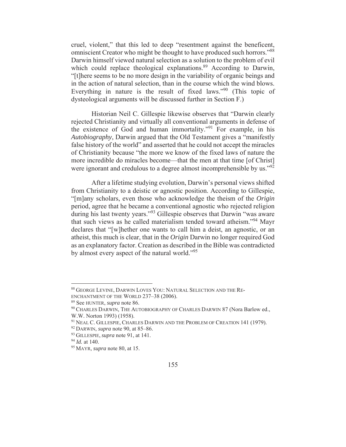cruel, violent," that this led to deep "resentment against the beneficent, omniscient Creator who might be thought to have produced such horrors."88 Darwin himself viewed natural selection as a solution to the problem of evil which could replace theological explanations.<sup>89</sup> According to Darwin, "[t] t] there seems to be no more design in the variability of organic beings and in the action of natural selection, than in the course which the wind blows. Everything in nature is the result of fixed laws." $90$  (This topic of dysteological arguments will be discussed further in Section F.)

Historian Neil C. Gillespie likewise observes that "Darwin clearly rejected Christianity and virtually all conventional arguments in defense of the existence of God and human immortality."<sup>91</sup> For example, in his *Autobiography*, Darwin argued that the Old Testament gives a "manifestly false history of the world" and asserted that he could not accept the miracles of Christianity because "the more we know of the fixed laws of nature the more incredible do miracles become—that the men at that time [of Christ] were ignorant and credulous to a degree almost incomprehensible by us."<sup>92</sup>

After a lifetime studying evolution, Darwin's personal views shifted from Christianity to a deistic or agnostic position. According to Gillespie, "[m]any scholars, even those who acknowledge the theism of the Origin period, agree that he became a conventional agnostic who rejected religion during his last twenty years."<sup>93</sup> Gillespie observes that Darwin "was aware that such views as he called materialism tended toward atheism."<sup>94</sup> Mayr declares that "[w]hether one wants to call him a deist, an agnostic, or an atheist, this much is clear, that in the *Origin* Darwin no longer required God as an explanatory factor. Creation as described in the Bible was contradicted by almost every aspect of the natural world."<sup>95</sup>

<sup>&</sup>lt;sup>88</sup> GEORGE LEVINE, DARWIN LOVES YOU: NATURAL SELECTION AND THE RE-

ENCHANTMENT OF THE WORLD 237-38 (2006).

<sup>89</sup> See HUNTER, *supra* note 86.

<sup>&</sup>lt;sup>90</sup> CHARLES DARWIN, THE AUTOBIOGRAPHY OF CHARLES DARWIN 87 (Nora Barlow ed., W.W. Norton 1993) (1958).

<sup>&</sup>lt;sup>91</sup> NEAL C. GILLESPIE, CHARLES DARWIN AND THE PROBLEM OF CREATION 141 (1979).

 $92$  DARWIN, *supra* note 90, at 85–86.

<sup>93</sup> GILLESPIE, *supra* note 91, at 141.

 $94$  *Id.* at 140.

<sup>&</sup>lt;sup>95</sup> MAYR, *supra* note 80, at 15.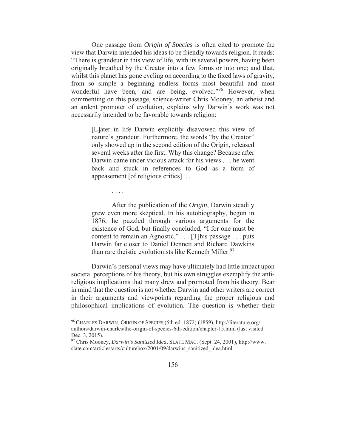One passage from *Origin of Species* is often cited to promote the view that Darwin intended his ideas to be friendly towards religion. It reads: "There is grandeur in this view of life, with its several powers, having been originally breathed by the Creator into a few forms or into one; and that, whilst this planet has gone cycling on according to the fixed laws of gravity. from so simple a beginning endless forms most beautiful and most wonderful have been, and are being, evolved."<sup>96</sup> However, when commenting on this passage, science-writer Chris Mooney, an atheist and an ardent promoter of evolution, explains why Darwin's work was not necessarily intended to be favorable towards religion:

[L] ater in life Darwin explicitly disavowed this view of nature's grandeur. Furthermore, the words "by the Creator" only showed up in the second edition of the Origin, released several weeks after the first. Why this change? Because after Darwin came under vicious attack for his views . . . he went back and stuck in references to God as a form of appeasement [of religious critics]....

After the publication of the *Origin*, Darwin steadily grew even more skeptical. In his autobiography, begun in 1876, he puzzled through various arguments for the existence of God, but finally concluded, "I for one must be content to remain an Agnostic."... [T] his passage ... puts Darwin far closer to Daniel Dennett and Richard Dawkins than rare theistic evolutionists like Kenneth Miller.<sup>97</sup>

 $\ldots$  .

Darwin's personal views may have ultimately had little impact upon societal perceptions of his theory, but his own struggles exemplify the antireligious implications that many drew and promoted from his theory. Bear in mind that the question is not whether Darwin and other writers are correct in their arguments and viewpoints regarding the proper religious and philosophical implications of evolution. The question is whether their

<sup>&</sup>lt;sup>96</sup> CHARLES DARWIN, ORIGIN OF SPECIES (6th ed. 1872) (1859), http://literature.org/ authors/darwin-charles/the-origin-of-species-6th-edition/chapter-15.html (last visited Dec. 3, 2015).

<sup>&</sup>lt;sup>97</sup> Chris Mooney, *Darwin's Sanitized Idea*, SLATE MAG. (Sept. 24, 2001), http://www. slate.com/articles/arts/culturebox/2001/09/darwins sanitized idea.html.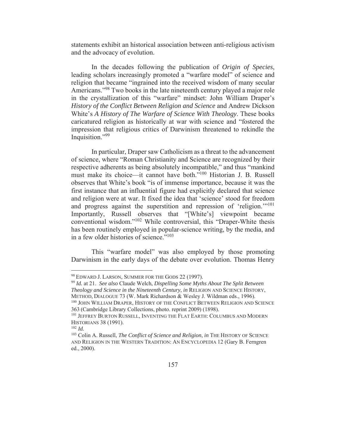statements exhibit an historical association between anti-religious activism and the advocacy of evolution.

In the decades following the publication of *Origin of Species*, leading scholars increasingly promoted a "warfare model" of science and religion that became "ingrained into the received wisdom of many secular Americans."<sup>98</sup> Two books in the late nineteenth century played a major role in the crystallization of this "warfare" mindset: John William Draper's *History of the Conflict Between Religion and Science* and Andrew Dickson White's A History of The Warfare of Science With Theology. These books caricatured religion as historically at war with science and "fostered the impression that religious critics of Darwinism threatened to rekindle the Inquisition." $99$ 

In particular, Draper saw Catholicism as a threat to the advancement of science, where "Roman Christianity and Science are recognized by their respective adherents as being absolutely incompatible," and thus "mankind must make its choice—it cannot have both."<sup>100</sup> Historian J. B. Russell observes that White's book "is of immense importance, because it was the first instance that an influential figure had explicitly declared that science and religion were at war. It fixed the idea that 'science' stood for freedom and progress against the superstition and repression of 'religion."<sup>101</sup> Importantly, Russell observes that "[White's] viewpoint became conventional wisdom."<sup>102</sup> While controversial, this "Draper-White thesis has been routinely employed in popular-science writing, by the media, and in a few older histories of science." $103$ 

This "warfare model" was also employed by those promoting Darwinism in the early days of the debate over evolution. Thomas Henry

<sup>&</sup>lt;sup>98</sup> EDWARD J. LARSON, SUMMER FOR THE GODS 22 (1997).

<sup>&</sup>lt;sup>99</sup> Id. at 21. See also Claude Welch, Dispelling Some Myths About The Split Between *Theology and Science in the Nineteenth Century, in RELIGION AND SCIENCE HISTORY,* METHOD, DIALOGUE 73 (W. Mark Richardson & Wesley J. Wildman eds., 1996).

<sup>&</sup>lt;sup>100</sup> JOHN WILLIAM DRAPER. HISTORY OF THE CONFLICT BETWEEN RELIGION AND SCIENCE 363 (Cambridge Library Collections, photo. reprint 2009) (1898).

<sup>&</sup>lt;sup>101</sup> JEFFREY BURTON RUSSELL, INVENTING THE FLAT EARTH: COLUMBUS AND MODERN HISTORIANS 38 (1991).

*Id.*

<sup>&</sup>lt;sup>103</sup> Colin A. Russell, *The Conflict of Science and Religion*, *in* THE HISTORY OF SCIENCE AND RELIGION IN THE WESTERN TRADITION: AN ENCYCLOPEDIA 12 (Gary B. Ferngren ed., 2000).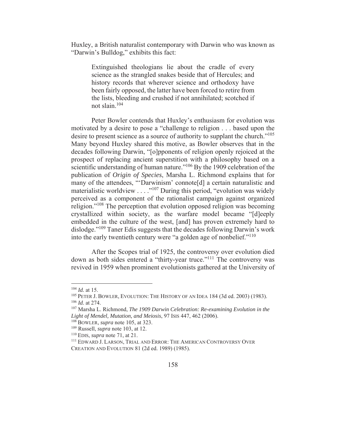Huxley, a British naturalist contemporary with Darwin who was known as "Darwin's Bulldog," exhibits this fact:

Extinguished theologians lie about the cradle of every science as the strangled snakes beside that of Hercules; and history records that wherever science and orthodoxy have been fairly opposed, the latter have been forced to retire from the lists, bleeding and crushed if not annihilated; scotched if not slain. $104$ 

Peter Bowler contends that Huxley's enthusiasm for evolution was motivated by a desire to pose a "challenge to religion . . . based upon the desire to present science as a source of authority to supplant the church."<sup>105</sup> Many beyond Huxley shared this motive, as Bowler observes that in the decades following Darwin, "[o]pponents of religion openly rejoiced at the prospect of replacing ancient superstition with a philosophy based on a scientific understanding of human nature."<sup>106</sup> By the 1909 celebration of the publication of Origin of Species, Marsha L. Richmond explains that for many of the attendees, "'Darwinism' connote[d] a certain naturalistic and materialistic worldview . . . . "<sup>107</sup> During this period, "evolution was widely perceived as a component of the rationalist campaign against organized religion."<sup>108</sup> The perception that evolution opposed religion was becoming crystallized within society, as the warfare model became "[d]eeply embedded in the culture of the west, [and] has proven extremely hard to dislodge."<sup>109</sup> Taner Edis suggests that the decades following Darwin's work into the early twentieth century were "a golden age of nonbelief."<sup>110</sup>

After the Scopes trial of 1925, the controversy over evolution died down as both sides entered a "thirty-year truce."<sup>111</sup> The controversy was revived in 1959 when prominent evolutionists gathered at the University of

 $104$  *Id.* at 15.

<sup>&</sup>lt;sup>105</sup> PETER J. BOWLER, EVOLUTION: THE HISTORY OF AN IDEA 184 (3d ed. 2003) (1983).  $106$  *Id.* at 274.

 $107$  Marsha L. Richmond, The 1909 Darwin Celebration: Re-examining Evolution in the Light of Mendel, Mutation, and Meiosis, 97 ISIS 447, 462 (2006).

<sup>&</sup>lt;sup>108</sup> BOWLER, *supra* note 105, at 323.

 $109$  Russell, *supra* note 103, at 12.

 $110$  EDIS, *supra* note 71, at 21.

<sup>&</sup>lt;sup>111</sup> EDWARD J. LARSON, TRIAL AND ERROR: THE AMERICAN CONTROVERSY OVER CREATION AND EVOLUTION 81 (2d ed. 1989) (1985).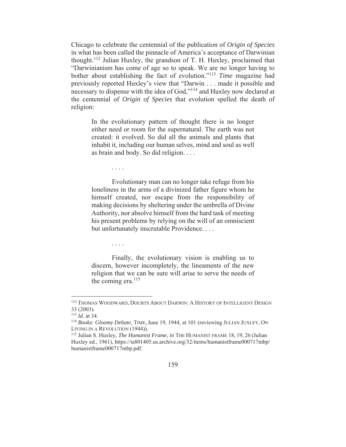Chicago to celebrate the centennial of the publication of *Origin of Species* in what has been called the pinnacle of America's acceptance of Darwinian thought.<sup>112</sup> Julian Huxley, the grandson of T. H. Huxley, proclaimed that "Darwinianism has come of age so to speak. We are no longer having to bother about establishing the fact of evolution."<sup>113</sup> Time magazine had previously reported Huxley's view that "Darwin . . . made it possible and necessary to dispense with the idea of God,"<sup>114</sup> and Huxley now declared at the centennial of Origin of Species that evolution spelled the death of religion:

In the evolutionary pattern of thought there is no longer either need or room for the supernatural. The earth was not created: it evolved. So did all the animals and plants that inhabit it, including our human selves, mind and soul as well as brain and body. So did religion....

 $\cdots$ 

 $\cdots$ 

Evolutionary man can no longer take refuge from his loneliness in the arms of a divinized father figure whom he himself created, nor escape from the responsibility of making decisions by sheltering under the umbrella of Divine Authority, nor absolve himself from the hard task of meeting his present problems by relying on the will of an omniscient but unfortunately inscrutable Providence....

Finally, the evolutionary vision is enabling us to discern, however incompletely, the lineaments of the new religion that we can be sure will arise to serve the needs of the coming era. $115$ 

<sup>&</sup>lt;sup>112</sup> THOMAS WOODWARD, DOUBTS ABOUT DARWIN: A HISTORY OF INTELLIGENT DESIGN  $33(2003)$ .

 $^{113}$  *Id.* at 34.

<sup>&</sup>lt;sup>114</sup> Books: Gloomy Debate, TIME, June 19, 1944, at 101 (reviewing JULIAN JUXLEY, ON LIVING IN A REVOLUTION (1944)).

<sup>&</sup>lt;sup>115</sup> Julian S. Huxley, *The Humanist Frame*, *in* THE HUMANIST FRAME 18, 19, 26 (Julian Huxley ed., 1961), https://ia801405.us.archive.org/32/items/humanistframe000717mbp/ humanistframe000717mbp.pdf.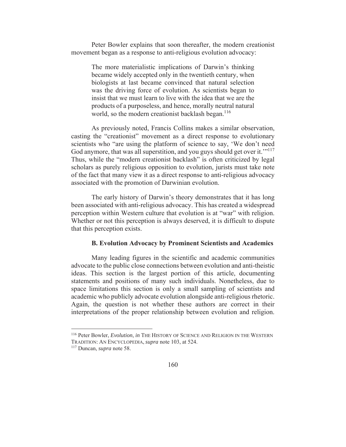Peter Bowler explains that soon thereafter, the modern creationist movement began as a response to anti-religious evolution advocacy:

The more materialistic implications of Darwin's thinking became widely accepted only in the twentieth century, when biologists at last became convinced that natural selection was the driving force of evolution. As scientists began to insist that we must learn to live with the idea that we are the products of a purposeless, and hence, morally neutral natural world, so the modern creationist backlash began.<sup>116</sup>

As previously noted, Francis Collins makes a similar observation, casting the "creationist" movement as a direct response to evolutionary scientists who "are using the platform of science to say, 'We don't need God anymore, that was all superstition, and you guys should get over it."<sup>117</sup> Thus, while the "modern creationist backlash" is often criticized by legal scholars as purely religious opposition to evolution, jurists must take note of the fact that many view it as a direct response to anti-religious advocacy associated with the promotion of Darwinian evolution.

The early history of Darwin's theory demonstrates that it has long been associated with anti-religious advocacy. This has created a widespread perception within Western culture that evolution is at "war" with religion. Whether or not this perception is always deserved, it is difficult to dispute that this perception exists.

#### **B. Evolution Advocacy by Prominent Scientists and Academics**

Many leading figures in the scientific and academic communities advocate to the public close connections between evolution and anti-theistic ideas. This section is the largest portion of this article, documenting statements and positions of many such individuals. Nonetheless, due to space limitations this section is only a small sampling of scientists and academic who publicly advocate evolution alongside anti-religious rhetoric. Again, the question is not whether these authors are correct in their interpretations of the proper relationship between evolution and religion.

<sup>&</sup>lt;sup>116</sup> Peter Bowler, *Evolution*, in THE HISTORY OF SCIENCE AND RELIGION IN THE WESTERN TRADITION: AN ENCYCLOPEDIA, supra note 103, at 524.

<sup>&</sup>lt;sup>117</sup> Duncan, *supra* note 58.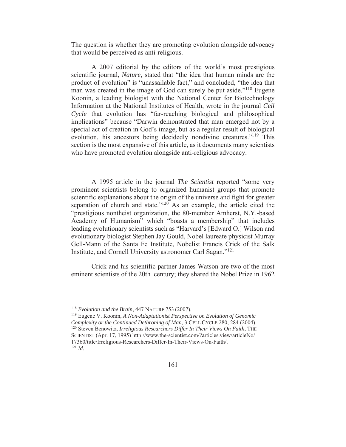The question is whether they are promoting evolution alongside advocacy that would be perceived as anti-religious.

A 2007 editorial by the editors of the world's most prestigious scientific journal, *Nature*, stated that "the idea that human minds are the product of evolution" is "unassailable fact," and concluded, "the idea that man was created in the image of God can surely be put aside."<sup>118</sup> Eugene Koonin, a leading biologist with the National Center for Biotechnology Information at the National Institutes of Health, wrote in the journal Cell Cycle that evolution has "far-reaching biological and philosophical implications" because "Darwin demonstrated that man emerged not by a special act of creation in God's image, but as a regular result of biological evolution, his ancestors being decidedly nondivine creatures."<sup>119</sup> This section is the most expansive of this article, as it documents many scientists who have promoted evolution alongside anti-religious advocacy.

A 1995 article in the journal *The Scientist* reported "some very prominent scientists belong to organized humanist groups that promote scientific explanations about the origin of the universe and fight for greater separation of church and state."<sup>120</sup> As an example, the article cited the "prestigious nontheist organization, the 80-member Amherst, N.Y.-based Academy of Humanism" which "boasts a membership" that includes leading evolutionary scientists such as "Harvard's [Edward O.] Wilson and evolutionary biologist Stephen Jay Gould, Nobel laureate physicist Murray Gell-Mann of the Santa Fe Institute, Nobelist Francis Crick of the Salk Institute, and Cornell University astronomer Carl Sagan."<sup>121</sup>

Crick and his scientific partner James Watson are two of the most eminent scientists of the 20th century; they shared the Nobel Prize in 1962

 $118$  Evolution and the Brain, 447 NATURE 753 (2007).

<sup>&</sup>lt;sup>119</sup> Eugene V. Koonin, A Non-Adaptationist Perspective on Evolution of Genomic Complexity or the Continued Dethroning of Man, 3 CELL CYCLE 280, 284 (2004). <sup>120</sup> Steven Benowitz, Irreligious Researchers Differ In Their Views On Faith, THE SCIENTIST (Apr. 17, 1995) http://www.the-scientist.com/?articles.view/articleNo/ 17360/title/Irreligious-Researchers-Differ-In-Their-Views-On-Faith/.  $^{121}$  *Id.*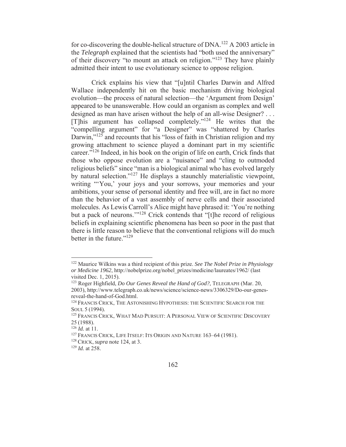for co-discovering the double-helical structure of DNA.<sup>122</sup> A 2003 article in the Telegraph explained that the scientists had "both used the anniversary" of their discovery "to mount an attack on religion."<sup>123</sup> They have plainly admitted their intent to use evolutionary science to oppose religion.

Crick explains his view that "[u]ntil Charles Darwin and Alfred Wallace independently hit on the basic mechanism driving biological evolution—the process of natural selection—the 'Argument from Design' appeared to be unanswerable. How could an organism as complex and well designed as man have arisen without the help of an all-wise Designer? ... [T]his argument has collapsed completely."<sup>124</sup> He writes that the "compelling argument" for "a Designer" was "shattered by Charles" Darwin,"<sup>125</sup> and recounts that his "loss of faith in Christian religion and my growing attachment to science played a dominant part in my scientific career."<sup>126</sup> Indeed, in his book on the origin of life on earth, Crick finds that those who oppose evolution are a "nuisance" and "cling to outmoded religious beliefs" since "man is a biological animal who has evolved largely by natural selection."<sup>127</sup> He displays a staunchly materialistic viewpoint, writing "You,' your joys and your sorrows, your memories and your ambitions, your sense of personal identity and free will, are in fact no more than the behavior of a vast assembly of nerve cells and their associated molecules. As Lewis Carroll's Alice might have phrased it: 'You're nothing but a pack of neurons."<sup>128</sup> Crick contends that "[t]he record of religious beliefs in explaining scientific phenomena has been so poor in the past that there is little reason to believe that the conventional religions will do much better in the future."<sup>129</sup>

 $122$  Maurice Wilkins was a third recipient of this prize. See The Nobel Prize in Physiology or Medicine 1962, http://nobelprize.org/nobel\_prizes/medicine/laureates/1962/ (last visited Dec. 1, 2015).

<sup>&</sup>lt;sup>123</sup> Roger Highfield, *Do Our Genes Reveal the Hand of God?*, TELEGRAPH (Mar. 20, 2003), http://www.telegraph.co.uk/news/science/science-news/3306329/Do-our-genesreveal-the-hand-of-God.html.

<sup>&</sup>lt;sup>124</sup> FRANCIS CRICK. THE ASTONISHING HYPOTHESIS: THE SCIENTIFIC SEARCH FOR THE SOUL 5 (1994).

<sup>&</sup>lt;sup>125</sup> FRANCIS CRICK, WHAT MAD PURSUIT: A PERSONAL VIEW OF SCIENTIFIC DISCOVERY 25 (1988).

 $126$  *Id.* at 11.

<sup>&</sup>lt;sup>127</sup> FRANCIS CRICK, LIFE ITSELF: ITS ORIGIN AND NATURE 163-64 (1981).

 $128$  CRICK, *supra* note 124, at 3.

 $129$  *Id.* at 258.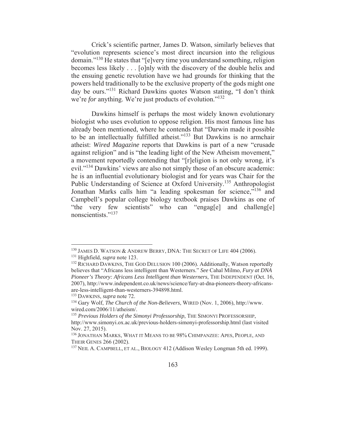Crick's scientific partner, James D. Watson, similarly believes that "evolution represents science's most direct incursion into the religious domain."<sup>130</sup> He states that "[e]very time you understand something, religion becomes less likely . . . [o]nly with the discovery of the double helix and the ensuing genetic revolution have we had grounds for thinking that the powers held traditionally to be the exclusive property of the gods might one day be ours."<sup>131</sup> Richard Dawkins quotes Watson stating, "I don't think we're for anything. We're just products of evolution."<sup>132</sup>

Dawkins himself is perhaps the most widely known evolutionary biologist who uses evolution to oppose religion. His most famous line has already been mentioned, where he contends that "Darwin made it possible to be an intellectually fulfilled atheist."<sup>133</sup> But Dawkins is no armchair atheist: Wired Magazine reports that Dawkins is part of a new "crusade" against religion" and is "the leading light of the New Atheism movement," a movement reportedly contending that "[r]eligion is not only wrong, it's evil."<sup>134</sup> Dawkins' views are also not simply those of an obscure academic: he is an influential evolutionary biologist and for years was Chair for the Public Understanding of Science at Oxford University.<sup>135</sup> Anthropologist Jonathan Marks calls him "a leading spokesman for science,"<sup>136</sup> and Campbell's popular college biology textbook praises Dawkins as one of "the very few scientists" who can "engag[e] and challeng[e] nonscientists."<sup>137</sup>

<sup>&</sup>lt;sup>130</sup> JAMES D. WATSON & ANDREW BERRY, DNA: THE SECRET OF LIFE 404 (2006).

<sup>&</sup>lt;sup>131</sup> Highfield, *supra* note 123.

<sup>&</sup>lt;sup>132</sup> RICHARD DAWKINS, THE GOD DELUSION 100 (2006). Additionally, Watson reportedly believes that "Africans less intelligent than Westerners." See Cahal Milmo, Fury at DNA Pioneer's Theory: Africans Less Intelligent than Westerners, THE INDEPENDENT (Oct. 16, 2007), http://www.independent.co.uk/news/science/fury-at-dna-pioneers-theory-africansare-less-intelligent-than-westerners-394898.html.

<sup>&</sup>lt;sup>133</sup> DAWKINS, *supra* note 72.

<sup>&</sup>lt;sup>134</sup> Gary Wolf, *The Church of the Non-Believers*, WIRED (Nov. 1, 2006), http://www. wired.com/2006/11/atheism/.

<sup>&</sup>lt;sup>135</sup> Previous Holders of the Simonyi Professorship, THE SIMONYI PROFESSORSHIP, http://www.simonyi.ox.ac.uk/previous-holders-simonyi-professorship.html (last visited Nov. 27, 2015).

<sup>&</sup>lt;sup>136</sup> JONATHAN MARKS, WHAT IT MEANS TO BE 98% CHIMPANZEE: APES, PEOPLE, AND THEIR GENES 266 (2002).

<sup>&</sup>lt;sup>137</sup> NEIL A. CAMPBELL, ET AL., BIOLOGY 412 (Addison Wesley Longman 5th ed. 1999).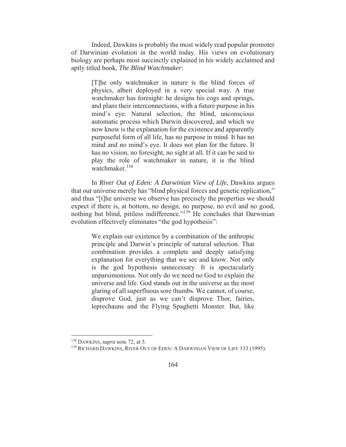Indeed, Dawkins is probably the most widely read popular promoter of Darwinian evolution in the world today. His views on evolutionary biology are perhaps most succinctly explained in his widely acclaimed and aptly titled book, The Blind Watchmaker:

[T]he only watchmaker in nature is the blind forces of physics, albeit deployed in a very special way. A true watchmaker has foresight: he designs his cogs and springs, and plans their interconnections, with a future purpose in his mind's eye. Natural selection, the blind, unconscious automatic process which Darwin discovered, and which we now know is the explanation for the existence and apparently purposeful form of all life, has no purpose in mind. It has no mind and no mind's eye. It does not plan for the future. It has no vision, no foresight, no sight at all. If it can be said to play the role of watchmaker in nature, it is the blind watchmaker.<sup>138</sup>

In River Out of Eden: A Darwinian View of Life, Dawkins argues that our universe merely has "blind physical forces and genetic replication," and thus "[t] he universe we observe has precisely the properties we should expect if there is, at bottom, no design, no purpose, no evil and no good, nothing but blind, pitiless indifference."<sup>139</sup> He concludes that Darwinian evolution effectively eliminates "the god hypothesis":

We explain our existence by a combination of the anthropic principle and Darwin's principle of natural selection. That combination provides a complete and deeply satisfying explanation for everything that we see and know. Not only is the god hypothesis unnecessary. It is spectacularly unparsimonious. Not only do we need no God to explain the universe and life. God stands out in the universe as the most glaring of all superfluous sore thumbs. We cannot, of course, disprove God, just as we can't disprove Thor, fairies, leprechauns and the Flying Spaghetti Monster. But, like

<sup>&</sup>lt;sup>138</sup> DAWKINS, *supra* note 72, at 5.

<sup>&</sup>lt;sup>139</sup> RICHARD DAWKINS, RIVER OUT OF EDEN: A DARWINIAN VIEW OF LIFE 133 (1995).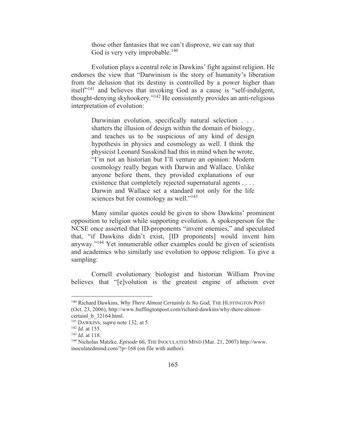those other fantasies that we can't disprove, we can say that God is very very improbable.<sup>140</sup>

Evolution plays a central role in Dawkins' fight against religion. He endorses the view that "Darwinism is the story of humanity's liberation from the delusion that its destiny is controlled by a power higher than itself<sup>"141</sup> and believes that invoking God as a cause is "self-indulgent, thought-denying skyhookery."<sup>142</sup> He consistently provides an anti-religious interpretation of evolution:

Darwinian evolution, specifically natural selection . . . shatters the illusion of design within the domain of biology, and teaches us to be suspicious of any kind of design hypothesis in physics and cosmology as well. I think the physicist Leonard Susskind had this in mind when he wrote, "I'm not an historian but I'll venture an opinion: Modern cosmology really began with Darwin and Wallace. Unlike anyone before them, they provided explanations of our existence that completely rejected supernatural agents . . . . Darwin and Wallace set a standard not only for the life sciences but for cosmology as well."<sup>143</sup>

Many similar quotes could be given to show Dawkins' prominent opposition to religion while supporting evolution. A spokesperson for the NCSE once asserted that ID-proponents "invent enemies," and speculated that, "if Dawkins didn't exist. [ID proponents] would invent him anyway."<sup>144</sup> Yet innumerable other examples could be given of scientists and academics who similarly use evolution to oppose religion. To give a sampling:

Cornell evolutionary biologist and historian William Provine believes that "[e] volution is the greatest engine of atheism ever

<sup>&</sup>lt;sup>140</sup> Richard Dawkins, Why There Almost Certainly Is No God, THE HUFFINGTON POST (Oct. 23, 2006), http://www.huffingtonpost.com/richard-dawkins/why-there-almostcertainl b 32164.html.

<sup>&</sup>lt;sup>141</sup> DAWKINS, *supra* note 132, at 5.

 $142$  *Id.* at 155.

 $143$  *Id.* at 118.

<sup>144</sup> Nicholas Matzke, Episode 66, THE INOCULATED MIND (Mar. 21, 2007) http://www. inoculated mind.com/? $p=168$  (on file with author).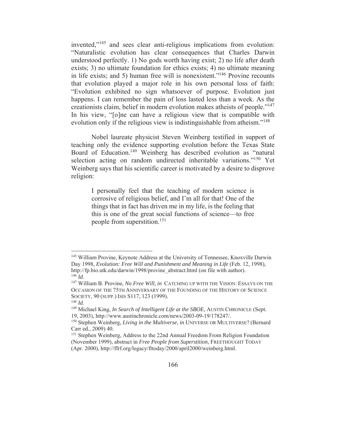invented,"<sup>145</sup> and sees clear anti-religious implications from evolution: "Naturalistic evolution has clear consequences that Charles Darwin understood perfectly. 1) No gods worth having exist; 2) no life after death exists; 3) no ultimate foundation for ethics exists; 4) no ultimate meaning in life exists; and 5) human free will is nonexistent."<sup>146</sup> Provine recounts that evolution played a major role in his own personal loss of faith: "Evolution exhibited no sign whatsoever of purpose. Evolution just happens. I can remember the pain of loss lasted less than a week. As the creationists claim, belief in modern evolution makes atheists of people."<sup>147</sup> In his view, "[o]ne can have a religious view that is compatible with evolution only if the religious view is indistinguishable from atheism."<sup>148</sup>

Nobel laureate physicist Steven Weinberg testified in support of teaching only the evidence supporting evolution before the Texas State Board of Education.<sup>149</sup> Weinberg has described evolution as "natural selection acting on random undirected inheritable variations."<sup>150</sup> Yet Weinberg says that his scientific career is motivated by a desire to disprove religion:

I personally feel that the teaching of modern science is corrosive of religious belief, and I'm all for that! One of the things that in fact has driven me in my life, is the feeling that this is one of the great social functions of science—to free people from superstition.<sup>151</sup>

<sup>&</sup>lt;sup>145</sup> William Provine, Keynote Address at the University of Tennessee, Knoxville Darwin Day 1998, Evolution: Free Will and Punishment and Meaning in Life (Feb. 12, 1998), http://fp.bio.utk.edu/darwin/1998/provine abstract.html (on file with author).  $^{146}$  Id.

<sup>&</sup>lt;sup>147</sup> William B. Provine, No Free Will, in CATCHING UP WITH THE VISION: ESSAYS ON THE OCCASION OF THE 75TH ANNIVERSARY OF THE FOUNDING OF THE HISTORY OF SCIENCE SOCIETY, 90 (SUPP.) ISIS S117, 123 (1999).

 $148$  *Id.* 

<sup>&</sup>lt;sup>149</sup> Michael King, *In Search of Intelligent Life at the SBOE*, AUSTIN CHRONICLE (Sept. 19, 2003), http://www.austinchronicle.com/news/2003-09-19/178247/.

<sup>&</sup>lt;sup>150</sup> Stephen Weinberg, Living in the Multiverse, in UNIVERSE OR MULTIVERSE? (Bernard Carr ed., 2009) 40.

<sup>&</sup>lt;sup>151</sup> Stephen Weinberg, Address to the 22nd Annual Freedom From Religion Foundation (November 1999), abstract in Free People from Superstition, FREETHOUGHT TODAY (Apr. 2000), http://ffrf.org/legacy/fttoday/2000/april2000/weinberg.html.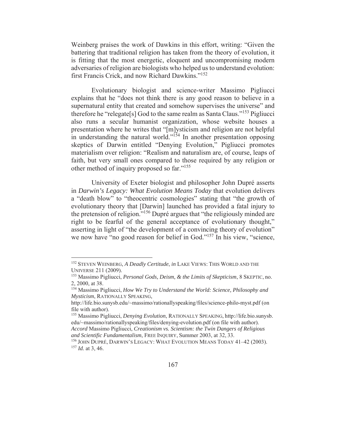Weinberg praises the work of Dawkins in this effort, writing: "Given the battering that traditional religion has taken from the theory of evolution, it is fitting that the most energetic, eloquent and uncompromising modern adversaries of religion are biologists who helped us to understand evolution: first Francis Crick, and now Richard Dawkins."<sup>152</sup>

Evolutionary biologist and science-writer Massimo Pigliucci explains that he "does not think there is any good reason to believe in a supernatural entity that created and somehow supervises the universe" and therefore he "relegate[s] God to the same realm as Santa Claus."<sup>153</sup> Pigliucci also runs a secular humanist organization, whose website houses a presentation where he writes that "[m]ysticism and religion are not helpful in understanding the natural world."<sup>154</sup> In another presentation opposing skeptics of Darwin entitled "Denying Evolution," Pigliucci promotes materialism over religion: "Realism and naturalism are, of course, leaps of faith, but very small ones compared to those required by any religion or other method of inquiry proposed so far."<sup>155</sup>

University of Exeter biologist and philosopher John Dupré asserts in Darwin's Legacy: What Evolution Means Today that evolution delivers a "death blow" to "theocentric cosmologies" stating that "the growth of evolutionary theory that [Darwin] launched has provided a fatal injury to the pretension of religion."<sup>156</sup> Dupré argues that "the religiously minded are right to be fearful of the general acceptance of evolutionary thought," asserting in light of "the development of a convincing theory of evolution" we now have "no good reason for belief in God."<sup>157</sup> In his view, "science,

<sup>&</sup>lt;sup>152</sup> STEVEN WEINBERG, A Deadly Certitude, in LAKE VIEWS: THIS WORLD AND THE **UNIVERSE 211 (2009).** 

<sup>153</sup> Massimo Pigliucci, Personal Gods, Deism, & the Limits of Skepticism, 8 SKEPTIC, no. 2, 2000, at 38.

<sup>&</sup>lt;sup>154</sup> Massimo Pigliucci, *How We Try to Understand the World: Science, Philosophy and* Mysticism, RATIONALLY SPEAKING,

http://life.bio.sunysb.edu/~massimo/rationallyspeaking/files/science-philo-myst.pdf (on file with author).

<sup>155</sup> Massimo Pigliucci, Denying Evolution, RATIONALLY SPEAKING, http://life.bio.sunysb. edu/~massimo/rationallyspeaking/files/denying-evolution.pdf (on file with author).

Accord Massimo Pigliucci, Creationism vs. Scientism: the Twin Dangers of Religious and Scientific Fundamentalism, FREE INQUIRY, Summer 2003, at 32, 33.

<sup>&</sup>lt;sup>156</sup> JOHN DUPRÉ, DARWIN'S LEGACY: WHAT EVOLUTION MEANS TODAY 41-42 (2003).  $157$  *Id.* at 3, 46.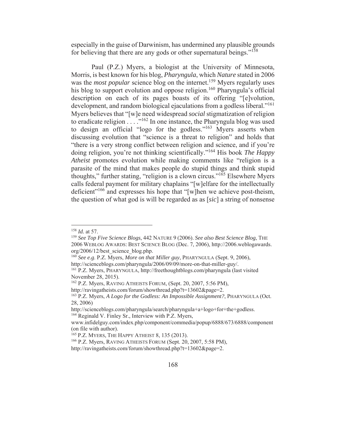especially in the guise of Darwinism, has undermined any plausible grounds for believing that there are any gods or other supernatural beings."<sup>158</sup>

Paul (P.Z.) Myers, a biologist at the University of Minnesota, Morris, is best known for his blog, *Pharyngula*, which *Nature* stated in 2006 was the *most popular* science blog on the internet.<sup>159</sup> Myers regularly uses his blog to support evolution and oppose religion.<sup>160</sup> Pharyngula's official description on each of its pages boasts of its offering "[e]volution, development, and random biological ejaculations from a godless liberal."<sup>161</sup> Myers believes that "[w]e need widespread *social* stigmatization of religion to eradicate religion . . . . "162 In one instance, the Pharyngula blog was used to design an official "logo for the godless."<sup>163</sup> Myers asserts when discussing evolution that "science is a threat to religion" and holds that "there is a very strong conflict between religion and science, and if you're doing religion, you're not thinking scientifically."<sup>164</sup> His book The Happy Atheist promotes evolution while making comments like "religion is a parasite of the mind that makes people do stupid things and think stupid thoughts," further stating, "religion is a clown circus."<sup>165</sup> Elsewhere Myers calls federal payment for military chaplains "[w] elfare for the intellectually deficient<sup>"166</sup> and expresses his hope that "[w]hen we achieve post-theism, the question of what god is will be regarded as as [sic] a string of nonsense

 $158$  *Id.* at 57.

<sup>&</sup>lt;sup>159</sup> See Top Five Science Blogs, 442 NATURE 9 (2006). See also Best Science Blog, THE 2006 WEBLOG AWARDS: BEST SCIENCE BLOG (Dec. 7, 2006), http://2006.weblogawards. org/2006/12/best science blog.php.

<sup>&</sup>lt;sup>160</sup> See e.g. P.Z. Myers, More on that Miller guy, PHARYNGULA (Sept. 9, 2006),

http://scienceblogs.com/pharyngula/2006/09/09/more-on-that-miller-guy/.

<sup>&</sup>lt;sup>161</sup> P.Z. Myers, PHARYNGULA, http://freethoughtblogs.com/pharyngula (last visited November 28, 2015).

 $162$  P.Z. Myers, RAVING ATHEISTS FORUM. (Sept. 20, 2007, 5:56 PM).

http://ravingatheists.com/forum/showthread.php?t=13602&page=2.

<sup>&</sup>lt;sup>163</sup> P.Z. Myers, A Logo for the Godless: An Impossible Assignment?, PHARYNGULA (Oct. 28.2006)

http://scienceblogs.com/pharyngula/search/pharyngula+a+logo+for+the+godless. <sup>164</sup> Reginald V. Finley Sr., Interview with P.Z. Myers,

www.infidelguy.com/index.php/component/commedia/popup/6888/673/6888/component (on file with author).

<sup>&</sup>lt;sup>165</sup> P.Z. MYERS, THE HAPPY ATHEIST 8, 135 (2013).

<sup>&</sup>lt;sup>166</sup> P.Z. Myers, RAVING ATHEISTS FORUM (Sept. 20, 2007, 5:58 PM),

http://ravingatheists.com/forum/showthread.php?t=13602&page=2.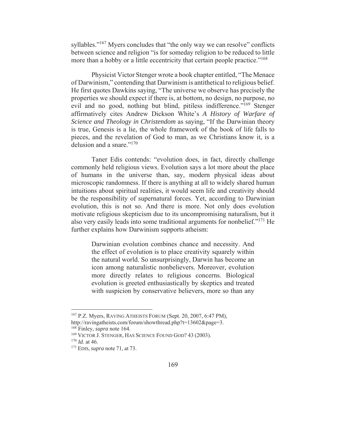syllables."<sup>167</sup> Myers concludes that "the only way we can resolve" conflicts between science and religion "is for someday religion to be reduced to little more than a hobby or a little eccentricity that certain people practice."<sup>168</sup>

Physicist Victor Stenger wrote a book chapter entitled, "The Menace" of Darwinism," contending that Darwinism is antithetical to religious belief. He first quotes Dawkins saying, "The universe we observe has precisely the properties we should expect if there is, at bottom, no design, no purpose, no evil and no good, nothing but blind, pitiless indifference."<sup>169</sup> Stenger affirmatively cites Andrew Dickson White's A History of Warfare of Science and Theology in Christendom as saying, "If the Darwinian theory is true, Genesis is a lie, the whole framework of the book of life falls to pieces, and the revelation of God to man, as we Christians know it, is a delusion and a snare." $170$ 

Taner Edis contends: "evolution does, in fact, directly challenge commonly held religious views. Evolution says a lot more about the place of humans in the universe than, say, modern physical ideas about microscopic randomness. If there is anything at all to widely shared human intuitions about spiritual realities, it would seem life and creativity should be the responsibility of supernatural forces. Yet, according to Darwinian evolution, this is not so. And there is more. Not only does evolution motivate religious skepticism due to its uncompromising naturalism, but it also very easily leads into some traditional arguments for nonbelief."<sup>171</sup> He further explains how Darwinism supports atheism:

Darwinian evolution combines chance and necessity. And the effect of evolution is to place creativity squarely within the natural world. So unsurprisingly, Darwin has become an icon among naturalistic nonbelievers. Moreover, evolution more directly relates to religious concerns. Biological evolution is greeted enthusiastically by skeptics and treated with suspicion by conservative believers, more so than any

<sup>&</sup>lt;sup>167</sup> P.Z. Myers, RAVING ATHEISTS FORUM (Sept. 20, 2007, 6:47 PM), http://ravingatheists.com/forum/showthread.php?t=13602&page=3.

<sup>&</sup>lt;sup>168</sup> Finley, *supra* note 164.

<sup>&</sup>lt;sup>169</sup> VICTOR J. STENGER, HAS SCIENCE FOUND GOD? 43 (2003).

 $170$  *Id.* at 46.

 $171$  EDIS, *supra* note 71, at 73.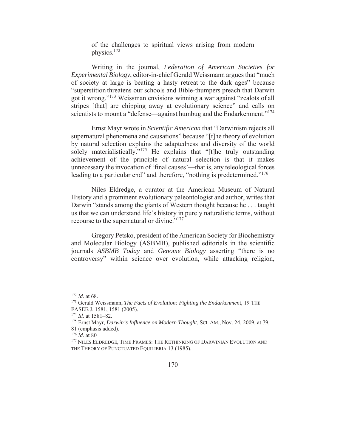of the challenges to spiritual views arising from modern physics.<sup>172</sup>

Writing in the journal, Federation of American Societies for *Experimental Biology*, editor-in-chief Gerald Weissmann argues that "much" of society at large is beating a hasty retreat to the dark ages" because "superstition threatens our schools and Bible-thumpers preach that Darwin got it wrong."<sup>173</sup> Weissman envisions winning a war against "zealots of all stripes [that] are chipping away at evolutionary science" and calls on scientists to mount a "defense—against humbug and the Endarkenment."<sup>174</sup>

Ernst Mayr wrote in Scientific American that "Darwinism rejects all supernatural phenomena and causations" because "[t] he theory of evolution by natural selection explains the adaptedness and diversity of the world solely materialistically."<sup>175</sup> He explains that "[t]he truly outstanding achievement of the principle of natural selection is that it makes unnecessary the invocation of 'final causes'—that is, any teleological forces leading to a particular end" and therefore, "nothing is predetermined."<sup>176</sup>

Niles Eldredge, a curator at the American Museum of Natural History and a prominent evolutionary paleontologist and author, writes that Darwin "stands among the giants of Western thought because he . . . taught us that we can understand life's history in purely naturalistic terms, without recourse to the supernatural or divine."<sup>177</sup>

Gregory Petsko, president of the American Society for Biochemistry and Molecular Biology (ASBMB), published editorials in the scientific journals ASBMB Today and Genome Biology asserting "there is no controversy" within science over evolution, while attacking religion,

 $172$  *Id.* at 68.

<sup>&</sup>lt;sup>173</sup> Gerald Weissmann, *The Facts of Evolution: Fighting the Endarkenment*, 19 THE FASEB J. 1581, 1581 (2005).

 $174$  *Id.* at 1581-82.

<sup>&</sup>lt;sup>175</sup> Ernst Mayr, Darwin's Influence on Modern Thought, SCI. AM., Nov. 24, 2009, at 79,

<sup>81 (</sup>emphasis added).

 $176$  *Id.* at 80

<sup>&</sup>lt;sup>177</sup> NILES ELDREDGE, TIME FRAMES: THE RETHINKING OF DARWINIAN EVOLUTION AND THE THEORY OF PUNCTUATED EQUILIBRIA 13 (1985).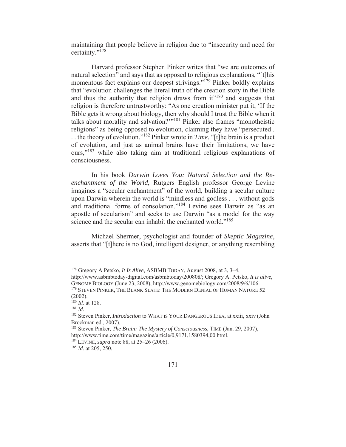maintaining that people believe in religion due to "insecurity and need for certainty."178

Harvard professor Stephen Pinker writes that "we are outcomes of natural selection" and says that as opposed to religious explanations, "[t]his momentous fact explains our deepest strivings."<sup>179</sup> Pinker boldly explains that "evolution challenges the literal truth of the creation story in the Bible and thus the authority that religion draws from it"<sup>180</sup> and suggests that religion is therefore untrustworthy: "As one creation minister put it, 'If the Bible gets it wrong about biology, then why should I trust the Bible when it talks about morality and salvation?"<sup>181</sup> Pinker also frames "monotheistic religions" as being opposed to evolution, claiming they have "persecuted. .. the theory of evolution."<sup>182</sup> Pinker wrote in *Time*, "[t] he brain is a product of evolution, and just as animal brains have their limitations, we have ours,"<sup>183</sup> while also taking aim at traditional religious explanations of consciousness.

In his book Darwin Loves You: Natural Selection and the Reenchantment of the World, Rutgers English professor George Levine imagines a "secular enchantment" of the world, building a secular culture upon Darwin wherein the world is "mindless and godless . . . without gods and traditional forms of consolation."<sup>184</sup> Levine sees Darwin as "as an apostle of secularism" and seeks to use Darwin "as a model for the way science and the secular can inhabit the enchanted world."<sup>185</sup>

Michael Shermer, psychologist and founder of Skeptic Magazine, asserts that "[t] here is no God, intelligent designer, or anything resembling

http://www.time.com/time/magazine/article/0,9171,1580394,00.html.  $184$  LEVINE, *supra* note 88, at 25–26 (2006).

<sup>&</sup>lt;sup>178</sup> Gregory A Petsko, *It Is Alive*, ASBMB TODAY, August 2008, at 3, 3–4,

http://www.asbmbtoday-digital.com/asbmbtoday/200808/; Gregory A. Petsko, It is alive, GENOME BIOLOGY (June 23, 2008), http://www.genomebiology.com/2008/9/6/106. <sup>179</sup> STEVEN PINKER, THE BLANK SLATE: THE MODERN DENIAL OF HUMAN NATURE 52

 $(2002)$ .<br><sup>180</sup> *Id.* at 128.

 $181$  *Id.* 

<sup>&</sup>lt;sup>182</sup> Steven Pinker, *Introduction* to WHAT IS YOUR DANGEROUS IDEA, at xxiii, xxiv (John Brockman ed., 2007).

<sup>&</sup>lt;sup>183</sup> Steven Pinker, *The Brain: The Mystery of Consciousness*, TIME (Jan. 29, 2007),

 $185$  *Id.* at 205, 250.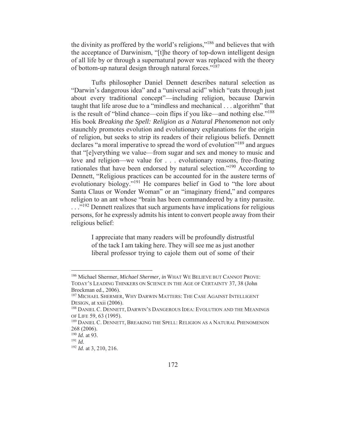the divinity as proffered by the world's religions,"<sup>186</sup> and believes that with the acceptance of Darwinism, "[t]he theory of top-down intelligent design of all life by or through a supernatural power was replaced with the theory of bottom-up natural design through natural forces."<sup>187</sup>

Tufts philosopher Daniel Dennett describes natural selection as "Darwin's dangerous idea" and a "universal acid" which "eats through just" about every traditional concept"-including religion, because Darwin taught that life arose due to a "mindless and mechanical . . . algorithm" that is the result of "blind chance—coin flips if you like—and nothing else."<sup>188</sup> His book Breaking the Spell: Religion as a Natural Phenomenon not only staunchly promotes evolution and evolutionary explanations for the origin of religion, but seeks to strip its readers of their religious beliefs. Dennett declares "a moral imperative to spread the word of evolution"<sup>189</sup> and argues that "[e]verything we value—from sugar and sex and money to music and love and religion—we value for . . . evolutionary reasons, free-floating rationales that have been endorsed by natural selection."<sup>190</sup> According to Dennett, "Religious practices can be accounted for in the austere terms of evolutionary biology."<sup>191</sup> He compares belief in God to "the lore about Santa Claus or Wonder Woman" or an "imaginary friend," and compares religion to an ant whose "brain has been commandeered by a tiny parasite.  $\ldots$ <sup>192</sup> Dennett realizes that such arguments have implications for religious persons, for he expressly admits his intent to convert people away from their religious belief:

I appreciate that many readers will be profoundly distrustful of the tack I am taking here. They will see me as just another liberal professor trying to cajole them out of some of their

<sup>186</sup> Michael Shermer, Michael Shermer, in WHAT WE BELIEVE BUT CANNOT PROVE: TODAY'S LEADING THINKERS ON SCIENCE IN THE AGE OF CERTAINTY 37, 38 (John Brockman ed., 2006).

<sup>&</sup>lt;sup>187</sup> MICHAEL SHERMER, WHY DARWIN MATTERS: THE CASE AGAINST INTELLIGENT DESIGN, at xxii (2006).

<sup>&</sup>lt;sup>188</sup> DANIEL C. DENNETT, DARWIN'S DANGEROUS IDEA: EVOLUTION AND THE MEANINGS OF LIFE 59, 63 (1995).

<sup>&</sup>lt;sup>189</sup> DANIEL C. DENNETT, BREAKING THE SPELL: RELIGION AS A NATURAL PHENOMENON 268 (2006).

 $190$  *Id.* at 93.

 $191$  *Id.* 

 $192$  *Id.* at 3, 210, 216.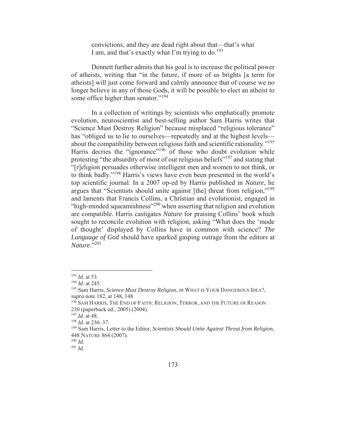convictions, and they are dead right about that—that's what I am, and that's exactly what I'm trying to do.<sup>193</sup>

Dennett further admits that his goal is to increase the political power of atheists, writing that "in the future, if more of us brights [a term for atheists] will just come forward and calmly announce that of course we no longer believe in any of those Gods, it will be possible to elect an atheist to some office higher than senator."<sup>194</sup>

In a collection of writings by scientists who emphatically promote evolution, neuroscientist and best-selling author Sam Harris writes that "Science Must Destroy Religion" because misplaced "religious tolerance" has "obliged us to lie to ourselves—repeatedly and at the highest levels about the compatibility between religious faith and scientific rationality."<sup>195</sup> Harris decries the "ignorance"<sup>196</sup> of those who doubt evolution while protesting "the absurdity of most of our religious beliefs"<sup>197</sup> and stating that "[r]eligion persuades otherwise intelligent men and women to not think, or to think badly."<sup>198</sup> Harris's views have even been presented in the world's top scientific journal. In a 2007 op-ed by Harris published in Nature, he argues that "Scientists should unite against [the] threat from religion,"<sup>199</sup> and laments that Francis Collins, a Christian and evolutionist, engaged in "high-minded squeamishness"<sup>200</sup> when asserting that religion and evolution are compatible. Harris castigates Nature for praising Collins' book which sought to reconcile evolution with religion, asking "What does the 'mode of thought' displayed by Collins have in common with science? The *Language of God* should have sparked gasping outrage from the editors at Nature."201

 $193$  *Id.* at 53.

 $194$  *Id.* at 245.

<sup>&</sup>lt;sup>195</sup> Sam Harris, *Science Must Destroy Religion*, *in* WHAT IS YOUR DANGEROUS IDEA?, supra note 182, at 148, 148.

<sup>&</sup>lt;sup>196</sup> SAM HARRIS, THE END OF FAITH: RELIGION, TERROR, AND THE FUTURE OF REASON 230 (paperback ed., 2005) (2004).

 $197$  *Id.* at 48.

 $198$  *Id.* at 236–37.

<sup>&</sup>lt;sup>199</sup> Sam Harris, Letter to the Editor, Scientists Should Unite Against Threat from Religion, 448 NATURE 864 (2007).

 $200$  *Id.*  $201$  *Id*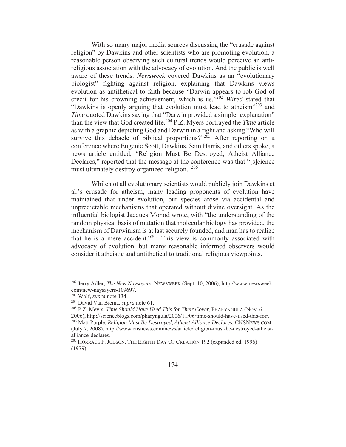With so many major media sources discussing the "crusade against" religion" by Dawkins and other scientists who are promoting evolution, a reasonable person observing such cultural trends would perceive an antireligious association with the advocacy of evolution. And the public is well aware of these trends. Newsweek covered Dawkins as an "evolutionary" biologist" fighting against religion, explaining that Dawkins views evolution as antithetical to faith because "Darwin appears to rob God of credit for his crowning achievement, which is us."202 Wired stated that "Dawkins is openly arguing that evolution must lead to atheism"<sup>203</sup> and *Time* quoted Dawkins saying that "Darwin provided a simpler explanation" than the view that God created life.<sup>204</sup> P.Z. Myers portrayed the *Time* article as with a graphic depicting God and Darwin in a fight and asking "Who will survive this debacle of biblical proportions?"205 After reporting on a conference where Eugenie Scott, Dawkins, Sam Harris, and others spoke, a news article entitled, "Religion Must Be Destroyed, Atheist Alliance Declares," reported that the message at the conference was that "[s]cience must ultimately destroy organized religion."206

While not all evolutionary scientists would publicly join Dawkins et al.'s crusade for atheism, many leading proponents of evolution have maintained that under evolution, our species arose via accidental and unpredictable mechanisms that operated without divine oversight. As the influential biologist Jacques Monod wrote, with "the understanding of the random physical basis of mutation that molecular biology has provided, the mechanism of Darwinism is at last securely founded, and man has to realize that he is a mere accident."207 This view is commonly associated with advocacy of evolution, but many reasonable informed observers would consider it atheistic and antithetical to traditional religious viewpoints.

<sup>&</sup>lt;sup>202</sup> Jerry Adler, *The New Naysayers*, NEWSWEEK (Sept. 10, 2006), http://www.newsweek. com/new-naysayers-109697.

<sup>&</sup>lt;sup>203</sup> Wolf, *supra* note 134.

<sup>&</sup>lt;sup>204</sup> David Van Biema, *supra* note 61.

<sup>&</sup>lt;sup>205</sup> P.Z. Meyrs, *Time Should Have Used This for Their Cover*, PHARYNGULA (NOV. 6, 2006), http://scienceblogs.com/pharyngula/2006/11/06/time-should-have-used-this-for/. <sup>206</sup> Matt Purple, Religion Must Be Destroyed, Atheist Alliance Declares, CNSNEWS.COM (July 7, 2008), http://www.cnsnews.com/news/article/religion-must-be-destroyed-atheistalliance-declares.

<sup>&</sup>lt;sup>207</sup> HORRACE F. JUDSON, THE EIGHTH DAY OF CREATION 192 (expanded ed. 1996)  $(1979).$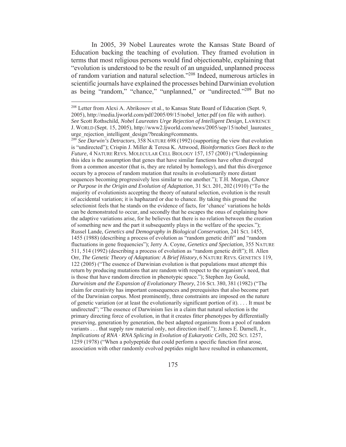In 2005, 39 Nobel Laureates wrote the Kansas State Board of Education backing the teaching of evolution. They framed evolution in terms that most religious persons would find objectionable, explaining that "evolution is understood to be the result of an unguided, unplanned process of random variation and natural selection."<sup>208</sup> Indeed, numerous articles in scientific journals have explained the processes behind Darwinian evolution as being "random," "chance," "unplanned," or "undirected."<sup>209</sup> But no

<sup>&</sup>lt;sup>208</sup> Letter from Alexi A. Abrikosov et al., to Kansas State Board of Education (Sept. 9, 2005), http://media.liworld.com/pdf/2005/09/15/nobel letter.pdf (on file with author). See Scott Rothschild, Nobel Laureates Urge Rejection of Intelligent Design, LAWRENCE J. WORLD (Sept. 15, 2005), http://www2.ljworld.com/news/2005/sep/15/nobel laureates urge rejection intelligent design/?breaking#comments.

 $^{209}$  See Darwin's Detractors, 358 NATURE 698 (1992) (supporting the view that evolution is "undirected"); Crispin J. Miller & Teresa K. Attwood, Bioinformatics Goes Back to the *Future*, 4 NATURE REVS. MOLECULAR CELL BIOLOGY 157, 157 (2003) ("Underpinning this idea is the assumption that genes that have similar functions have often diverged from a common ancestor (that is, they are related by homology), and that this divergence occurs by a process of random mutation that results in evolutionarily more distant sequences becoming progressively less similar to one another."); T.H. Morgan, *Chance* or Purpose in the Origin and Evolution of Adaptation, 31 SCI. 201, 202 (1910) ("To the majority of evolutionists accepting the theory of natural selection, evolution is the result of accidental variation; it is haphazard or due to chance. By taking this ground the selectionist feels that he stands on the evidence of facts, for 'chance' variations he holds can be demonstrated to occur, and secondly that he escapes the onus of explaining how the adaptive variations arise, for he believes that there is no relation between the creation of something new and the part it subsequently plays in the welfare of the species."); Russel Lande, Genetics and Demography in Biological Conservation, 241 SCI, 1455, 1455 (1988) (describing a process of evolution as "random genetic drift" and "random fluctuations in gene frequencies"); Jerry A. Coyne, *Genetics and Speciation*, 355 NATURE 511, 514 (1992) (describing a process of evolution as "random genetic drift"); H. Allen Orr, The Genetic Theory of Adaptation: A Brief History, 6 NATURE REVS. GENETICS 119, 122 (2005) ("The essence of Darwinian evolution is that populations must attempt this return by producing mutations that are random with respect to the organism's need, that is those that have random direction in phenotypic space."); Stephen Jay Gould, Darwinism and the Expansion of Evolutionary Theory, 216 SCI. 380, 381 (1982) ("The claim for creativity has important consequences and prerequisites that also become part of the Darwinian corpus. Most prominently, three constraints are imposed on the nature of genetic variation (or at least the evolutionarily significant portion of it).... It must be undirected"; "The essence of Darwinism lies in a claim that natural selection is the primary directing force of evolution, in that it creates fitter phenotypes by differentially preserving, generation by generation, the best adapted organisms from a pool of random variants . . . that supply raw material only, not direction itself."); James E. Darnell, Jr., Implications of RNA · RNA Splicing in Evolution of Eukaryotic Cells, 202 SCI. 1257, 1259 (1978) ("When a polypeptide that could perform a specific function first arose, association with other randomly evolved peptides might have resulted in enhancement,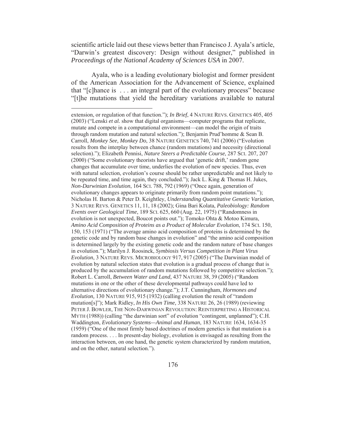scientific article laid out these views better than Francisco J. Ayala's article, "Darwin's greatest discovery: Design without designer," published in *Proceedings of the National Academy of Sciences USA* in 2007.

Ayala, who is a leading evolutionary biologist and former president of the American Association for the Advancement of Science, explained that " $[c]$  hance is ... an integral part of the evolutionary process" because "[t]he mutations that yield the hereditary variations available to natural

extension, or regulation of that function."); *In Brief*, 4 NATURE REVS, GENETICS 405, 405 (2003) ("Lenski et al. show that digital organisms—computer programs that replicate, mutate and compete in a computational environment—can model the origin of traits through random mutation and natural selection."); Benjamin Prud'homme  $&$  Sean B. Carroll, Monkey See, Monkey Do, 38 NATURE GENETICS 740, 741 (2006) ("Evolution results from the interplay between chance (random mutations) and necessity (directional selection)."); Elizabeth Pennisi, *Nature Steers a Predictable Course*, 287 ScI. 207, 207 (2000) ("Some evolutionary theorists have argued that 'genetic drift,' random gene changes that accumulate over time, underlies the evolution of new species. Thus, even with natural selection, evolution's course should be rather unpredictable and not likely to be repeated time, and time again, they concluded."); Jack L. King & Thomas H. Jukes, *Non-Darwinian Evolution*, 164 SCI. 788, 792 (1969) ("Once again, generation of evolutionary changes appears to originate primarily from random point mutations."); Nicholas H. Barton & Peter D. Keightley, Understanding Quantitative Genetic Variation, 3 NATURE REVS. GENETICS 11, 11, 18 (2002); Gina Bari Kolata, *Paleobiology: Random Events over Geological Time, 189 SCI, 625, 660 (Aug. 22, 1975) ("Randomness in* evolution is not unexpected, Boucot points out."); Tomoko Ohta & Motoo Kimura, *Amino Acid Composition of Proteins as a Product of Molecular Evolution.* 174 SCI. 150, 150, 153 (1971) ("The average amino acid composition of proteins is determined by the genetic code and by random base changes in evolution" and "the amino acid composition is determined largely by the existing genetic code and the random nature of base changes in evolution."); Marilyn J. Roosinck, Symbiosis Versus Competition in Plant Virus *Evolution*, 3 NATURE REVS. MICROBIOLOGY 917, 917 (2005) ("The Darwinian model of evolution by natural selection states that evolution is a gradual process of change that is produced by the accumulation of random mutations followed by competitive selection."); Robert L. Carroll, *Between Water and Land*, 437 NATURE 38, 39 (2005) ("Random mutations in one or the other of these developmental pathways could have led to alternative directions of evolutionary change."); J.T. Cunningham, *Hormones and Evolution,* 130 NATURE 915, 915 (1932) (calling evolution the result of "random" mutation[s]"); Mark Ridley, *In His Own Time*, 338 NATURE 26, 26 (1989) (reviewing PETER J. BOWLER, THE NON-DARWINIAN REVOLUTION: REINTERPRETING A HISTORICAL MYTH (1988)) (calling "the darwinian sort" of evolution "contingent, unplanned"); C.H. Waddington, Evolutionary Systems-Animal and Human, 183 NATURE 1634, 1634-35  $(1959)$  ("One of the most firmly based doctrines of modern genetics is that mutation is a random process.... In present-day biology, evolution is envisaged as resulting from the interaction between, on one hand, the genetic system characterized by random mutation, and on the other, natural selection.").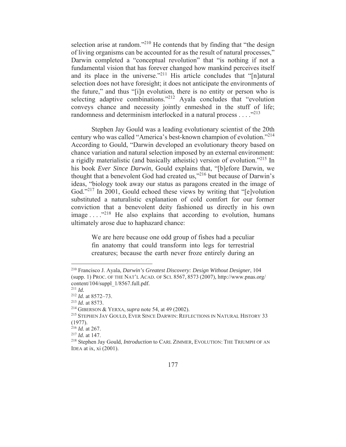selection arise at random."<sup>210</sup> He contends that by finding that "the design of living organisms can be accounted for as the result of natural processes," Darwin completed a "conceptual revolution" that "is nothing if not a fundamental vision that has forever changed how mankind perceives itself and its place in the universe."<sup>211</sup> His article concludes that "[n]atural selection does not have foresight; it does not anticipate the environments of the future," and thus "[i]n evolution, there is no entity or person who is selecting adaptive combinations."<sup>212</sup> Ayala concludes that "evolution" conveys chance and necessity jointly enmeshed in the stuff of life; randomness and determinism interlocked in a natural process . . . . "213

Stephen Jay Gould was a leading evolutionary scientist of the 20th century who was called "America's best-known champion of evolution."<sup>214</sup> According to Gould, "Darwin developed an evolutionary theory based on chance variation and natural selection imposed by an external environment: a rigidly materialistic (and basically atheistic) version of evolution."215 In his book Ever Since Darwin, Gould explains that, "[b]efore Darwin, we thought that a benevolent God had created us,"216 but because of Darwin's ideas, "biology took away our status as paragons created in the image of God."<sup>217</sup> In 2001, Gould echoed these views by writing that "[e]volution substituted a naturalistic explanation of cold comfort for our former conviction that a benevolent deity fashioned us directly in his own image...."<sup>218</sup> He also explains that according to evolution, humans ultimately arose due to haphazard chance:

We are here because one odd group of fishes had a peculiar fin anatomy that could transform into legs for terrestrial creatures; because the earth never froze entirely during an

<sup>&</sup>lt;sup>210</sup> Francisco J. Ayala, *Darwin's Greatest Discovery: Design Without Designer*, 104 (supp. 1) PROC. OF THE NAT'L ACAD. OF SCI. 8567, 8573 (2007), http://www.pnas.org/ content/104/suppl 1/8567.full.pdf.

 $^{211}$  *Id.* 

 $212$  *Id.* at 8572-73.

 $213$  *Id.* at 8573.

<sup>&</sup>lt;sup>214</sup> GIBERSON & YERXA, *supra* note 54, at 49 (2002).

<sup>&</sup>lt;sup>215</sup> STEPHEN JAY GOULD, EVER SINCE DARWIN: REFLECTIONS IN NATURAL HISTORY 33  $(1977).$ 

 $216$  *Id.* at 267.

 $^{217}$  *Id.* at 147.

<sup>&</sup>lt;sup>218</sup> Stephen Jay Gould, *Introduction* to CARL ZIMMER, EVOLUTION: THE TRIUMPH OF AN IDEA at ix, xi (2001).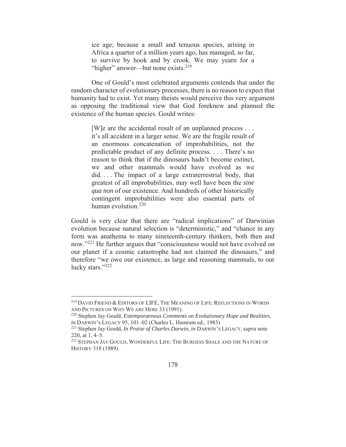ice age; because a small and tenuous species, arising in Africa a quarter of a million years ago, has managed, so far, to survive by hook and by crook. We may yearn for a "higher" answer—but none exists.<sup>219</sup>

One of Gould's most celebrated arguments contends that under the random character of evolutionary processes, there is no reason to expect that humanity had to exist. Yet many theists would perceive this very argument as opposing the traditional view that God foreknew and planned the existence of the human species. Gould writes:

[W] e are the accidental result of an unplanned process . . . it's all accident in a larger sense. We are the fragile result of an enormous concatenation of improbabilities, not the predictable product of any definite process.... There's no reason to think that if the dinosaurs hadn't become extinct. we and other mammals would have evolved as we did.... The impact of a large extraterrestrial body, that greatest of all improbabilities, may well have been the *sine* qua non of our existence. And hundreds of other historically contingent improbabilities were also essential parts of human evolution. $220$ 

Gould is very clear that there are "radical implications" of Darwinian evolution because natural selection is "deterministic," and "chance in any form was anathema to many nineteenth-century thinkers, both then and now."<sup>221</sup> He further argues that "consciousness would not have evolved on our planet if a cosmic catastrophe had not claimed the dinosaurs," and therefore "we owe our existence, as large and reasoning mammals, to our lucky stars."222

<sup>&</sup>lt;sup>219</sup> DAVID FRIEND & EDITORS OF LIFE. THE MEANING OF LIFE: REFLECTIONS IN WORDS AND PICTURES ON WHY WE ARE HERE 33 (1991).

<sup>&</sup>lt;sup>220</sup> Stephen Jay Gould, Extemporaenous Comments on Evolutionary Hope and Realities, in DARWIN'S LEGACY 95, 101-02 (Charles L. Hamrum ed., 1983).

<sup>&</sup>lt;sup>221</sup> Stephen Jay Gould, *In Praise of Charles Darwin*, *in DARWIN'S LEGACY*, *supra* note 220, at  $1, 4-5$ .

<sup>&</sup>lt;sup>222</sup> STEPHAN JAY GOULD, WONDERFUL LIFE: THE BURGESS SHALE AND THE NATURE OF HISTORY 318 (1989).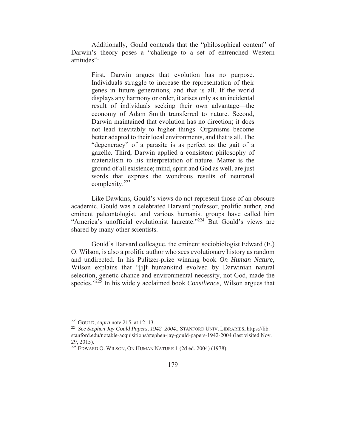Additionally, Gould contends that the "philosophical content" of Darwin's theory poses a "challenge to a set of entrenched Western attitudes":

> First, Darwin argues that evolution has no purpose. Individuals struggle to increase the representation of their genes in future generations, and that is all. If the world displays any harmony or order, it arises only as an incidental result of individuals seeking their own advantage—the economy of Adam Smith transferred to nature. Second, Darwin maintained that evolution has no direction; it does not lead inevitably to higher things. Organisms become better adapted to their local environments, and that is all. The "degeneracy" of a parasite is as perfect as the gait of a gazelle. Third, Darwin applied a consistent philosophy of materialism to his interpretation of nature. Matter is the ground of all existence; mind, spirit and God as well, are just words that express the wondrous results of neuronal complexity. $223$

Like Dawkins, Gould's views do not represent those of an obscure academic. Gould was a celebrated Harvard professor, prolific author, and eminent paleontologist, and various humanist groups have called him "America's unofficial evolutionist laureate."<sup>224</sup> But Gould's views are shared by many other scientists.

Gould's Harvard colleague, the eminent sociobiologist Edward (E.) O. Wilson, is also a prolific author who sees evolutionary history as random and undirected. In his Pulitzer-prize winning book On Human Nature, Wilson explains that "[i]f humankind evolved by Darwinian natural selection, genetic chance and environmental necessity, not God, made the species."<sup>225</sup> In his widely acclaimed book *Consilience*. Wilson argues that

<sup>&</sup>lt;sup>223</sup> GOULD, *supra* note 215, at 12–13.

<sup>&</sup>lt;sup>224</sup> See Stephen Jay Gould Papers, 1942-2004., STANFORD UNIV. LIBRARIES, https://lib. stanford.edu/notable-acquisitions/stephen-jay-gould-papers-1942-2004 (last visited Nov. 29, 2015).

 $225$  EDWARD O. WILSON, ON HUMAN NATURE 1 (2d ed. 2004) (1978).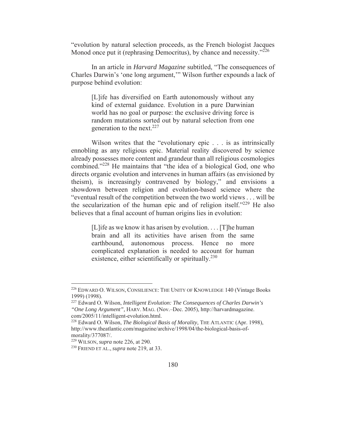"evolution by natural selection proceeds, as the French biologist Jacques Monod once put it (rephrasing Democritus), by chance and necessity."<sup>226</sup>

In an article in *Harvard Magazine* subtitled, "The consequences of Charles Darwin's 'one long argument," Wilson further expounds a lack of purpose behind evolution:

[L] ife has diversified on Earth autonomously without any kind of external guidance. Evolution in a pure Darwinian world has no goal or purpose: the exclusive driving force is random mutations sorted out by natural selection from one generation to the next  $^{227}$ 

Wilson writes that the "evolutionary epic . . . is as intrinsically ennobling as any religious epic. Material reality discovered by science already possesses more content and grandeur than all religious cosmologies combined."<sup>228</sup> He maintains that "the idea of a biological God, one who directs organic evolution and intervenes in human affairs (as envisioned by theism), is increasingly contravened by biology," and envisions a showdown between religion and evolution-based science where the "eventual result of the competition between the two world views . . . will be the secularization of the human epic and of religion itself."229 He also believes that a final account of human origins lies in evolution:

[L] if e as we know it has arisen by evolution... [T] he human brain and all its activities have arisen from the same earthbound, autonomous process. Hence no more complicated explanation is needed to account for human existence, either scientifically or spiritually.<sup>230</sup>

<sup>&</sup>lt;sup>226</sup> EDWARD O. WILSON, CONSILIENCE: THE UNITY OF KNOWLEDGE 140 (Vintage Books 1999) (1998).

<sup>&</sup>lt;sup>227</sup> Edward O. Wilson, Intelligent Evolution: The Consequences of Charles Darwin's "One Long Argument", HARV. MAG. (Nov.-Dec. 2005), http://harvardmagazine. com/2005/11/intelligent-evolution.html.

<sup>&</sup>lt;sup>228</sup> Edward O. Wilson, *The Biological Basis of Morality*, THE ATLANTIC (Apr. 1998), http://www.theatlantic.com/magazine/archive/1998/04/the-biological-basis-ofmorality/377087/.

 $229$  WILSON, *supra* note 226, at 290.

<sup>&</sup>lt;sup>230</sup> FRIEND ET AL., *supra* note 219, at 33.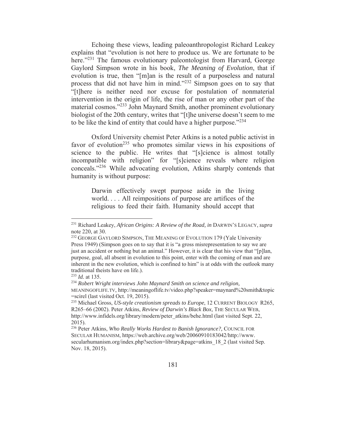Echoing these views, leading paleoanthropologist Richard Leakey explains that "evolution is not here to produce us. We are fortunate to be here."<sup>231</sup> The famous evolutionary paleontologist from Harvard, George Gaylord Simpson wrote in his book, The Meaning of Evolution, that if evolution is true, then "[m]an is the result of a purposeless and natural process that did not have him in mind."232 Simpson goes on to say that "[t]here is neither need nor excuse for postulation of nonmaterial intervention in the origin of life, the rise of man or any other part of the material cosmos."<sup>233</sup> John Maynard Smith, another prominent evolutionary biologist of the 20th century, writes that "[t] he universe doesn't seem to me to be like the kind of entity that could have a higher purpose."<sup>234</sup>

Oxford University chemist Peter Atkins is a noted public activist in favor of evolution<sup>235</sup> who promotes similar views in his expositions of science to the public. He writes that "[s]cience is almost totally incompatible with religion" for "[s]cience reveals where religion conceals."<sup>236</sup> While advocating evolution, Atkins sharply contends that humanity is without purpose:

Darwin effectively swept purpose aside in the living world.... All reimpositions of purpose are artifices of the religious to feed their faith. Humanity should accept that

<sup>&</sup>lt;sup>231</sup> Richard Leakey, African Origins: A Review of the Road, in DARWIN'S LEGACY, supra note 220, at 30.

<sup>&</sup>lt;sup>232</sup> GEORGE GAYLORD SIMPSON, THE MEANING OF EVOLUTION 179 (Yale University Press 1949) (Simpson goes on to say that it is "a gross misrepresentation to say we are just an accident or nothing but an animal." However, it is clear that his view that "[p]lan, purpose, goal, all absent in evolution to this point, enter with the coming of man and are inherent in the new evolution, which is confined to him" is at odds with the outlook many traditional theists have on life.).

 $233$  *Id.* at 135.

<sup>&</sup>lt;sup>234</sup> Robert Wright interviews John Maynard Smith on science and religion, MEANINGOFLIFE.TV, http://meaningoflife.tv/video.php?speaker=maynard%20smith&topic  $=$ scirel (last visited Oct. 19, 2015).

<sup>&</sup>lt;sup>235</sup> Michael Gross, *US-style creationism spreads to Europe*, 12 CURRENT BIOLOGY R265, R265-66 (2002). Peter Atkins, Review of Darwin's Black Box, THE SECULAR WEB, http://www.infidels.org/library/modern/peter\_atkins/behe.html (last visited Sept. 22,  $2015$ ).

<sup>&</sup>lt;sup>236</sup> Peter Atkins, Who Really Works Hardest to Banish Ignorance?, COUNCIL FOR SECULAR HUMANISM, https://web.archive.org/web/20060910183042/http://www. secularhumanism.org/index.php?section=library&page=atkins 18 2 (last visited Sep. Nov. 18, 2015).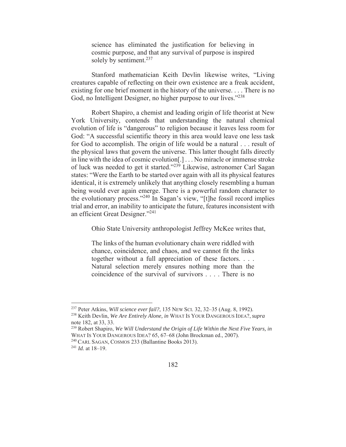science has eliminated the justification for believing in cosmic purpose, and that any survival of purpose is inspired solely by sentiment.<sup>237</sup>

Stanford mathematician Keith Devlin likewise writes, "Living creatures capable of reflecting on their own existence are a freak accident. existing for one brief moment in the history of the universe.... There is no God, no Intelligent Designer, no higher purpose to our lives."<sup>238</sup>

Robert Shapiro, a chemist and leading origin of life theorist at New York University, contends that understanding the natural chemical evolution of life is "dangerous" to religion because it leaves less room for God: "A successful scientific theory in this area would leave one less task for God to accomplish. The origin of life would be a natural . . . result of the physical laws that govern the universe. This latter thought falls directly in line with the idea of cosmic evolution[.] . . . No miracle or immense stroke of luck was needed to get it started."<sup>239</sup> Likewise, astronomer Carl Sagan states: "Were the Earth to be started over again with all its physical features identical, it is extremely unlikely that anything closely resembling a human being would ever again emerge. There is a powerful random character to the evolutionary process."240 In Sagan's view, "[t]he fossil record implies trial and error, an inability to anticipate the future, features inconsistent with an efficient Great Designer."<sup>241</sup>

Ohio State University anthropologist Jeffrey McKee writes that,

The links of the human evolutionary chain were riddled with chance, coincidence, and chaos, and we cannot fit the links together without a full appreciation of these factors.... Natural selection merely ensures nothing more than the coincidence of the survival of survivors .... There is no

<sup>240</sup> CARL SAGAN, COSMOS 233 (Ballantine Books 2013).

<sup>&</sup>lt;sup>237</sup> Peter Atkins, *Will science ever fail*?, 135 NEW SCI, 32, 32–35 (Aug. 8, 1992).

<sup>&</sup>lt;sup>238</sup> Keith Devlin, We Are Entirely Alone, in WHAT IS YOUR DANGEROUS IDEA?, supra note 182, at 33, 33.

<sup>&</sup>lt;sup>239</sup> Robert Shapiro, We Will Understand the Origin of Life Within the Next Five Years, in WHAT IS YOUR DANGEROUS IDEA? 65, 67-68 (John Brockman ed., 2007).

 $^{241}$  *Id.* at 18–19.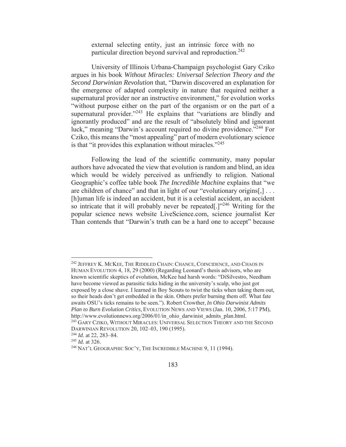external selecting entity, just an intrinsic force with no particular direction beyond survival and reproduction.<sup>242</sup>

University of Illinois Urbana-Champaign psychologist Gary Cziko argues in his book Without Miracles: Universal Selection Theory and the Second Darwinian Revolution that, "Darwin discovered an explanation for the emergence of adapted complexity in nature that required neither a supernatural provider nor an instructive environment," for evolution works "without purpose either on the part of the organism or on the part of a supernatural provider."<sup>243</sup> He explains that "variations are blindly and ignorantly produced" and are the result of "absolutely blind and ignorant luck," meaning "Darwin's account required no divine providence."<sup>244</sup> For Cziko, this means the "most appealing" part of modern evolutionary science is that "it provides this explanation without miracles."<sup>245</sup>

Following the lead of the scientific community, many popular authors have advocated the view that evolution is random and blind, an idea which would be widely perceived as unfriendly to religion. National Geographic's coffee table book The Incredible Machine explains that "we are children of chance" and that in light of our "evolutionary origins[,]... [h]uman life is indeed an accident, but it is a celestial accident, an accident so intricate that it will probably never be repeated[.]"<sup>246</sup> Writing for the popular science news website LiveScience.com, science journalist Ker Than contends that "Darwin's truth can be a hard one to accept" because

<sup>242</sup> JEFFREY K. MCKEE, THE RIDDLED CHAIN: CHANCE, COINCIDENCE, AND CHAOS IN HUMAN EVOLUTION 4, 18, 29 (2000) (Regarding Leonard's thesis advisors, who are known scientific skeptics of evolution, McKee had harsh words: "DiSilvestro, Needham have become viewed as parasitic ticks hiding in the university's scalp, who just got exposed by a close shave. I learned in Boy Scouts to twist the ticks when taking them out, so their heads don't get embedded in the skin. Others prefer burning them off. What fate awaits OSU's ticks remains to be seen."). Robert Crowther, In Ohio Darwinist Admits Plan to Burn Evolution Critics, EVOLUTION NEWS AND VIEWS (Jan. 10, 2006, 5:17 PM), http://www.evolutionnews.org/2006/01/in ohio darwinist admits plan.html.

<sup>&</sup>lt;sup>243</sup> GARY CZIKO, WITHOUT MIRACLES: UNIVERSAL SELECTION THEORY AND THE SECOND DARWINIAN REVOLUTION 20, 102-03, 190 (1995).

<sup>&</sup>lt;sup>244</sup> Id. at 22, 283-84.

 $245$  *Id.* at 326.

<sup>&</sup>lt;sup>246</sup> NAT'L GEOGRAPHIC SOC'Y, THE INCREDIBLE MACHINE 9, 11 (1994).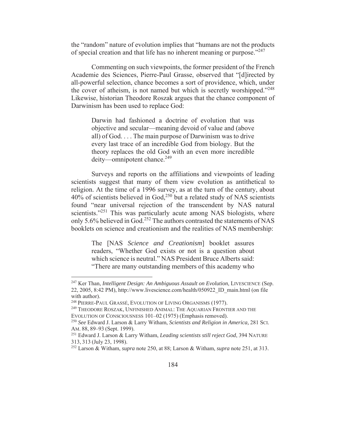the "random" nature of evolution implies that "humans are not the products" of special creation and that life has no inherent meaning or purpose."<sup>247</sup>

Commenting on such viewpoints, the former president of the French Academie des Sciences, Pierre-Paul Grasse, observed that "[d]irected by all-powerful selection, chance becomes a sort of providence, which, under the cover of atheism, is not named but which is secretly worshipped."<sup>248</sup> Likewise, historian Theodore Roszak argues that the chance component of Darwinism has been used to replace God:

Darwin had fashioned a doctrine of evolution that was objective and secular—meaning devoid of value and (above all) of God.... The main purpose of Darwinism was to drive every last trace of an incredible God from biology. But the theory replaces the old God with an even more incredible  $deitv$  – omnipotent chance.<sup>249</sup>

Surveys and reports on the affiliations and viewpoints of leading scientists suggest that many of them view evolution as antithetical to religion. At the time of a 1996 survey, as at the turn of the century, about  $40\%$  of scientists believed in God,<sup>250</sup> but a related study of NAS scientists found "near universal rejection of the transcendent by NAS natural scientists."<sup>251</sup> This was particularly acute among NAS biologists, where only 5.6% believed in God.<sup>252</sup> The authors contrasted the statements of NAS booklets on science and creationism and the realities of NAS membership:

The [NAS Science and Creationism] booklet assures readers, "Whether God exists or not is a question about which science is neutral." NAS President Bruce Alberts said: "There are many outstanding members of this academy who

<sup>&</sup>lt;sup>247</sup> Ker Than, *Intelligent Design: An Ambiguous Assault on Evolution*, LIVESCIENCE (Sep. 22, 2005, 8:42 PM), http://www.livescience.com/health/050922 ID main.html (on file with author).

<sup>&</sup>lt;sup>248</sup> PIERRE-PAUL GRASSÉ, EVOLUTION OF LIVING ORGANISMS (1977).

<sup>&</sup>lt;sup>249</sup> THEODORE ROSZAK, UNFINISHED ANIMAL: THE AQUARIAN FRONTIER AND THE EVOLUTION OF CONSCIOUSNESS 101-02 (1975) (Emphasis removed).

<sup>&</sup>lt;sup>250</sup> See Edward J. Larson & Larry Witham, Scientists and Religion in America, 281 SCI. AM. 88, 89-93 (Sept. 1999).

<sup>&</sup>lt;sup>251</sup> Edward J. Larson & Larry Witham, *Leading scientists still reject God*, 394 NATURE 313, 313 (July 23, 1998).

<sup>&</sup>lt;sup>252</sup> Larson & Witham, *supra* note 250, at 88; Larson & Witham, *supra* note 251, at 313.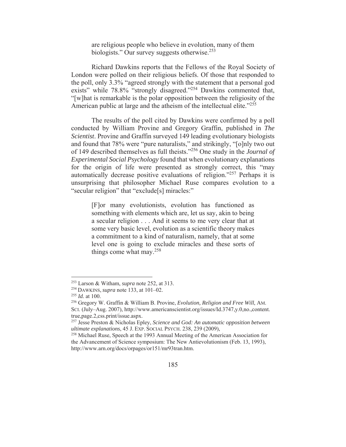are religious people who believe in evolution, many of them biologists." Our survey suggests otherwise. $253$ 

Richard Dawkins reports that the Fellows of the Royal Society of London were polled on their religious beliefs. Of those that responded to the poll, only 3.3% "agreed strongly with the statement that a personal god exists" while 78.8% "strongly disagreed."<sup>254</sup> Dawkins commented that, "[w] hat is remarkable is the polar opposition between the religiosity of the American public at large and the atheism of the intellectual elite."<sup>255</sup>

The results of the poll cited by Dawkins were confirmed by a poll conducted by William Provine and Gregory Graffin, published in The Scientist. Provine and Graffin surveyed 149 leading evolutionary biologists and found that 78% were "pure naturalists," and strikingly, "[o]nly two out of 149 described themselves as full theists."<sup>256</sup> One study in the *Journal of Experimental Social Psychology* found that when evolutionary explanations for the origin of life were presented as strongly correct, this "may automatically decrease positive evaluations of religion."257 Perhaps it is unsurprising that philosopher Michael Ruse compares evolution to a "secular religion" that "exclude[s] miracles:"

[F] or many evolutionists, evolution has functioned as something with elements which are, let us say, akin to being a secular religion . . . And it seems to me very clear that at some very basic level, evolution as a scientific theory makes a commitment to a kind of naturalism, namely, that at some level one is going to exclude miracles and these sorts of things come what may.<sup>258</sup>

<sup>&</sup>lt;sup>253</sup> Larson & Witham, *supra* note 252, at 313.

 $254$  DAWKINS, *supra* note 133, at 101–02.

 $^{255}$  *Id.* at 100.

<sup>&</sup>lt;sup>256</sup> Gregory W. Graffin & William B. Provine, *Evolution*, *Religion and Free Will*, AM. SCI. (July–Aug. 2007), http://www.americanscientist.org/issues/Id.3747.y.0.no..content. true, page. 2, css. print/issue. aspx.

<sup>&</sup>lt;sup>257</sup> Jesse Preston & Nicholas Epley, Science and God: An automatic opposition between ultimate explanations, 45 J. EXP. SOCIAL PSYCH. 238, 239 (2009),

<sup>&</sup>lt;sup>258</sup> Michael Ruse, Speech at the 1993 Annual Meeting of the American Association for the Advancement of Science symposium: The New Antievolutionism (Feb. 13, 1993), http://www.arn.org/docs/orpages/or151/mr93tran.htm.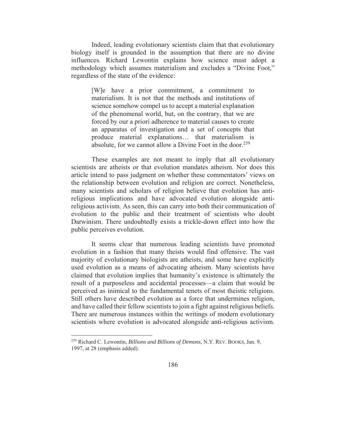Indeed, leading evolutionary scientists claim that that evolutionary biology itself is grounded in the assumption that there are no divine influences. Richard Lewontin explains how science must adopt a methodology which assumes materialism and excludes a "Divine Foot," regardless of the state of the evidence:

[W]e have a prior commitment, a commitment to materialism. It is not that the methods and institutions of science somehow compel us to accept a material explanation of the phenomenal world, but, on the contrary, that we are forced by our a priori adherence to material causes to create an apparatus of investigation and a set of concepts that produce material explanations... that materialism is absolute, for we cannot allow a Divine Foot in the door.<sup>259</sup>

These examples are not meant to imply that all evolutionary scientists are atheists or that evolution mandates atheism. Nor does this article intend to pass judgment on whether these commentators' views on the relationship between evolution and religion are correct. Nonetheless, many scientists and scholars of religion believe that evolution has antireligious implications and have advocated evolution alongside antireligious activism. As seen, this can carry into both their communication of evolution to the public and their treatment of scientists who doubt Darwinism. There undoubtedly exists a trickle-down effect into how the public perceives evolution.

It seems clear that numerous leading scientists have promoted evolution in a fashion that many theists would find offensive. The vast majority of evolutionary biologists are atheists, and some have explicitly used evolution as a means of advocating atheism. Many scientists have claimed that evolution implies that humanity's existence is ultimately the result of a purposeless and accidental processes—a claim that would be perceived as inimical to the fundamental tenets of most theistic religions. Still others have described evolution as a force that undermines religion, and have called their fellow scientists to join a fight against religious beliefs. There are numerous instances within the writings of modern evolutionary scientists where evolution is advocated alongside anti-religious activism.

<sup>&</sup>lt;sup>259</sup> Richard C. Lewontin, *Billions and Billions of Demons*, N.Y. REV. BOOKS, Jan. 9, 1997, at 28 (emphasis added).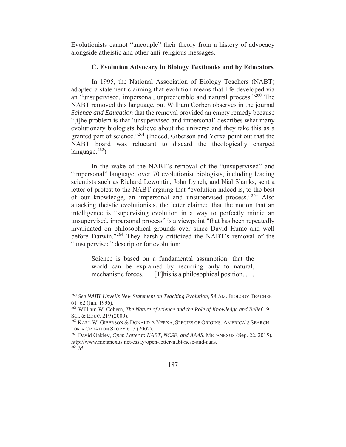Evolutionists cannot "uncouple" their theory from a history of advocacy alongside atheistic and other anti-religious messages.

## C. Evolution Advocacy in Biology Textbooks and by Educators

In 1995, the National Association of Biology Teachers (NABT) adopted a statement claiming that evolution means that life developed via an "unsupervised, impersonal, unpredictable and natural process."260 The NABT removed this language, but William Corben observes in the journal Science and Education that the removal provided an empty remedy because "[t]he problem is that 'unsupervised and impersonal' describes what many evolutionary biologists believe about the universe and they take this as a granted part of science."<sup>261</sup> (Indeed, Giberson and Yerxa point out that the NABT board was reluctant to discard the theologically charged language. $262$ )

In the wake of the NABT's removal of the "unsupervised" and "impersonal" language, over 70 evolutionist biologists, including leading scientists such as Richard Lewontin, John Lynch, and Nial Shanks, sent a letter of protest to the NABT arguing that "evolution indeed is, to the best of our knowledge, an impersonal and unsupervised process."263 Also attacking theistic evolutionists, the letter claimed that the notion that an intelligence is "supervising evolution in a way to perfectly mimic an unsupervised, impersonal process" is a viewpoint "that has been repeatedly invalidated on philosophical grounds ever since David Hume and well before Darwin."264 They harshly criticized the NABT's removal of the "unsupervised" descriptor for evolution:

Science is based on a fundamental assumption: that the world can be explained by recurring only to natural, mechanistic forces.... [T] his is a philosophical position....

<sup>&</sup>lt;sup>260</sup> See NABT Unveils New Statement on Teaching Evolution, 58 AM. BIOLOGY TEACHER 61-62 (Jan. 1996).

<sup>&</sup>lt;sup>261</sup> William W. Cobern, The Nature of science and the Role of Knowledge and Belief, 9 SCI. & EDUC. 219 (2000).

<sup>&</sup>lt;sup>262</sup> KARL W. GIBERSON & DONALD A YERXA, SPECIES OF ORIGINS: AMERICA'S SEARCH FOR A CREATION STORY 6-7 (2002).

<sup>&</sup>lt;sup>263</sup> David Oakley, Open Letter to NABT, NCSE, and AAAS, METANEXUS (Sep. 22, 2015), http://www.metanexus.net/essay/open-letter-nabt-ncse-and-aaas.  $^{264}$  Id.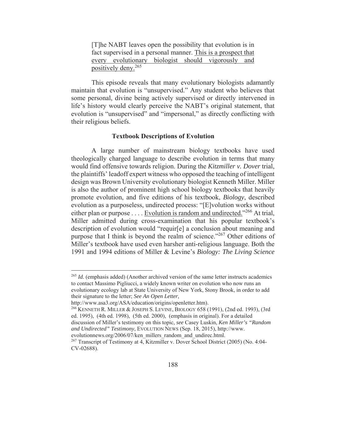[T] he NABT leaves open the possibility that evolution is in fact supervised in a personal manner. This is a prospect that every evolutionary biologist should vigorously and positively deny.<sup>265</sup>

This episode reveals that many evolutionary biologists adamantly maintain that evolution is "unsupervised." Any student who believes that some personal, divine being actively supervised or directly intervened in life's history would clearly perceive the NABT's original statement, that evolution is "unsupervised" and "impersonal," as directly conflicting with their religious beliefs.

## **Textbook Descriptions of Evolution**

A large number of mainstream biology textbooks have used theologically charged language to describe evolution in terms that many would find offensive towards religion. During the *Kitzmiller v. Dover* trial, the plaintiffs' leadoff expert witness who opposed the teaching of intelligent design was Brown University evolutionary biologist Kenneth Miller. Miller is also the author of prominent high school biology textbooks that heavily promote evolution, and five editions of his textbook, *Biology*, described evolution as a purposeless, undirected process: "[E]volution works without either plan or purpose . . . . Evolution is random and undirected."266 At trial, Miller admitted during cross-examination that his popular textbook's description of evolution would "requir[e] a conclusion about meaning and purpose that I think is beyond the realm of science." $267$  Other editions of Miller's textbook have used even harsher anti-religious language. Both the 1991 and 1994 editions of Miller & Levine's Biology: The Living Science

 $^{265}$  *Id.* (emphasis added) (Another archived version of the same letter instructs academics to contact Massimo Pigliucci, a widely known writer on evolution who now runs an evolutionary ecology lab at State University of New York, Stony Brook, in order to add their signature to the letter; See An Open Letter,

http://www.asa3.org/ASA/education/origins/openletter.htm).

 $^{266}$  KENNETH R. MILLER & JOSEPH S. LEVINE, BIOLOGY 658 (1991), (2nd ed. 1993), (3rd ed. 1995), (4th ed. 1998), (5th ed. 2000), (emphasis in original). For a detailed

discussion of Miller's testimony on this topic, see Casey Luskin, Ken Miller's "Random and Undirected" Testimony, EVOLUTION NEWS (Sep. 18, 2015), http://www.

evolutionnews.org/2006/07/ken millers random and undirec.html.

<sup>&</sup>lt;sup>267</sup> Transcript of Testimony at 4, Kitzmiller v. Dover School District (2005) (No. 4:04-CV-02688).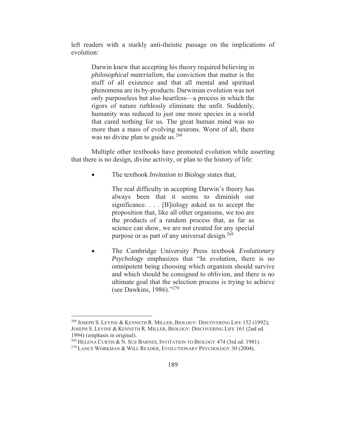left readers with a starkly anti-theistic passage on the implications of evolution<sup>-</sup>

Darwin knew that accepting his theory required believing in philosophical materialism, the conviction that matter is the stuff of all existence and that all mental and spiritual phenomena are its by-products. Darwinian evolution was not only purposeless but also heartless—a process in which the rigors of nature ruthlessly eliminate the unfit. Suddenly, humanity was reduced to just one more species in a world that cared nothing for us. The great human mind was no more than a mass of evolving neurons. Worst of all, there was no divine plan to guide us.  $268$ 

Multiple other textbooks have promoted evolution while asserting that there is no design, divine activity, or plan to the history of life:

The textbook *Invitation to Biology* states that,

The real difficulty in accepting Darwin's theory has always been that it seems to diminish our significance... [B]iology asked us to accept the proposition that, like all other organisms, we too are the products of a random process that, as far as science can show, we are not created for any special purpose or as part of any universal design.<sup>269</sup>

The Cambridge University Press textbook Evolutionary *Psychology* emphasizes that "In evolution, there is no omnipotent being choosing which organism should survive and which should be consigned to oblivion, and there is no ultimate goal that the selection process is trying to achieve (see Dawkins, 1986)."270

<sup>&</sup>lt;sup>268</sup> JOSEPH S. LEVINE & KENNETH R. MILLER, BIOLOGY: DISCOVERING LIFE 152 (1992); JOSEPH S. LEVINE & KENNETH R. MILLER, BIOLOGY: DISCOVERING LIFE 161 (2nd ed. 1994) (emphasis in original).

<sup>&</sup>lt;sup>269</sup> HELENA CURTIS & N. SUE BARNES, INVITATION TO BIOLOGY 474 (3rd ed. 1981).

<sup>&</sup>lt;sup>270</sup> LANCE WORKMAN & WILL READER, EVOLUTIONARY PSYCHOLOGY 30 (2004).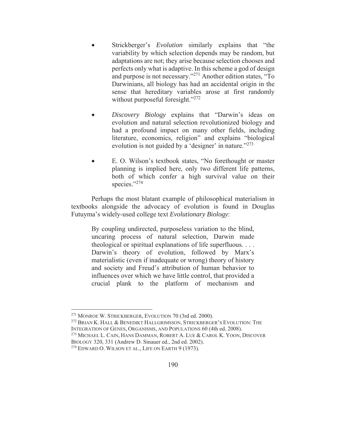- Strickberger's *Evolution* similarly explains that "the variability by which selection depends may be random, but adaptations are not; they arise because selection chooses and perfects only what is adaptive. In this scheme a god of design and purpose is not necessary." $271$  Another edition states, "To Darwinians, all biology has had an accidental origin in the sense that hereditary variables arose at first randomly without purposeful foresight."272
- Discovery Biology explains that "Darwin's ideas on evolution and natural selection revolutionized biology and had a profound impact on many other fields, including literature, economics, religion" and explains "biological evolution is not guided by a 'designer' in nature."<sup>273</sup>
- E. O. Wilson's textbook states, "No forethought or master planning is implied here, only two different life patterns, both of which confer a high survival value on their species."274

Perhaps the most blatant example of philosophical materialism in textbooks alongside the advocacy of evolution is found in Douglas Futuyma's widely-used college text Evolutionary Biology:

By coupling undirected, purposeless variation to the blind, uncaring process of natural selection. Darwin made theological or spiritual explanations of life superfluous.... Darwin's theory of evolution, followed by Marx's materialistic (even if inadequate or wrong) theory of history and society and Freud's attribution of human behavior to influences over which we have little control, that provided a crucial plank to the platform of mechanism and

<sup>&</sup>lt;sup>271</sup> MONROE W. STRICKBERGER, EVOLUTION 70 (3rd ed. 2000).

<sup>&</sup>lt;sup>272</sup> BRIAN K. HALL & BENEDIKT HALLGRIMSSON, STRICKBERGER'S EVOLUTION: THE INTEGRATION OF GENES, ORGANISMS, AND POPULATIONS 60 (4th ed. 2008).

<sup>&</sup>lt;sup>273</sup> MICHAEL L. CAIN, HANS DAMMAN, ROBERT A. LUE & CAROL K. YOON, DISCOVER BIOLOGY 320, 331 (Andrew D. Sinauer ed., 2nd ed. 2002).

 $274$  EDWARD O. WILSON ET AL., LIFE ON EARTH 9 (1973).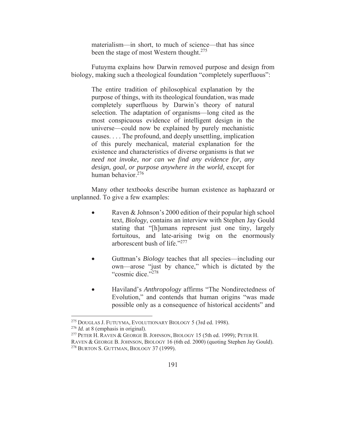materialism—in short, to much of science—that has since been the stage of most Western thought.<sup>275</sup>

Futuyma explains how Darwin removed purpose and design from biology, making such a theological foundation "completely superfluous":

The entire tradition of philosophical explanation by the purpose of things, with its theological foundation, was made completely superfluous by Darwin's theory of natural selection. The adaptation of organisms—long cited as the most conspicuous evidence of intelligent design in the universe—could now be explained by purely mechanistic causes.... The profound, and deeply unsettling, implication of this purely mechanical, material explanation for the existence and characteristics of diverse organisms is that we need not invoke, nor can we find any evidence for, any design, goal, or purpose anywhere in the world, except for human behavior. $276$ 

Many other textbooks describe human existence as haphazard or unplanned. To give a few examples:

- Raven & Johnson's 2000 edition of their popular high school text, Biology, contains an interview with Stephen Jay Gould stating that "[h]umans represent just one tiny, largely fortuitous, and late-arising twig on the enormously arborescent bush of life."277
- Guttman's *Biology* teaches that all species—including our own—arose "just by chance," which is dictated by the "cosmic dice"<sup>278</sup>
- Haviland's Anthropology affirms "The Nondirectedness of  $\bullet$ Evolution," and contends that human origins "was made possible only as a consequence of historical accidents" and

<sup>&</sup>lt;sup>275</sup> DOUGLAS J. FUTUYMA, EVOLUTIONARY BIOLOGY 5 (3rd ed. 1998).

 $276$  *Id.* at 8 (emphasis in original).

<sup>&</sup>lt;sup>277</sup> PETER H. RAVEN & GEORGE B. JOHNSON, BIOLOGY 15 (5th ed. 1999); PETER H. RAVEN & GEORGE B. JOHNSON, BIOLOGY 16 (6th ed. 2000) (quoting Stephen Jay Gould). <sup>278</sup> BURTON S. GUTTMAN, BIOLOGY 37 (1999).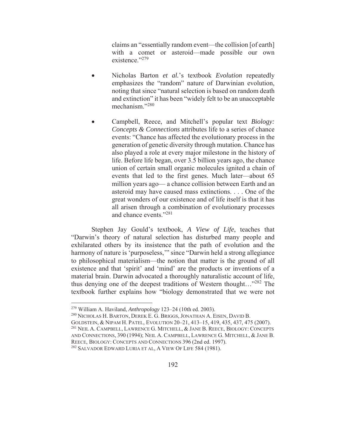claims an "essentially random event—the collision [of earth] with a comet or asteroid—made possible our own existence." $279$ 

- Nicholas Barton et al.'s textbook Evolution repeatedly  $\bullet$ emphasizes the "random" nature of Darwinian evolution, noting that since "natural selection is based on random death and extinction" it has been "widely felt to be an unacceptable" mechanism."280
- Campbell, Reece, and Mitchell's popular text *Biology*: Concepts & Connections attributes life to a series of chance events: "Chance has affected the evolutionary process in the generation of genetic diversity through mutation. Chance has also played a role at every major milestone in the history of life. Before life began, over 3.5 billion years ago, the chance union of certain small organic molecules ignited a chain of events that led to the first genes. Much later—about 65 million years ago— a chance collision between Earth and an asteroid may have caused mass extinctions... One of the great wonders of our existence and of life itself is that it has all arisen through a combination of evolutionary processes and chance events."281

Stephen Jay Gould's textbook, A View of Life, teaches that "Darwin's theory of natural selection has disturbed many people and exhilarated others by its insistence that the path of evolution and the harmony of nature is 'purposeless,'" since "Darwin held a strong allegiance to philosophical materialism—the notion that matter is the ground of all existence and that 'spirit' and 'mind' are the products or inventions of a material brain. Darwin advocated a thoroughly naturalistic account of life, thus denying one of the deepest traditions of Western thought..."<sup>282</sup> The textbook further explains how "biology demonstrated that we were not

GOLDSTEIN, & NIPAM H. PATEL, EVOLUTION 20-21, 413-15, 419, 435, 437, 475 (2007). <sup>281</sup> NEIL A. CAMPBELL, LAWRENCE G. MITCHELL, & JANE B. REECE, BIOLOGY: CONCEPTS AND CONNECTIONS, 390 (1994); NEIL A. CAMPBELL, LAWRENCE G. MITCHELL, & JANE B.

 $^{279}$  William A. Haviland, *Anthropology* 123–24 (10th ed. 2003).

<sup>&</sup>lt;sup>280</sup> NICHOLAS H. BARTON, DEREK E. G. BRIGGS, JONATHAN A. EISEN, DAVID B.

REECE, BIOLOGY: CONCEPTS AND CONNECTIONS 396 (2nd ed. 1997).

<sup>&</sup>lt;sup>282</sup> SALVADOR EDWARD LURIA ET AL, A VIEW OF LIFE 584 (1981).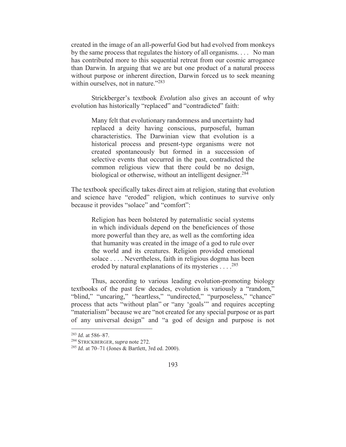created in the image of an all-powerful God but had evolved from monkeys by the same process that regulates the history of all organisms.... No man has contributed more to this sequential retreat from our cosmic arrogance than Darwin. In arguing that we are but one product of a natural process without purpose or inherent direction. Darwin forced us to seek meaning within ourselves, not in nature."283

Strickberger's textbook Evolution also gives an account of why evolution has historically "replaced" and "contradicted" faith:

Many felt that evolutionary randomness and uncertainty had replaced a deity having conscious, purposeful, human characteristics. The Darwinian view that evolution is a historical process and present-type organisms were not created spontaneously but formed in a succession of selective events that occurred in the past, contradicted the common religious view that there could be no design, biological or otherwise, without an intelligent designer.<sup>284</sup>

The textbook specifically takes direct aim at religion, stating that evolution and science have "eroded" religion, which continues to survive only because it provides "solace" and "comfort":

Religion has been bolstered by paternalistic social systems in which individuals depend on the beneficiences of those more powerful than they are, as well as the comforting idea that humanity was created in the image of a god to rule over the world and its creatures. Religion provided emotional solace .... Nevertheless, faith in religious dogma has been eroded by natural explanations of its mysteries  $\ldots$ <sup>285</sup>

Thus, according to various leading evolution-promoting biology textbooks of the past few decades, evolution is variously a "random," "blind," "uncaring," "heartless," "undirected," "purposeless," "chance" process that acts "without plan" or "any 'goals" and requires accepting "materialism" because we are "not created for any special purpose or as part of any universal design" and "a god of design and purpose is not

 $283$  *Id.* at 586-87.

<sup>&</sup>lt;sup>284</sup> STRICKBERGER, *supra* note 272.

 $^{285}$  *Id.* at 70–71 (Jones & Bartlett, 3rd ed. 2000).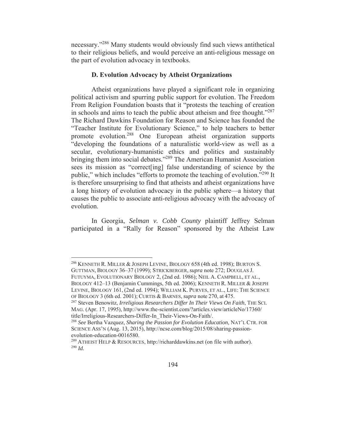necessary."286 Many students would obviously find such views antithetical to their religious beliefs, and would perceive an anti-religious message on the part of evolution advocacy in textbooks.

## D. Evolution Advocacy by Atheist Organizations

Atheist organizations have played a significant role in organizing political activism and spurring public support for evolution. The Freedom From Religion Foundation boasts that it "protests the teaching of creation in schools and aims to teach the public about atheism and free thought."<sup>287</sup> The Richard Dawkins Foundation for Reason and Science has founded the "Teacher Institute for Evolutionary Science," to help teachers to better promote evolution.<sup>288</sup> One European atheist organization supports "developing the foundations of a naturalistic world-view as well as a secular, evolutionary-humanistic ethics and politics and sustainably bringing them into social debates."<sup>289</sup> The American Humanist Association sees its mission as "correct[ing] false understanding of science by the public," which includes "efforts to promote the teaching of evolution."<sup>290</sup> It is therefore unsurprising to find that atheists and atheist organizations have a long history of evolution advocacy in the public sphere—a history that causes the public to associate anti-religious advocacy with the advocacy of evolution.

In Georgia, Selman v. Cobb County plaintiff Jeffrey Selman participated in a "Rally for Reason" sponsored by the Atheist Law

<sup>&</sup>lt;sup>286</sup> KENNETH R. MILLER & JOSEPH LEVINE, BIOLOGY 658 (4th ed. 1998); BURTON S. GUTTMAN, BIOLOGY 36-37 (1999); STRICKBERGER, supra note 272; DOUGLAS J. FUTUYMA, EVOLUTIONARY BIOLOGY 2, (2nd ed. 1986); NEIL A, CAMPBELL, ET AL.,

BIOLOGY 412-13 (Benjamin Cummings, 5th ed. 2006); KENNETH R. MILLER & JOSEPH LEVINE, BIOLOGY 161, (2nd ed. 1994); WILLIAM K. PURVES, ET AL., LIFE: THE SCIENCE OF BIOLOGY 3 (6th ed. 2001); CURTIS & BARNES, *supra* note 270, at 475.

<sup>&</sup>lt;sup>287</sup> Steven Benowitz, Irreligious Researchers Differ In Their Views On Faith, THE SCI. MAG. (Apr. 17, 1995), http://www.the-scientist.com/?articles.view/articleNo/17360/ title/Irreligious-Researchers-Differ-In Their-Views-On-Faith/.

<sup>&</sup>lt;sup>288</sup> See Bertha Vazquez, Sharing the Passion for Evolution Education, NAT'L CTR. FOR SCIENCE Ass'N (Aug. 13, 2015), http://ncse.com/blog/2015/08/sharing-passionevolution-education-0016580.

<sup>&</sup>lt;sup>289</sup> ATHEIST HELP & RESOURCES, http://richarddawkins.net (on file with author).  $290$  *Id.*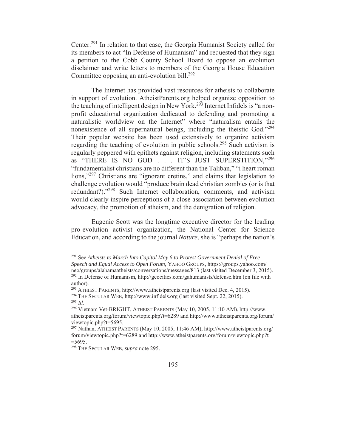Center.<sup>291</sup> In relation to that case, the Georgia Humanist Society called for its members to act "In Defense of Humanism" and requested that they sign a petition to the Cobb County School Board to oppose an evolution disclaimer and write letters to members of the Georgia House Education Committee opposing an anti-evolution bill.<sup>292</sup>

The Internet has provided vast resources for atheists to collaborate in support of evolution. AtheistParents.org helped organize opposition to the teaching of intelligent design in New York.<sup>293</sup> Internet Infidels is "a nonprofit educational organization dedicated to defending and promoting a naturalistic worldview on the Internet" where "naturalism entails the nonexistence of all supernatural beings, including the theistic God."294 Their popular website has been used extensively to organize activism regarding the teaching of evolution in public schools.<sup>295</sup> Such activism is regularly peppered with epithets against religion, including statements such as "THERE IS NO GOD... IT'S JUST SUPERSTITION,"296 "fundamentalist christians are no different than the Taliban," "i heart roman lions,"<sup>297</sup> Christians are "ignorant cretins," and claims that legislation to challenge evolution would "produce brain dead christian zombies (or is that redundant?)."<sup>298</sup> Such Internet collaboration, comments, and activism would clearly inspire perceptions of a close association between evolution advocacy, the promotion of atheism, and the denigration of religion.

Eugenie Scott was the longtime executive director for the leading pro-evolution activist organization, the National Center for Science Education, and according to the journal *Nature*, she is "perhaps the nation's

<sup>&</sup>lt;sup>291</sup> See Atheists to March Into Capitol May 6 to Protest Government Denial of Free Speech and Equal Access to Open Forum, YAHOO GROUPS, https://groups.yahoo.com/

neo/groups/alabamaatheists/conversations/messages/813 (last visited December 3, 2015). <sup>292</sup> In Defense of Humanism, http://geocities.com/gahumanists/defense.htm (on file with author).

<sup>&</sup>lt;sup>293</sup> ATHIEST PARENTS, http://www.atheistparents.org (last visited Dec. 4, 2015).

<sup>&</sup>lt;sup>294</sup> THE SECULAR WEB, http://www.infidels.org (last visited Sept. 22, 2015).  $295$  *Id.* 

<sup>&</sup>lt;sup>296</sup> Vietnam Vet-BRIGHT, ATHEIST PARENTS (May 10, 2005, 11:10 AM), http://www. atheistparents.org/forum/viewtopic.php?t=6289 and http://www.atheistparents.org/forum/ viewtopic.php?t=5695.

<sup>&</sup>lt;sup>297</sup> Nathan, ATHEIST PARENTS (May 10, 2005, 11:46 AM), http://www.atheistparents.org/ forum/viewtopic.php?t=6289 and http://www.atheistparents.org/forum/viewtopic.php?t  $=5695.$ 

<sup>&</sup>lt;sup>298</sup> THE SECULAR WEB, *supra* note 295.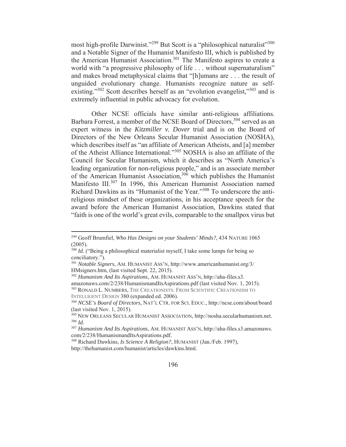most high-profile Darwinist."<sup>299</sup> But Scott is a "philosophical naturalist"<sup>300</sup> and a Notable Signer of the Humanist Manifesto III, which is published by the American Humanist Association.<sup>301</sup> The Manifesto aspires to create a world with "a progressive philosophy of life . . . without supernaturalism" and makes broad metaphysical claims that "[h]umans are . . . the result of unguided evolutionary change. Humanists recognize nature as selfexisting."<sup>302</sup> Scott describes herself as an "evolution evangelist,"<sup>303</sup> and is extremely influential in public advocacy for evolution.

Other NCSE officials have similar anti-religious affiliations. Barbara Forrest, a member of the NCSE Board of Directors,<sup>304</sup> served as an expert witness in the Kitzmiller v. Dover trial and is on the Board of Directors of the New Orleans Secular Humanist Association (NOSHA), which describes itself as "an affiliate of American Atheists, and [a] member of the Atheist Alliance International."305 NOSHA is also an affiliate of the Council for Secular Humanism, which it describes as "North America's leading organization for non-religious people," and is an associate member of the American Humanist Association,<sup>306</sup> which publishes the Humanist Manifesto III.<sup>307</sup> In 1996, this American Humanist Association named Richard Dawkins as its "Humanist of the Year."<sup>308</sup> To underscore the antireligious mindset of these organizations, in his acceptance speech for the award before the American Humanist Association, Dawkins stated that "faith is one of the world's great evils, comparable to the smallpox virus but

302 Humanism And Its Aspirations, AM. HUMANIST ASS'N, http://aha-files.s3. amazonaws.com/2/238/HumanismandItsAspirations.pdf (last visited Nov. 1, 2015). 303 RONALD L. NUMBERS, THE CREATIONISTS: FROM SCIENTIFIC CREATIONISM TO INTELLIGENT DESIGN 380 (expanded ed. 2006).

<sup>&</sup>lt;sup>299</sup> Geoff Brumfiel, Who Has Designs on your Students' Minds?, 434 NATURE 1065  $(2005)$ .

 $300$  *Id.* ("Being a philosophical materialist myself, I take some lumps for being so conciliatory.").

<sup>&</sup>lt;sup>301</sup> Notable Signers, AM. HUMANIST ASS'N, http://www.americanhumanist.org/3/ HMsigners.htm, (last visited Sept. 22, 2015).

<sup>304</sup> NCSE's Board of Directors, NAT'L CTR. FOR SCI. EDUC., http://ncse.com/about/board (last visited Nov. 1, 2015).

<sup>305</sup> NEW ORLEANS SECULAR HUMANIST ASSOCIATION, http://nosha.secularhumanism.net.  $306$  *Id.* 

<sup>&</sup>lt;sup>307</sup> Humanism And Its Aspirations, AM. HUMANIST ASS'N, http://aha-files.s3.amazonaws. com/2/238/HumanismandItsAspirations.pdf.

<sup>308</sup> Richard Dawkins, Is Science A Religion?, HUMANIST (Jan./Feb. 1997), http://thehumanist.com/humanist/articles/dawkins.html.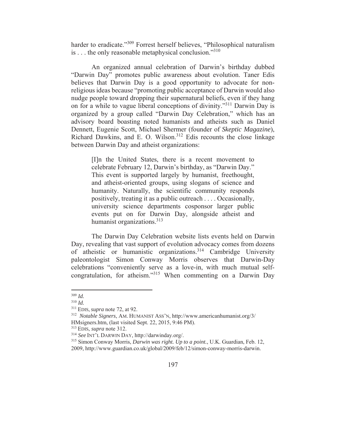harder to eradicate."<sup>309</sup> Forrest herself believes, "Philosophical naturalism" is . . . the only reasonable metaphysical conclusion."<sup>310</sup>

An organized annual celebration of Darwin's birthday dubbed "Darwin Day" promotes public awareness about evolution. Taner Edis believes that Darwin Day is a good opportunity to advocate for nonreligious ideas because "promoting public acceptance of Darwin would also nudge people toward dropping their supernatural beliefs, even if they hang on for a while to vague liberal conceptions of divinity."<sup>311</sup> Darwin Day is organized by a group called "Darwin Day Celebration," which has an advisory board boasting noted humanists and atheists such as Daniel Dennett, Eugenie Scott, Michael Shermer (founder of Skeptic Magazine), Richard Dawkins, and E. O. Wilson.<sup>312</sup> Edis recounts the close linkage between Darwin Day and atheist organizations:

[I]n the United States, there is a recent movement to celebrate February 12, Darwin's birthday, as "Darwin Day." This event is supported largely by humanist, freethought, and atheist-oriented groups, using slogans of science and humanity. Naturally, the scientific community responds positively, treating it as a public outreach . . . . Occasionally, university science departments cosponsor larger public events put on for Darwin Day, alongside atheist and humanist organizations.<sup>313</sup>

The Darwin Day Celebration website lists events held on Darwin Day, revealing that vast support of evolution advocacy comes from dozens of atheistic or humanistic organizations.<sup>314</sup> Cambridge University paleontologist Simon Conway Morris observes that Darwin-Day celebrations "conveniently serve as a love-in, with much mutual selfcongratulation, for atheism."315 When commenting on a Darwin Day

 $309$  *Id.* 

 $310$  *Id.* 

 $311$  EDIS, *supra* note 72, at 92.

<sup>312</sup> Notable Signers, AM. HUMANIST ASS'N, http://www.americanhumanist.org/3/ HMsigners.htm, (last visited Sept. 22, 2015, 9:46 PM).

 $313$  EDIS, *supra* note 312.

<sup>&</sup>lt;sup>314</sup> See INT'L DARWIN DAY, http://darwinday.org/.

<sup>&</sup>lt;sup>315</sup> Simon Conway Morris, *Darwin was right. Up to a point.*, U.K. Guardian, Feb. 12, 2009, http://www.guardian.co.uk/global/2009/feb/12/simon-conway-morris-darwin.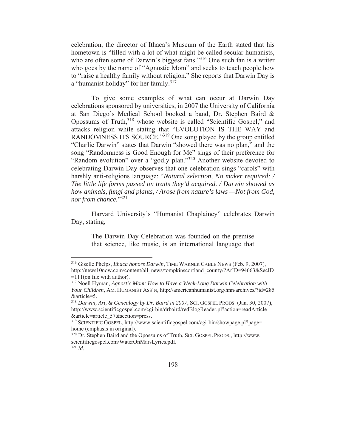celebration, the director of Ithaca's Museum of the Earth stated that his hometown is "filled with a lot of what might be called secular humanists, who are often some of Darwin's biggest fans."<sup>316</sup> One such fan is a writer who goes by the name of "Agnostic Mom" and seeks to teach people how to "raise a healthy family without religion." She reports that Darwin Day is a "humanist holiday" for her family.<sup>317</sup>

To give some examples of what can occur at Darwin Day celebrations sponsored by universities, in 2007 the University of California at San Diego's Medical School booked a band, Dr. Stephen Baird & Opossums of Truth,<sup>318</sup> whose website is called "Scientific Gospel," and attacks religion while stating that "EVOLUTION IS THE WAY and RANDOMNESS ITS SOURCE."319 One song played by the group entitled "Charlie Darwin" states that Darwin "showed there was no plan," and the song "Randomness is Good Enough for Me" sings of their preference for "Random evolution" over a "godly plan."<sup>320</sup> Another website devoted to celebrating Darwin Day observes that one celebration sings "carols" with harshly anti-religions language: "Natural selection, No maker required; / The little life forms passed on traits they'd acquired. / Darwin showed us how animals, fungi and plants, / Arose from nature's laws —Not from God, nor from chance."321

Harvard University's "Humanist Chaplaincy" celebrates Darwin Day, stating,

The Darwin Day Celebration was founded on the premise that science, like music, is an international language that

<sup>&</sup>lt;sup>316</sup> Giselle Phelps, *Ithaca honors Darwin*, TIME WARNER CABLE NEWS (Feb. 9, 2007), http://news10now.com/content/all\_news/tompkinscortland\_county/?ArID=94663&SecID

 $=111$  (on file with author).

<sup>&</sup>lt;sup>317</sup> Noell Hyman, Agnostic Mom: How to Have a Week-Long Darwin Celebration with Your Children, AM. HUMANIST ASS'N, http://americanhumanist.org/hnn/archives/?id=285 &article=5.

<sup>&</sup>lt;sup>318</sup> Darwin, Art, & Genealogy by Dr. Baird in 2007, SCI. GOSPEL PRODS. (Jan. 30, 2007), http://www.scientificgospel.com/cgi-bin/drbaird/redBlogReader.pl?action=readArticle &article=article 57&section=press.

<sup>&</sup>lt;sup>319</sup> SCIENTIFIC GOSPEL, http://www.scientificgospel.com/cgi-bin/showpage.pl?page= home (emphasis in original).

<sup>320</sup> Dr. Stephen Baird and the Opossums of Truth, SCI. GOSPEL PRODS., http://www. scientificgospel.com/WaterOnMarsLyrics.pdf.  $321$  *Id.*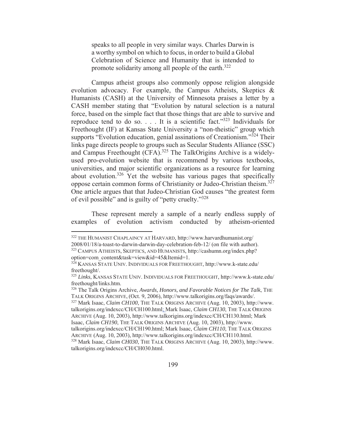speaks to all people in very similar ways. Charles Darwin is a worthy symbol on which to focus, in order to build a Global Celebration of Science and Humanity that is intended to promote solidarity among all people of the earth.<sup>322</sup>

Campus atheist groups also commonly oppose religion alongside evolution advocacy. For example, the Campus Atheists, Skeptics & Humanists (CASH) at the University of Minnesota praises a letter by a CASH member stating that "Evolution by natural selection is a natural force, based on the simple fact that those things that are able to survive and reproduce tend to do so.  $\ldots$ . It is a scientific fact."<sup>323</sup> Individuals for Freethought (IF) at Kansas State University a "non-theistic" group which supports "Evolution education, genial assinations of Creationism."<sup>324</sup> Their links page directs people to groups such as Secular Students Alliance (SSC) and Campus Freethought (CFA).<sup>325</sup> The TalkOrigins Archive is a widelyused pro-evolution website that is recommend by various textbooks, universities, and major scientific organizations as a resource for learning about evolution.<sup>326</sup> Yet the website has various pages that specifically oppose certain common forms of Christianity or Judeo-Christian theism.<sup>327</sup> One article argues that that Judeo-Christian God causes "the greatest form" of evil possible" and is guilty of "petty cruelty."<sup>328</sup>

These represent merely a sample of a nearly endless supply of examples of evolution activism conducted by atheism-oriented

327 Mark Isaac, Claim CH100, THE TALK ORIGINS ARCHIVE (Aug. 10, 2003), http://www. talkorigins.org/indexcc/CH/CH100.html; Mark Isaac, Claim CH130, THE TALK ORIGINS ARCHIVE (Aug. 10, 2003), http://www.talkorigins.org/indexcc/CH/CH130.html; Mark Isaac, Claim CH190, THE TALK ORIGINS ARCHIVE (Aug. 10, 2003), http://www. talkorigins.org/indexcc/CH/CH190.html; Mark Isaac, Claim CH110, THE TALK ORIGINS ARCHIVE (Aug. 10, 2003), http://www.talkorigins.org/indexcc/CH/CH110.html.

<sup>322</sup> THE HUMANIST CHAPLAINCY AT HARVARD, http://www.harvardhumanist.org/

<sup>2008/01/18/</sup>a-toast-to-darwin-darwin-day-celebration-feb-12/ (on file with author). 323 CAMPUS ATHEISTS, SKEPTICS, AND HUMANISTS, http://cashumn.org/index.php? option=com content&task=view&id=45&Itemid=1.

<sup>&</sup>lt;sup>324</sup> KANSAS STATE UNIV. INDIVIDUALS FOR FREETHOUGHT, http://www.k-state.edu/ freethought/.

<sup>325</sup> Links, KANSAS STATE UNIV. INDIVIDUALS FOR FREETHOUGHT, http://www.k-state.edu/ freethought/links.htm.

<sup>&</sup>lt;sup>326</sup> The Talk Origins Archive, Awards, Honors, and Favorable Notices for The Talk, THE TALK ORIGINS ARCHIVE, (Oct. 9, 2006), http://www.talkorigins.org/faqs/awards/.

<sup>328</sup> Mark Isaac, Claim CH030, THE TALK ORIGINS ARCHIVE (Aug. 10, 2003), http://www. talkorigins.org/indexcc/CH/CH030.html.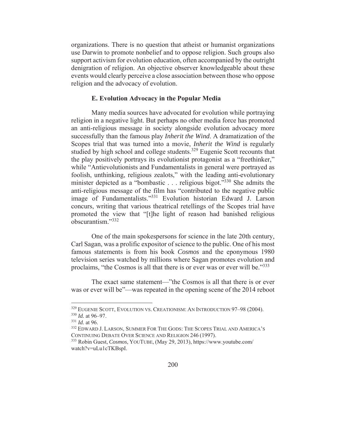organizations. There is no question that atheist or humanist organizations use Darwin to promote nonbelief and to oppose religion. Such groups also support activism for evolution education, often accompanied by the outright denigration of religion. An objective observer knowledgeable about these events would clearly perceive a close association between those who oppose religion and the advocacy of evolution.

## E. Evolution Advocacy in the Popular Media

Many media sources have advocated for evolution while portraying religion in a negative light. But perhaps no other media force has promoted an anti-religious message in society alongside evolution advocacy more successfully than the famous play *Inherit the Wind*. A dramatization of the Scopes trial that was turned into a movie, *Inherit the Wind* is regularly studied by high school and college students.<sup>329</sup> Eugenie Scott recounts that the play positively portrays its evolutionist protagonist as a "freethinker," while "Antievolutionists and Fundamentalists in general were portrayed as foolish, unthinking, religious zealots," with the leading anti-evolutionary minister depicted as a "bombastic . . . religious bigot."330 She admits the anti-religious message of the film has "contributed to the negative public image of Fundamentalists."<sup>331</sup> Evolution historian Edward J. Larson concurs, writing that various theatrical retellings of the Scopes trial have promoted the view that "[t]he light of reason had banished religious obscurantism $^{332}$ 

One of the main spokes persons for science in the late 20th century, Carl Sagan, was a prolific expositor of science to the public. One of his most famous statements is from his book *Cosmos* and the eponymous 1980 television series watched by millions where Sagan promotes evolution and proclaims, "the Cosmos is all that there is or ever was or ever will be."333

The exact same statement-"the Cosmos is all that there is or ever was or ever will be"—was repeated in the opening scene of the 2014 reboot

<sup>&</sup>lt;sup>329</sup> EUGENIE SCOTT, EVOLUTION VS. CREATIONISM: AN INTRODUCTION 97-98 (2004).  $330$  *Id.* at 96-97.

 $331$  *Id.* at 96.

<sup>332</sup> EDWARD J. LARSON, SUMMER FOR THE GODS: THE SCOPES TRIAL AND AMERICA'S CONTINUING DEBATE OVER SCIENCE AND RELIGION 246 (1997).

<sup>333</sup> Robin Guest, Cosmos, YOUTUBE, (May 29, 2013), https://www.youtube.com/ watch?v=uLu1cTKBspI.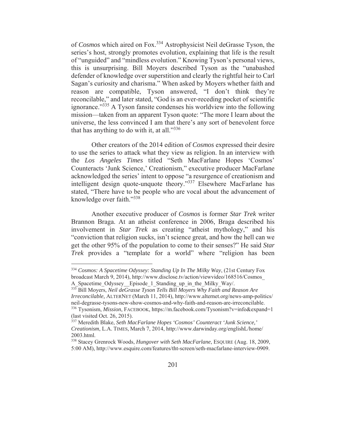of Cosmos which aired on Fox.<sup>334</sup> Astrophysicist Neil deGrasse Tyson, the series's host, strongly promotes evolution, explaining that life is the result of "unguided" and "mindless evolution." Knowing Tyson's personal views, this is unsurprising. Bill Moyers described Tyson as the "unabashed defender of knowledge over superstition and clearly the rightful heir to Carl Sagan's curiosity and charisma." When asked by Moyers whether faith and reason are compatible, Tyson answered, "I don't think they're reconcilable," and later stated, "God is an ever-receding pocket of scientific ignorance."<sup>335</sup> A Tyson fansite condenses his worldview into the following mission—taken from an apparent Tyson quote: "The more I learn about the universe, the less convinced I am that there's any sort of benevolent force that has anything to do with it, at all." $336$ 

Other creators of the 2014 edition of *Cosmos* expressed their desire to use the series to attack what they view as religion. In an interview with the Los Angeles Times titled "Seth MacFarlane Hopes 'Cosmos' Counteracts 'Junk Science,' Creationism," executive producer MacFarlane acknowledged the series' intent to oppose "a resurgence of creationism and intelligent design quote-unquote theory."337 Elsewhere MacFarlane has stated, "There have to be people who are vocal about the advancement of knowledge over faith."338

Another executive producer of Cosmos is former Star Trek writer Brannon Braga. At an atheist conference in 2006, Braga described his involvement in Star Trek as creating "atheist mythology," and his "conviction that religion sucks, isn't science great, and how the hell can we get the other 95% of the population to come to their senses?" He said Star Trek provides a "template for a world" where "religion has been

<sup>334</sup> Cosmos: A Spacetime Odyssey: Standing Up In The Milky Way, (21st Century Fox broadcast March 9, 2014), http://www.disclose.tv/action/viewvideo/168516/Cosmos A\_Spacetime\_Odyssey\_Episode\_1\_Standing\_up\_in\_the\_Milky\_Way/.

<sup>&</sup>lt;sup>335</sup> Bill Moyers, *Neil deGrasse Tyson Tells Bill Moyers Why Faith and Reason Are Irreconcilable*, ALTERNET (March 11, 2014), http://www.alternet.org/news-amp-politics/ neil-degrasse-tysons-new-show-cosmos-and-why-faith-and-reason-are-irreconcilable. <sup>336</sup> Tysonism, *Mission*, FACEBOOK, https://m.facebook.com/Tysonism?v=info&expand=1  $($ last visited Oct. 26, 2015).

<sup>337</sup> Meredith Blake, Seth MacFarlane Hopes 'Cosmos' Counteract 'Junk Science,' Creationism, L.A. TIMES, March 7, 2014, http://www.darwinday.org/englishL/home/ 2003.html.

<sup>338</sup> Stacey Grenrock Woods, Hungover with Seth MacFarlane, ESQUIRE (Aug. 18, 2009, 5:00 AM), http://www.esquire.com/features/tht-screen/seth-macfarlane-interview-0909.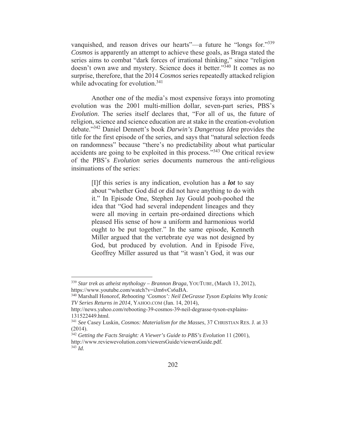vanquished, and reason drives our hearts"—a future he "longs for."339 Cosmos is apparently an attempt to achieve these goals, as Braga stated the series aims to combat "dark forces of irrational thinking," since "religion doesn't own awe and mystery. Science does it better."340 It comes as no surprise, therefore, that the 2014 Cosmos series repeatedly attacked religion while advocating for evolution.<sup>341</sup>

Another one of the media's most expensive forays into promoting evolution was the 2001 multi-million dollar, seven-part series, PBS's Evolution. The series itself declares that, "For all of us, the future of religion, science and science education are at stake in the creation-evolution debate."<sup>342</sup> Daniel Dennett's book *Darwin's Dangerous Idea* provides the title for the first episode of the series, and says that "natural selection feeds" on randomness" because "there's no predictability about what particular accidents are going to be exploited in this process."343 One critical review of the PBS's *Evolution* series documents numerous the anti-religious insinuations of the series:

[I]f this series is any indication, evolution has a *lot* to say about "whether God did or did not have anything to do with it." In Episode One, Stephen Jay Gould pooh-poohed the idea that "God had several independent lineages and they were all moving in certain pre-ordained directions which pleased His sense of how a uniform and harmonious world ought to be put together." In the same episode, Kenneth Miller argued that the vertebrate eye was not designed by God, but produced by evolution. And in Episode Five, Geoffrey Miller assured us that "it wasn't God, it was our

 $339$  Star trek as atheist mythology – Brannon Braga, YOUTUBE, (March 13, 2012), https://www.youtube.com/watch?v=iJm6vCs6aBA.

<sup>&</sup>lt;sup>340</sup> Marshall Honorof, Rebooting 'Cosmos': Neil DeGrasse Tyson Explains Why Iconic TV Series Returns in 2014, YAHOO.COM (Jan. 14, 2014),

http://news.yahoo.com/rebooting-39-cosmos-39-neil-degrasse-tyson-explains-131522449.html.

<sup>&</sup>lt;sup>341</sup> See Casey Luskin, *Cosmos: Materialism for the Masses*, 37 CHRISTIAN RES. J. at 33  $(2014).$ 

 $^{342}$  Getting the Facts Straight: A Viewer's Guide to PBS's Evolution 11 (2001), http://www.reviewevolution.com/viewersGuide/viewersGuide.pdf.  $343$   $\overline{1}d$ .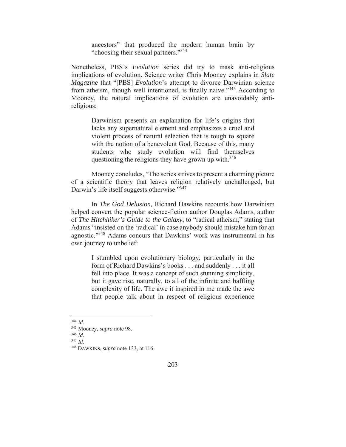ancestors" that produced the modern human brain by "choosing their sexual partners."344

Nonetheless, PBS's *Evolution* series did try to mask anti-religious implications of evolution. Science writer Chris Mooney explains in Slate *Magazine* that "[PBS] *Evolution*'s attempt to divorce Darwinian science from atheism, though well intentioned, is finally naive."345 According to Mooney, the natural implications of evolution are unavoidably antireligious:

Darwinism presents an explanation for life's origins that lacks any supernatural element and emphasizes a cruel and violent process of natural selection that is tough to square with the notion of a benevolent God. Because of this, many students who study evolution will find themselves questioning the religions they have grown up with.<sup>346</sup>

Mooney concludes, "The series strives to present a charming picture" of a scientific theory that leaves religion relatively unchallenged, but Darwin's life itself suggests otherwise."347

In *The God Delusion*, Richard Dawkins recounts how Darwinism helped convert the popular science-fiction author Douglas Adams, author of The Hitchhiker's Guide to the Galaxy, to "radical atheism," stating that Adams "insisted on the 'radical' in case anybody should mistake him for an agnostic."<sup>348</sup> Adams concurs that Dawkins' work was instrumental in his own journey to unbelief:

I stumbled upon evolutionary biology, particularly in the form of Richard Dawkins's books . . . and suddenly . . . it all fell into place. It was a concept of such stunning simplicity, but it gave rise, naturally, to all of the infinite and baffling complexity of life. The awe it inspired in me made the awe that people talk about in respect of religious experience

 $344$  *Id.* 

<sup>345</sup> Mooney, *supra* note 98.

 $^{346}\,Id.$ 

 $347$  *Id.* 

<sup>&</sup>lt;sup>348</sup> DAWKINS, *supra* note 133, at 116.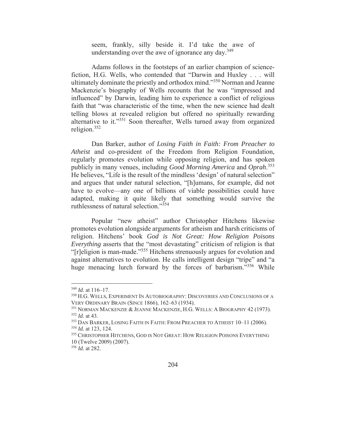seem, frankly, silly beside it. I'd take the awe of understanding over the awe of ignorance any day.<sup>349</sup>

Adams follows in the footsteps of an earlier champion of sciencefiction, H.G. Wells, who contended that "Darwin and Huxley . . . will ultimately dominate the priestly and orthodox mind."<sup>350</sup> Norman and Jeanne Mackenzie's biography of Wells recounts that he was "impressed and influenced" by Darwin, leading him to experience a conflict of religious faith that "was characteristic of the time, when the new science had dealt telling blows at revealed religion but offered no spiritually rewarding alternative to it."351 Soon thereafter, Wells turned away from organized religion.<sup>352</sup>

Dan Barker, author of Losing Faith in Faith: From Preacher to *Atheist* and co-president of the Freedom from Religion Foundation, regularly promotes evolution while opposing religion, and has spoken publicly in many venues, including *Good Morning America* and *Oprah*<sup>353</sup> He believes, "Life is the result of the mindless 'design' of natural selection" and argues that under natural selection, "[h]umans, for example, did not have to evolve—any one of billions of viable possibilities could have adapted, making it quite likely that something would survive the ruthlessness of natural selection."354

Popular "new atheist" author Christopher Hitchens likewise promotes evolution alongside arguments for atheism and harsh criticisms of religion. Hitchens' book God is Not Great: How Religion Poisons Everything asserts that the "most devastating" criticism of religion is that "Teligion is man-made."<sup>355</sup> Hitchens strenuously argues for evolution and against alternatives to evolution. He calls intelligent design "tripe" and "a huge menacing lurch forward by the forces of barbarism."356 While

 $349$  *Id.* at 116–17.

 $^{350}\,H.G.$  WELLS, EXPERIMENT IN AUTOBIOGRAPHY: DISCOVERIES AND CONCLUSIONS OF A VERY ORDINARY BRAIN (SINCE 1866), 162-63 (1934).

<sup>&</sup>lt;sup>351</sup> NORMAN MACKENZIE & JEANNE MACKENZIE, H.G. WELLS: A BIOGRAPHY 42 (1973).  $352$  *Id.* at 43.

<sup>353</sup> DAN BARKER, LOSING FAITH IN FAITH: FROM PREACHER TO ATHEIST 10-11 (2006). 354 *Id.* at 123, 124.

<sup>355</sup> CHRISTOPHER HITCHENS, GOD IS NOT GREAT: HOW RELIGION POISONS EVERYTHING 10 (Twelve 2009) (2007).

 $356$   $\dot{I}$ d. at 282.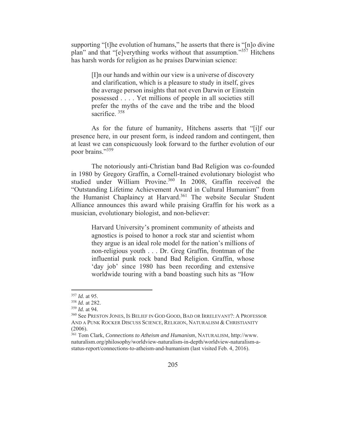supporting "[t]he evolution of humans," he asserts that there is "[n]o divine plan" and that "[e]verything works without that assumption."357 Hitchens has harsh words for religion as he praises Darwinian science:

[I]n our hands and within our view is a universe of discovery and clarification, which is a pleasure to study in itself, gives the average person insights that not even Darwin or Einstein possessed . . . . Yet millions of people in all societies still prefer the myths of the cave and the tribe and the blood sacrifice  $358$ 

As for the future of humanity, Hitchens asserts that "[i]f our presence here, in our present form, is indeed random and contingent, then at least we can conspicuously look forward to the further evolution of our poor brains."359

The notoriously anti-Christian band Bad Religion was co-founded in 1980 by Gregory Graffin, a Cornell-trained evolutionary biologist who studied under William Provine.<sup>360</sup> In 2008, Graffin received the "Outstanding Lifetime Achievement Award in Cultural Humanism" from the Humanist Chaplaincy at Harvard.<sup>361</sup> The website Secular Student Alliance announces this award while praising Graffin for his work as a musician, evolutionary biologist, and non-believer:

Harvard University's prominent community of atheists and agnostics is poised to honor a rock star and scientist whom they argue is an ideal role model for the nation's millions of non-religious youth . . . Dr. Greg Graffin, frontman of the influential punk rock band Bad Religion. Graffin, whose 'day job' since 1980 has been recording and extensive worldwide touring with a band boasting such hits as "How

 $357$  *Id.* at 95.

<sup>&</sup>lt;sup>358</sup> *Id.* at 282.

 $359$  *Id.* at 94.

<sup>&</sup>lt;sup>360</sup> See PRESTON JONES, IS BELIEF IN GOD GOOD, BAD OR IRRELEVANT?: A PROFESSOR AND A PUNK ROCKER DISCUSS SCIENCE, RELIGION, NATURALISM & CHRISTIANITY  $(2006).$ 

<sup>&</sup>lt;sup>361</sup> Tom Clark, *Connections to Atheism and Humanism*, NATURALISM, http://www. naturalism.org/philosophy/worldview-naturalism-in-depth/worldview-naturalism-astatus-report/connections-to-atheism-and-humanism (last visited Feb. 4, 2016).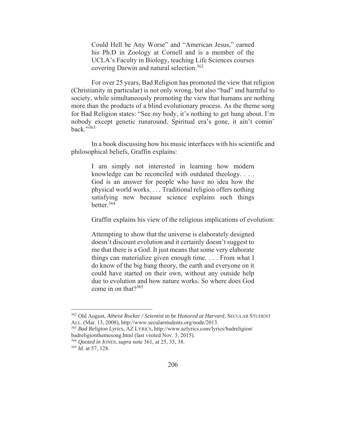Could Hell be Any Worse" and "American Jesus," earned his Ph.D in Zoology at Cornell and is a member of the UCLA's Faculty in Biology, teaching Life Sciences courses covering Darwin and natural selection.<sup>362</sup>

For over 25 years, Bad Religion has promoted the view that religion (Christianity in particular) is not only wrong, but also "bad" and harmful to society, while simultaneously promoting the view that humans are nothing more than the products of a blind evolutionary process. As the theme song for Bad Religion states: "See my body, it's nothing to get hung about. I'm nobody except genetic runaround. Spiritual era's gone, it ain't comin' back." $363$ 

In a book discussing how his music interfaces with his scientific and philosophical beliefs, Graffin explains:

I am simply not interested in learning how modern knowledge can be reconciled with outdated theology.... God is an answer for people who have no idea how the physical world works.... Traditional religion offers nothing satisfying now because science explains such things  $h$ etter  $364$ 

Graffin explains his view of the religious implications of evolution:

Attempting to show that the universe is elaborately designed doesn't discount evolution and it certainly doesn't suggest to me that there is a God. It just means that some very elaborate things can materialize given enough time.... From what I do know of the big bang theory, the earth and everyone on it could have started on their own, without any outside help due to evolution and how nature works. So where does God come in on that  $2^{365}$ 

<sup>&</sup>lt;sup>362</sup> Old August, Atheist Rocker / Scientist to be Honored at Harvard, SECULAR STUDENT ALL. (Mar. 13, 2008), http://www.secularstudents.org/node/2013.

<sup>&</sup>lt;sup>363</sup> Bad Religion Lyrics, AZ LYRICS, http://www.azlyrics.com/lyrics/badreligion/ badreligionthemesong.html (last visited Nov. 3, 2015).

<sup>&</sup>lt;sup>364</sup> Quoted in JONES, *supra* note 361, at 25, 33, 38.

 $365$   $\tilde{Id}$ . at 57, 128.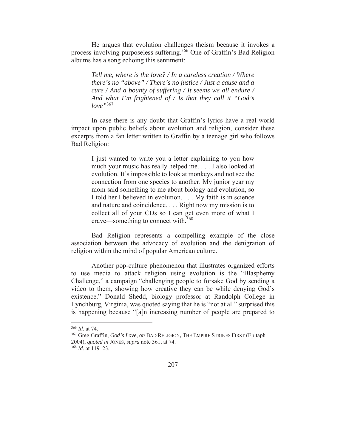He argues that evolution challenges theism because it invokes a process involving purposeless suffering.<sup>3 $\overline{66}$ </sup> One of Graffin's Bad Religion albums has a song echoing this sentiment:

*Tell me, where is the love? / In a careless creation / Where there's no "above" / There's no justice / Just a cause and a cure / And a bounty of suffering / It seems we all endure / And what I'm frightened of / Is that they call it "God's love"*

In case there is any doubt that Graffin's lyrics have a real-world impact upon public beliefs about evolution and religion, consider these excerpts from a fan letter written to Graffin by a teenage girl who follows Bad Religion:

> I just wanted to write you a letter explaining to you how much your music has really helped me.  $\ldots$  I also looked at evolution. It's impossible to look at monkeys and not see the connection from one species to another. My junior year my mom said something to me about biology and evolution, so I told her I believed in evolution.  $\ldots$  My faith is in science and nature and coincidence.... Right now my mission is to collect all of your CDs so I can get even more of what I crave—something to connect with. $368$

Bad Religion represents a compelling example of the close association between the advocacy of evolution and the denigration of religion within the mind of popular American culture.

Another pop-culture phenomenon that illustrates organized efforts to use media to attack religion using evolution is the "Blasphemy" Challenge," a campaign "challenging people to forsake God by sending a video to them, showing how creative they can be while denying God's existence." Donald Shedd, biology professor at Randolph College in Lynchburg, Virginia, was quoted saying that he is "not at all" surprised this is happening because "[a]n increasing number of people are prepared to

 $366$  *Id.* at 74.

<sup>&</sup>lt;sup>367</sup> Greg Graffin, God's Love, on BAD RELIGION, THE EMPIRE STRIKES FIRST (Epitaph 2004), quoted in JONES, supra note 361, at 74.

 $^{368}$  *Id.* at 119–23.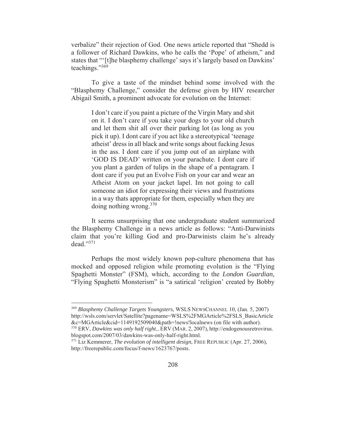verbalize" their rejection of God. One news article reported that "Shedd is a follower of Richard Dawkins, who he calls the 'Pope' of atheism," and states that ""[t]he blasphemy challenge' says it's largely based on Dawkins' teachings." $369$ 

To give a taste of the mindset behind some involved with the "Blasphemy Challenge," consider the defense given by HIV researcher Abigail Smith, a prominent advocate for evolution on the Internet:

I don't care if you paint a picture of the Virgin Mary and shit on it. I don't care if you take your dogs to your old church and let them shit all over their parking lot (as long as you pick it up). I dont care if you act like a stereotypical 'teenage atheist' dress in all black and write songs about fucking Jesus in the ass. I dont care if you jump out of an airplane with 'GOD IS DEAD' written on your parachute. I dont care if you plant a garden of tulips in the shape of a pentagram. I dont care if you put an Evolve Fish on your car and wear an Atheist Atom on your jacket lapel. Im not going to call someone an idiot for expressing their views and frustrations in a way thats appropriate for them, especially when they are doing nothing wrong.  $370$ 

It seems unsurprising that one undergraduate student summarized the Blasphemy Challenge in a news article as follows: "Anti-Darwinists" claim that you're killing God and pro-Darwinists claim he's already  $dead.^{\cdot,371}$ 

Perhaps the most widely known pop-culture phenomena that has mocked and opposed religion while promoting evolution is the "Flying" Spaghetti Monster" (FSM), which, according to the London Guardian, "Flying Spaghetti Monsterism" is "a satirical 'religion' created by Bobby

<sup>369</sup> Blasphemy Challenge Targets Youngsters, WSLS NEWSCHANNEL 10, (Jan. 5, 2007) http://wsls.com/servlet/Satellite?pagename=WSLS%2FMGArticle%2FSLS\_BasicArticle &c=MGArticle&cid=1149192509040&path=!news!localnews (on file with author).

<sup>&</sup>lt;sup>370</sup> ERV, *Dawkins was only half right.*, ERV (MAR. 2, 2007), http://endogenousretrovirus. blogspot.com/2007/03/dawkins-was-only-half-right.html.

<sup>371</sup> Liz Kemmerer, The evolution of intelligent design, FREE REPUBLIC (Apr. 27, 2006), http://freerepublic.com/focus/f-news/1623767/posts.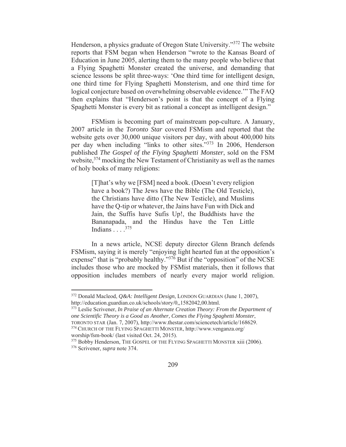Henderson, a physics graduate of Oregon State University."<sup>372</sup> The website reports that FSM began when Henderson "wrote to the Kansas Board of Education in June 2005, alerting them to the many people who believe that a Flying Spaghetti Monster created the universe, and demanding that science lessons be split three-ways: 'One third time for intelligent design, one third time for Flying Spaghetti Monsterism, and one third time for logical conjecture based on overwhelming observable evidence." The FAQ then explains that "Henderson's point is that the concept of a Flying Spaghetti Monster is every bit as rational a concept as intelligent design."

FSMism is becoming part of mainstream pop-culture. A January, 2007 article in the *Toronto Star* covered FSMism and reported that the website gets over 30,000 unique visitors per day, with about 400,000 hits per day when including "links to other sites."373 In 2006, Henderson published The Gospel of the Flying Spaghetti Monster, sold on the FSM website, <sup>374</sup> mocking the New Testament of Christianity as well as the names of holy books of many religions:

[T] hat's why we [FSM] need a book. (Doesn't every religion have a book?) The Jews have the Bible (The Old Testicle), the Christians have ditto (The New Testicle), and Muslims have the O-tip or whatever, the Jains have Fun with Dick and Jain, the Suffis have Sufis Up!, the Buddhists have the Bananapada, and the Hindus have the Ten Little Indians  $\ldots$  .<sup>375</sup>

In a news article, NCSE deputy director Glenn Branch defends FSMism, saying it is merely "enjoying light hearted fun at the opposition's expense" that is "probably healthy."<sup>376</sup> But if the "opposition" of the NCSE includes those who are mocked by FSMist materials, then it follows that opposition includes members of nearly every major world religion.

373 Leslie Scrivener, In Praise of an Alternate Creation Theory: From the Department of one Scientific Theory is a Good as Another, Comes the Flying Spaghetti Monster, TORONTO STAR (Jan. 7, 2007), http://www.thestar.com/sciencetech/article/168629. 374 CHURCH OF THE FLYING SPAGHETTI MONSTER, http://www.venganza.org/

worship/fsm-book/ (last visited Oct. 24, 2015).

<sup>372</sup> Donald Macleod, *Q&A: Intelligent Design*, LONDON GUARDIAN (June 1, 2007), http://education.guardian.co.uk/schools/story/0,,1582042,00.html.

<sup>375</sup> Bobby Henderson, THE GOSPEL OF THE FLYING SPAGHETTI MONSTER xiii (2006). <sup>376</sup> Scrivener, *supra* note 374.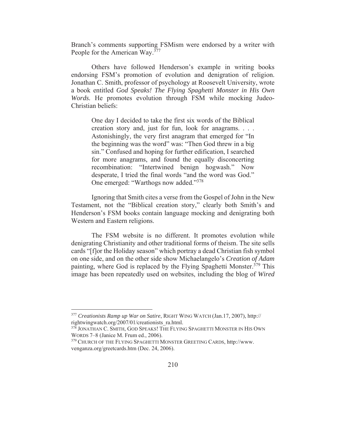Branch's comments supporting FSMism were endorsed by a writer with People for the American Way.<sup>377</sup>

Others have followed Henderson's example in writing books endorsing FSM's promotion of evolution and denigration of religion. Jonathan C. Smith, professor of psychology at Roosevelt University, wrote a book entitled God Speaks! The Flying Spaghetti Monster in His Own Words. He promotes evolution through FSM while mocking Judeo-Christian beliefs:

One day I decided to take the first six words of the Biblical creation story and, just for fun, look for anagrams. . . . Astonishingly, the very first anagram that emerged for "In the beginning was the word" was: "Then God threw in a big sin." Confused and hoping for further edification, I searched for more anagrams, and found the equally disconcerting recombination: "Intertwined benign hogwash." Now desperate, I tried the final words "and the word was God." One emerged: "Warthogs now added."378

Ignoring that Smith cites a verse from the Gospel of John in the New Testament, not the "Biblical creation story," clearly both Smith's and Henderson's FSM books contain language mocking and denigrating both Western and Eastern religions.

The FSM website is no different. It promotes evolution while denigrating Christianity and other traditional forms of theism. The site sells cards "[f] or the Holiday season" which portray a dead Christian fish symbol on one side, and on the other side show Michaelangelo's Creation of Adam painting, where God is replaced by the Flying Spaghetti Monster.<sup>379</sup> This image has been repeatedly used on websites, including the blog of Wired

<sup>378</sup> JONATHAN C. SMITH, GOD SPEAKS! THE FLYING SPAGHETTI MONSTER IN HIS OWN WORDS 7-8 (Janice M. Frum ed., 2006).

<sup>&</sup>lt;sup>377</sup> Creationists Ramp up War on Satire, RIGHT WING WATCH (Jan.17, 2007), http:// rightwingwatch.org/2007/01/creationists ra.html.

<sup>&</sup>lt;sup>379</sup> CHURCH OF THE FLYING SPAGHETTI MONSTER GREETING CARDS, http://www. venganza.org/greetcards.htm (Dec. 24, 2006).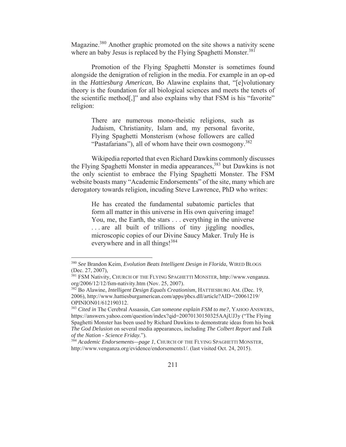Magazine.<sup>380</sup> Another graphic promoted on the site shows a nativity scene where an baby Jesus is replaced by the Flying Spaghetti Monster.<sup>381</sup>

Promotion of the Flying Spaghetti Monster is sometimes found alongside the denigration of religion in the media. For example in an op-ed in the *Hattiesburg American*, Bo Alawine explains that, "[e]volutionary theory is the foundation for all biological sciences and meets the tenets of the scientific method[,]" and also explains why that FSM is his "favorite" religion:

There are numerous mono-theistic religions, such as Judaism, Christianity, Islam and, my personal favorite, Flying Spaghetti Monsterism (whose followers are called "Pastafarians"), all of whom have their own cosmogony.<sup>382</sup>

Wikipedia reported that even Richard Dawkins commonly discusses the Flying Spaghetti Monster in media appearances,<sup>383</sup> but Dawkins is not the only scientist to embrace the Flying Spaghetti Monster. The FSM website boasts many "Academic Endorsements" of the site, many which are derogatory towards religion, incuding Steve Lawrence, PhD who writes:

He has created the fundamental subatomic particles that form all matter in this universe in His own quivering image! You, me, the Earth, the stars . . . everything in the universe ... are all built of trillions of tiny jiggling noodles, microscopic copies of our Divine Saucy Maker. Truly He is everywhere and in all things!<sup>384</sup>

<sup>&</sup>lt;sup>380</sup> See Brandon Keim, *Evolution Beats Intelligent Design in Florida*, WIRED BLOGS (Dec. 27, 2007).

<sup>&</sup>lt;sup>381</sup> FSM Nativity, CHURCH OF THE FLYING SPAGHETTI MONSTER, http://www.venganza. org/2006/12/12/fsm-nativity.htm (Nov. 25, 2007).

<sup>&</sup>lt;sup>382</sup> Bo Alawine, *Intelligent Design Equals Creationism*, HATTIESBURG AM. (Dec. 19, 2006), http://www.hattiesburgamerican.com/apps/pbcs.dll/article?AID=/20061219/ OPINION01/612190312.

<sup>&</sup>lt;sup>383</sup> Cited in The Cerebral Assassin, *Can someone explain FSM to me?*, YAHOO ANSWERS, https://answers.yahoo.com/question/index?qid=20070130150325AAjUJ3y ("The Flying Spaghetti Monster has been used by Richard Dawkins to demonstrate ideas from his book The God Delusion on several media appearances, including The Colbert Report and Talk of the Nation - Science Friday.").

<sup>&</sup>lt;sup>384</sup> Academic Endorsements-page 1, CHURCH OF THE FLYING SPAGHETTI MONSTER, http://www.yenganza.org/evidence/endorsements1/. (last visited Oct. 24, 2015).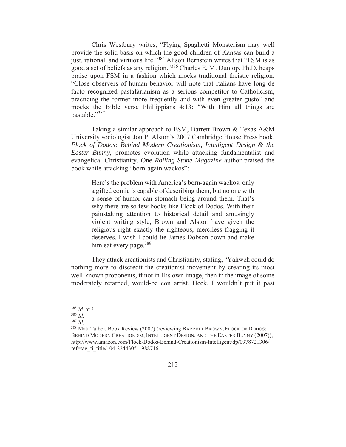Chris Westbury writes, "Flying Spaghetti Monsterism may well provide the solid basis on which the good children of Kansas can build a just, rational, and virtuous life."<sup>385</sup> Alison Bernstein writes that "FSM is as good a set of beliefs as any religion."386 Charles E. M. Dunlop, Ph.D, heaps praise upon FSM in a fashion which mocks traditional theistic religion: "Close observers of human behavior will note that Italians have long de facto recognized pastafarianism as a serious competitor to Catholicism, practicing the former more frequently and with even greater gusto" and mocks the Bible verse Phillippians 4:13: "With Him all things are pastable."387

Taking a similar approach to FSM, Barrett Brown & Texas A&M University sociologist Jon P. Alston's 2007 Cambridge House Press book, Flock of Dodos: Behind Modern Creationism, Intelligent Design & the *Easter Bunny*, promotes evolution while attacking fundamentalist and evangelical Christianity. One *Rolling Stone Magazine* author praised the book while attacking "born-again wackos":

Here's the problem with America's born-again wackos: only a gifted comic is capable of describing them, but no one with a sense of humor can stomach being around them. That's why there are so few books like Flock of Dodos. With their painstaking attention to historical detail and amusingly violent writing style, Brown and Alston have given the religious right exactly the righteous, merciless fragging it deserves. I wish I could tie James Dobson down and make him eat every page.<sup>388</sup>

They attack creationists and Christianity, stating, "Yahweh could do nothing more to discredit the creationist movement by creating its most well-known proponents, if not in His own image, then in the image of some moderately retarded, would-be con artist. Heck, I wouldn't put it past

 $385$  *Id.* at 3.

 $^{386}\,Id.$ 

 $387$  *Id.* 

<sup>&</sup>lt;sup>388</sup> Matt Taibbi, Book Review (2007) (reviewing BARRETT BROWN, FLOCK OF DODOS: BEHIND MODERN CREATIONISM, INTELLIGENT DESIGN, AND THE EASTER BUNNY (2007)), http://www.amazon.com/Flock-Dodos-Behind-Creationism-Intelligent/dp/0978721306/ ref=tag ti title/104-2244305-1988716.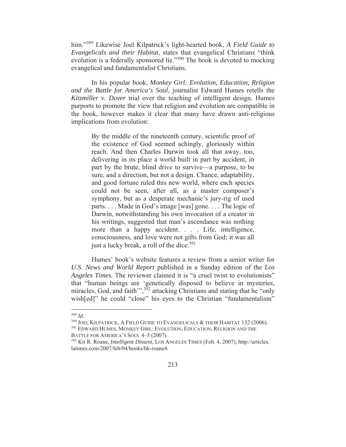him."389 Likewise Joel Kilpatrick's light-hearted book, A Field Guide to Evangelicals and their Habitat, states that evangelical Christians "think" evolution is a federally sponsored lie."<sup>390</sup> The book is devoted to mocking evangelical and fundamentalist Christians.

In his popular book, Monkey Girl: Evolution, Education, Religion and the Battle for America's Soul, journalist Edward Humes retells the Kitzmiller v. Dover trial over the teaching of intelligent design. Humes purports to promote the view that religion and evolution are compatible in the book, however makes it clear that many have drawn anti-religious implications from evolution:

By the middle of the nineteenth century, scientific proof of the existence of God seemed achingly, gloriously within reach. And then Charles Darwin took all that away, too, delivering in its place a world built in part by accident, in part by the brute, blind drive to survive—a purpose, to be sure, and a direction, but not a design. Chance, adaptability, and good fortune ruled this new world, where each species could not be seen, after all, as a master composer's symphony, but as a desperate mechanic's jury-rig of used parts.... Made in God's image [was] gone.... The logic of Darwin, notwithstanding his own invocation of a creator in his writings, suggested that man's ascendance was nothing more than a happy accident. . . . Life, intelligence, consciousness, and love were not gifts from God; it was all just a lucky break, a roll of the dice.<sup>391</sup>

Humes' book's website features a review from a senior writer for U.S. News and World Report published in a Sunday edition of the Los Angeles Times. The reviewer claimed it is "a cruel twist to evolutionists" that "human beings are 'genetically disposed to believe in mysteries, miracles, God, and faith",<sup>392</sup> attacking Christians and stating that he "only" wish [ed]" he could "close" his eyes to the Christian "fundamentalism"

BATTLE FOR AMERICA'S SOUL 4-5 (2007).

 $389$  *Id.* 

<sup>&</sup>lt;sup>390</sup> JOEL KILPATRICK, A FIELD GUIDE TO EVANGELICALS & THEIR HABITAT 132 (2006). <sup>391</sup> EDWARD HUMES, MONKEY GIRL: EVOLUTION, EDUCATION, RELIGION AND THE

<sup>&</sup>lt;sup>392</sup> Kit R. Roane, *Intelligent Dissent*, LOS ANGELES TIMES (Feb. 4, 2007), http://articles. latimes.com/2007/feb/04/books/bk-roane4.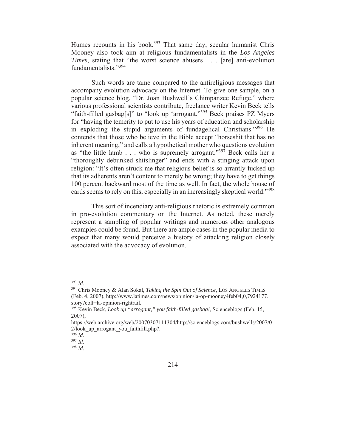Humes recounts in his book.<sup>393</sup> That same day, secular humanist Chris Mooney also took aim at religious fundamentalists in the Los Angeles *Times*, stating that "the worst science abusers . . . [are] anti-evolution fundamentalists."394

Such words are tame compared to the antireligious messages that accompany evolution advocacy on the Internet. To give one sample, on a popular science blog, "Dr. Joan Bushwell's Chimpanzee Refuge," where various professional scientists contribute, freelance writer Kevin Beck tells "faith-filled gasbag[s]" to "look up 'arrogant."<sup>395</sup> Beck praises PZ Myers for "having the temerity to put to use his years of education and scholarship in exploding the stupid arguments of fundagelical Christians."<sup>396</sup> He contends that those who believe in the Bible accept "horseshit that has no inherent meaning," and calls a hypothetical mother who questions evolution as "the little lamb... who is supremely arrogant."  $397$  Beck calls her a "thoroughly debunked shitslinger" and ends with a stinging attack upon religion: "It's often struck me that religious belief is so arrantly fucked up that its adherents aren't content to merely be wrong; they have to get things 100 percent backward most of the time as well. In fact, the whole house of cards seems to rely on this, especially in an increasingly skeptical world."<sup>398</sup>

This sort of incendiary anti-religious rhetoric is extremely common in pro-evolution commentary on the Internet. As noted, these merely represent a sampling of popular writings and numerous other analogous examples could be found. But there are ample cases in the popular media to expect that many would perceive a history of attacking religion closely associated with the advocacy of evolution.

 $393$  *Id.* 

<sup>&</sup>lt;sup>394</sup> Chris Mooney & Alan Sokal, *Taking the Spin Out of Science*, LOS ANGELES TIMES (Feb. 4, 2007), http://www.latimes.com/news/opinion/la-op-mooney4feb04,0,7924177. story?coll=la-opinion-rightrail.

<sup>&</sup>lt;sup>395</sup> Kevin Beck, *Look up "arrogant," you faith-filled gasbag!*, Scienceblogs (Feb. 15,  $2007$ ).

https://web.archive.org/web/20070307111304/http://scienceblogs.com/bushwells/2007/0 2/look up arrogant you faithfill.php?.

 $396$  *Id.* 

 $397$  *Id.*  $398$  *Id.*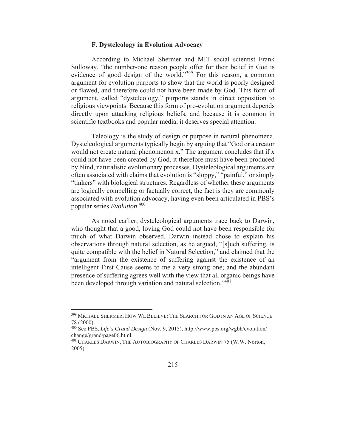### F. Dysteleology in Evolution Advocacy

According to Michael Shermer and MIT social scientist Frank Sulloway, "the number-one reason people offer for their belief in God is evidence of good design of the world."399 For this reason, a common argument for evolution purports to show that the world is poorly designed or flawed, and therefore could not have been made by God. This form of argument, called "dysteleology," purports stands in direct opposition to religious viewpoints. Because this form of pro-evolution argument depends directly upon attacking religious beliefs, and because it is common in scientific textbooks and popular media, it deserves special attention.

Teleology is the study of design or purpose in natural phenomena. Dysteleological arguments typically begin by arguing that "God or a creator" would not create natural phenomenon x." The argument concludes that if x could not have been created by God, it therefore must have been produced by blind, naturalistic evolutionary processes. Dysteleological arguments are often associated with claims that evolution is "sloppy," "painful," or simply "tinkers" with biological structures. Regardless of whether these arguments are logically compelling or factually correct, the fact is they are commonly associated with evolution advocacy, having even been articulated in PBS's popular series Evolution.<sup>400</sup>

As noted earlier, dysteleological arguments trace back to Darwin, who thought that a good, loving God could not have been responsible for much of what Darwin observed. Darwin instead chose to explain his observations through natural selection, as he argued, "[s]uch suffering, is quite compatible with the belief in Natural Selection," and claimed that the "argument from the existence of suffering against the existence of an intelligent First Cause seems to me a very strong one; and the abundant presence of suffering agrees well with the view that all organic beings have been developed through variation and natural selection."401

<sup>&</sup>lt;sup>399</sup> MICHAEL SHERMER, HOW WE BELIEVE: THE SEARCH FOR GOD IN AN AGE OF SCIENCE 78 (2000).

<sup>&</sup>lt;sup>400</sup> See PBS, *Life's Grand Design* (Nov. 9, 2015), http://www.pbs.org/wgbh/evolution/ change/grand/page06.html.

<sup>401</sup> CHARLES DARWIN, THE AUTOBIOGRAPHY OF CHARLES DARWIN 75 (W.W. Norton,  $2005$ ).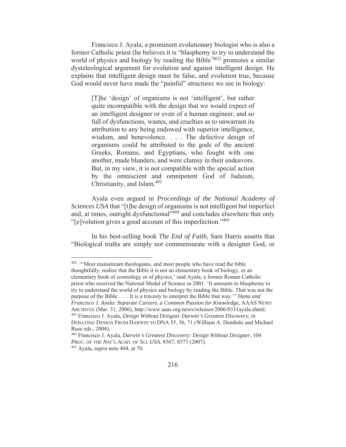Francisco J. Ayala, a prominent evolutionary biologist who is also a former Catholic priest (he believes it is "blasphemy to try to understand the world of physics and biology by reading the Bible<sup>"402)</sup> promotes a similar dysteleological argument for evolution and against intelligent design. He explains that intelligent design must be false, and evolution true, because God would never have made the "painful" structures we see in biology:

[T]he 'design' of organisms is not 'intelligent', but rather quite incompatible with the design that we would expect of an intelligent designer or even of a human engineer, and so full of dysfunctions, wastes, and cruelties as to unwarrant its attribution to any being endowed with superior intelligence, wisdom, and benevolence. . . . The defective design of organisms could be attributed to the gods of the ancient Greeks, Romans, and Egyptians, who fought with one another, made blunders, and were clumsy in their endeavors. But, in my view, it is not compatible with the special action by the omniscient and omnipotent God of Judaism, Christianity, and Islam.<sup>403</sup>

Ayala even argued in Proceedings of the National Academy of Sciences USA that "[t]he design of organisms is not intelligent but imperfect and, at times, outright dysfunctional"<sup>404</sup> and concludes elsewhere that only "[e]volution gives a good account of this imperfection."<sup>405</sup>

In his best-selling book *The End of Faith*, Sam Harris asserts that "Biological truths are simply not commensurate with a designer God, or

<sup>&</sup>lt;sup>402</sup> "Most mainstream theologians, and most people who have read the bible thoughtfully, realize that the Bible it is not an elementary book of biology, or an elementary book of cosmology or of physics,' said Ayala, a former Roman Catholic priest who received the National Medal of Science in 2001. 'It amounts to blasphemy to try to understand the world of physics and biology by reading the Bible. That was not the purpose of the Bible . . . . It is a travesty to interpret the Bible that way." Hana and Francisco J. Ayala: Separate Careers, a Common Passion for Knowledge, AAAS NEWS ARCHIVES (Mar. 31, 2006), http://www.aaas.org/news/releases/2006/0331avala.shtml. 403 Francisco J. Ayala, Design Without Designer Darwin's Greatest Discovery, in DEBATING DESIGN FROM DARWIN TO DNA 55, 56, 71 (William A. Dembski and Michael Ruse eds., 2004).

<sup>404</sup> Francisco J. Ayala, Darwin's Greatest Discovery: Design Without Designer, 104 PROC. OF THE NAT'L ACAD. OF SCI. USA, 8567, 8573 (2007).  $405$  Ayala, *supra* note 404, at 70.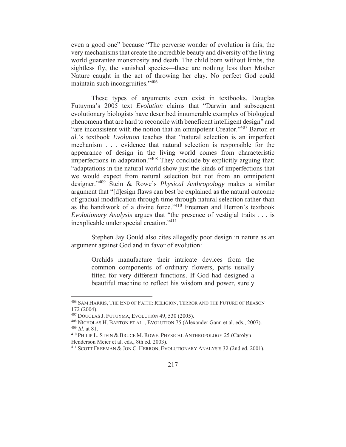even a good one" because "The perverse wonder of evolution is this; the very mechanisms that create the incredible beauty and diversity of the living world guarantee monstrosity and death. The child born without limbs, the sightless fly, the vanished species—these are nothing less than Mother Nature caught in the act of throwing her clay. No perfect God could maintain such incongruities."406

These types of arguments even exist in textbooks. Douglas Futuyma's 2005 text Evolution claims that "Darwin and subsequent evolutionary biologists have described innumerable examples of biological phenomena that are hard to reconcile with beneficent intelligent design" and "are inconsistent with the notion that an omnipotent Creator." A07 Barton *et* al.'s textbook *Evolution* teaches that "natural selection is an imperfect mechanism . . . evidence that natural selection is responsible for the appearance of design in the living world comes from characteristic imperfections in adaptation."<sup>408</sup> They conclude by explicitly arguing that: "adaptations in the natural world show just the kinds of imperfections that we would expect from natural selection but not from an omnipotent designer."409 Stein & Rowe's Physical Anthropology makes a similar argument that "[d]esign flaws can best be explained as the natural outcome of gradual modification through time through natural selection rather than as the handiwork of a divine force."410 Freeman and Herron's textbook Evolutionary Analysis argues that "the presence of vestigial traits . . . is inexplicable under special creation."<sup>411</sup>

Stephen Jay Gould also cites allegedly poor design in nature as an argument against God and in favor of evolution:

Orchids manufacture their intricate devices from the common components of ordinary flowers, parts usually fitted for very different functions. If God had designed a beautiful machine to reflect his wisdom and power, surely

<sup>406</sup> SAM HARRIS, THE END OF FAITH: RELIGION, TERROR AND THE FUTURE OF REASON  $172(2004)$ .

<sup>407</sup> DOUGLAS J. FUTUYMA, EVOLUTION 49, 530 (2005).

<sup>&</sup>lt;sup>408</sup> NICHOLAS H. BARTON ET AL., EVOLUTION 75 (Alexander Gann et al. eds., 2007).  $409$  *Id.* at 81.

<sup>410</sup> PHILIP L. STEIN & BRUCE M. ROWE, PHYSICAL ANTHROPOLOGY 25 (Carolyn Henderson Meier et al. eds., 8th ed. 2003).

<sup>&</sup>lt;sup>411</sup> SCOTT FREEMAN & JON C. HERRON, EVOLUTIONARY ANALYSIS 32 (2nd ed. 2001).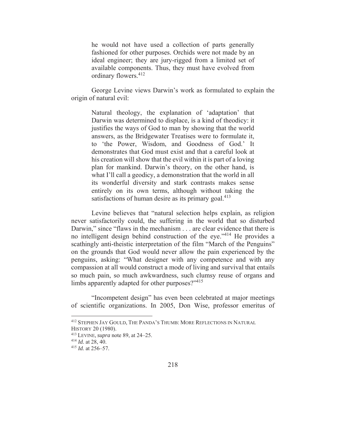he would not have used a collection of parts generally fashioned for other purposes. Orchids were not made by an ideal engineer; they are jury-rigged from a limited set of available components. Thus, they must have evolved from ordinary flowers.<sup>412</sup>

George Levine views Darwin's work as formulated to explain the origin of natural evil:

Natural theology, the explanation of 'adaptation' that Darwin was determined to displace, is a kind of theodicy: it justifies the ways of God to man by showing that the world answers, as the Bridgewater Treatises were to formulate it, to 'the Power, Wisdom, and Goodness of God.' It demonstrates that God must exist and that a careful look at his creation will show that the evil within it is part of a loving plan for mankind. Darwin's theory, on the other hand, is what I'll call a geodicy, a demonstration that the world in all its wonderful diversity and stark contrasts makes sense entirely on its own terms, although without taking the satisfactions of human desire as its primary goal.<sup>413</sup>

Levine believes that "natural selection helps explain, as religion never satisfactorily could, the suffering in the world that so disturbed Darwin," since "flaws in the mechanism . . . are clear evidence that there is no intelligent design behind construction of the eye."<sup>414</sup> He provides a scathingly anti-theistic interpretation of the film "March of the Penguins" on the grounds that God would never allow the pain experienced by the penguins, asking: "What designer with any competence and with any compassion at all would construct a mode of living and survival that entails so much pain, so much awkwardness, such clumsy reuse of organs and limbs apparently adapted for other purposes?"415

"Incompetent design" has even been celebrated at major meetings of scientific organizations. In 2005, Don Wise, professor emeritus of

HISTORY 20 (1980).

<sup>&</sup>lt;sup>412</sup> STEPHEN JAY GOULD, THE PANDA'S THUMB: MORE REFLECTIONS IN NATURAL

<sup>413</sup> LEVINE, *supra* note 89, at 24-25.

 $414$  *Id.* at 28, 40.

 $^{415}$  *Id.* at 256–57.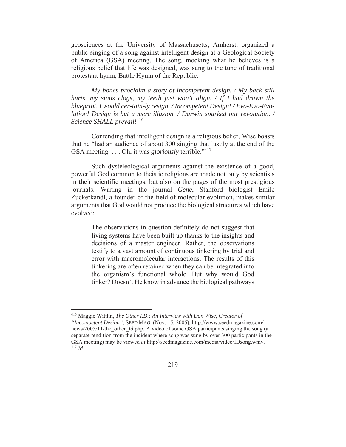geosciences at the University of Massachusetts, Amherst, organized a public singing of a song against intelligent design at a Geological Society of America (GSA) meeting. The song, mocking what he believes is a religious belief that life was designed, was sung to the tune of traditional protestant hymn, Battle Hymn of the Republic:

*My bones proclaim a story of incompetent design. / My back still hurts, my sinus clogs, my teeth just won't align. / If I had drawn the blueprint, I would cer-tain-ly resign. / Incompetent Design! / Evo-Evo-Evolution! Design is but a mere illusion. / Darwin sparked our revolution. / Science SHALL prevail!*

Contending that intelligent design is a religious belief, Wise boasts that he "had an audience of about 300 singing that lustily at the end of the GSA meeting. . . . Oh, it was *gloriously* terrible."<sup>417</sup>

Such dysteleological arguments against the existence of a good, powerful God common to theistic religions are made not only by scientists in their scientific meetings, but also on the pages of the most prestigious journals. Writing in the journal Gene, Stanford biologist Emile Zuckerkandl, a founder of the field of molecular evolution, makes similar arguments that God would not produce the biological structures which have evolved:

> The observations in question definitely do not suggest that living systems have been built up thanks to the insights and decisions of a master engineer. Rather, the observations testify to a vast amount of continuous tinkering by trial and error with macromolecular interactions. The results of this tinkering are often retained when they can be integrated into the organism's functional whole. But why would God tinker? Doesn't He know in advance the biological pathways

<sup>&</sup>lt;sup>416</sup> Maggie Wittlin, The Other I.D.: An Interview with Don Wise, Creator of "Incompetent Design", SEED MAG. (Nov. 15, 2005), http://www.seedmagazine.com/ news/2005/11/the other *Id.php*; A video of some GSA participants singing the song (a separate rendition from the incident where song was sung by over 300 participants in the GSA meeting) may be viewed at http://seedmagazine.com/media/video/IDsong.wmv.  $^{417}$  *Id.*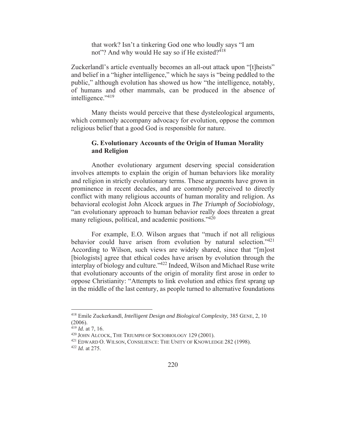that work? Isn't a tinkering God one who loudly says "I am not"? And why would He say so if He existed?<sup>418</sup>

Zuckerlandl's article eventually becomes an all-out attack upon "[t]heists" and belief in a "higher intelligence," which he says is "being peddled to the public," although evolution has showed us how "the intelligence, notably, of humans and other mammals, can be produced in the absence of intelligence."<sup>419</sup>

Many theists would perceive that these dysteleological arguments, which commonly accompany advocacy for evolution, oppose the common religious belief that a good God is responsible for nature.

## G. Evolutionary Accounts of the Origin of Human Morality and Religion

Another evolutionary argument deserving special consideration involves attempts to explain the origin of human behaviors like morality and religion in strictly evolutionary terms. These arguments have grown in prominence in recent decades, and are commonly perceived to directly conflict with many religious accounts of human morality and religion. As behavioral ecologist John Alcock argues in The Triumph of Sociobiology, "an evolutionary approach to human behavior really does threaten a great many religious, political, and academic positions."<sup>420</sup>

For example, E.O. Wilson argues that "much if not all religious behavior could have arisen from evolution by natural selection."<sup>421</sup> According to Wilson, such views are widely shared, since that "[m]ost [biologists] agree that ethical codes have arisen by evolution through the interplay of biology and culture."<sup>422</sup> Indeed, Wilson and Michael Ruse write that evolutionary accounts of the origin of morality first arose in order to oppose Christianity: "Attempts to link evolution and ethics first sprang up in the middle of the last century, as people turned to alternative foundations

<sup>418</sup> Emile Zuckerkandl, Intelligent Design and Biological Complexity, 385 GENE, 2, 10  $(2006).$ 

 $419$  *Id.* at 7, 16.

<sup>420</sup> JOHN ALCOCK, THE TRIUMPH OF SOCIOBIOLOGY 129 (2001).

<sup>&</sup>lt;sup>421</sup> EDWARD O. WILSON, CONSILIENCE: THE UNITY OF KNOWLEDGE 282 (1998).

 $422$  *Id.* at 275.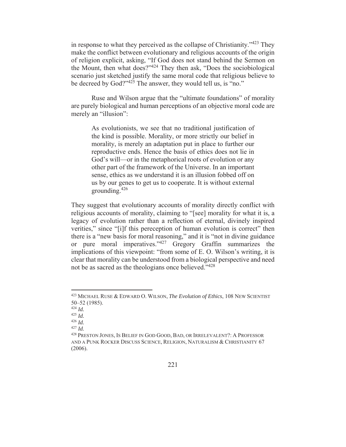in response to what they perceived as the collapse of Christianity."<sup>423</sup> They make the conflict between evolutionary and religious accounts of the origin of religion explicit, asking, "If God does not stand behind the Sermon on the Mount, then what does?"<sup>424</sup> They then ask, "Does the sociobiological scenario just sketched justify the same moral code that religious believe to be decreed by God?"<sup>425</sup> The answer, they would tell us, is "no."

Ruse and Wilson argue that the "ultimate foundations" of morality are purely biological and human perceptions of an objective moral code are merely an "illusion":

As evolutionists, we see that no traditional justification of the kind is possible. Morality, or more strictly our belief in morality, is merely an adaptation put in place to further our reproductive ends. Hence the basis of ethics does not lie in God's will—or in the metaphorical roots of evolution or any other part of the framework of the Universe. In an important sense, ethics as we understand it is an illusion fobbed off on us by our genes to get us to cooperate. It is without external grounding. $426$ 

They suggest that evolutionary accounts of morality directly conflict with religious accounts of morality, claiming to "[see] morality for what it is, a legacy of evolution rather than a reflection of eternal, divinely inspired verities," since "[i]f this pereception of human evolution is correct" then there is a "new basis for moral reasoning," and it is "not in divine guidance or pure moral imperatives." $427$  Gregory Graffin summarizes the implications of this viewpoint: "from some of E. O. Wilson's writing, it is clear that morality can be understood from a biological perspective and need not be as sacred as the theologians once believed."<sup>428</sup>

<sup>&</sup>lt;sup>423</sup> MICHAEL RUSE & EDWARD O. WILSON, The Evolution of Ethics, 108 NEW SCIENTIST 50-52 (1985).

 $424$  *Id.* 

 $425$  *Id.* 

 $426$  *Id.* 

 $427$  *Id.* 

<sup>428</sup> PRESTON JONES, IS BELIEF IN GOD GOOD, BAD, OR IRRELEVALENT?: A PROFESSOR AND A PUNK ROCKER DISCUSS SCIENCE, RELIGION, NATURALISM & CHRISTIANITY 67  $(2006).$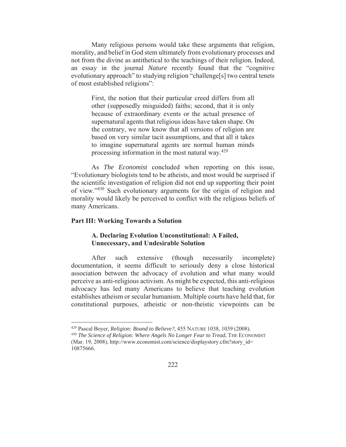Many religious persons would take these arguments that religion, morality, and belief in God stem ultimately from evolutionary processes and not from the divine as antithetical to the teachings of their religion. Indeed, an essay in the journal *Nature* recently found that the "cognitive" evolutionary approach" to studying religion "challenge[s] two central tenets of most established religions":

First, the notion that their particular creed differs from all other (supposedly misguided) faiths; second, that it is only because of extraordinary events or the actual presence of supernatural agents that religious ideas have taken shape. On the contrary, we now know that all versions of religion are based on very similar tacit assumptions, and that all it takes to imagine supernatural agents are normal human minds processing information in the most natural way.<sup>429</sup>

As *The Economist* concluded when reporting on this issue, "Evolutionary biologists tend to be atheists, and most would be surprised if the scientific investigation of religion did not end up supporting their point of view."<sup>430</sup> Such evolutionary arguments for the origin of religion and morality would likely be perceived to conflict with the religious beliefs of many Americans.

#### **Part III: Working Towards a Solution**

## A. Declaring Evolution Unconstitutional: A Failed, **Unnecessary, and Undesirable Solution**

After such extensive (though necessarily incomplete) documentation, it seems difficult to seriously deny a close historical association between the advocacy of evolution and what many would perceive as anti-religious activism. As might be expected, this anti-religious advocacy has led many Americans to believe that teaching evolution establishes atheism or secular humanism. Multiple courts have held that, for constitutional purposes, atheistic or non-theistic viewpoints can be

<sup>&</sup>lt;sup>429</sup> Pascal Boyer, *Religion: Bound to Believe?*, 455 NATURE 1038, 1039 (2008).

<sup>430</sup> The Science of Religion: Where Angels No Longer Fear to Tread, THE ECONOMIST (Mar. 19, 2008), http://www.economist.com/science/displaystory.cfm?story\_id= 10875666.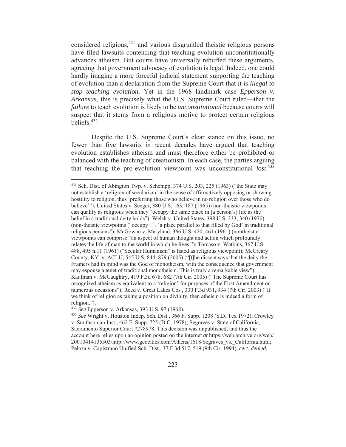considered religious,<sup>431</sup> and various disgruntled theistic religious persons have filed lawsuits contending that teaching evolution unconstitutionally advances atheism. But courts have universally rebuffed these arguments, agreeing that government advocacy of evolution is legal. Indeed, one could hardly imagine a more forceful judicial statement supporting the teaching of evolution than a declaration from the Supreme Court that it is *illegal to stop teaching evolution.* Yet in the 1968 landmark case *Epperson v. Arkansas*, this is precisely what the U.S. Supreme Court ruled—that the *failure* to teach evolution is likely to be *unconstitutional* because courts will suspect that it stems from a religious motive to protect certain religious beliefs. $432$ 

Despite the U.S. Supreme Court's clear stance on this issue, no fewer than five lawsuits in recent decades have argued that teaching evolution establishes atheism and must therefore either be prohibited or balanced with the teaching of creationism. In each case, the parties arguing that teaching the pro-evolution viewpoint was unconstitutional lost.<sup>433</sup>

 $431$  Sch. Dist. of Abington Twp. v. Schempp, 374 U.S. 203, 225 (1963) ("the State may not establish a 'religion of secularism' in the sense of affirmatively opposing or showing hostility to religion, thus 'preferring those who believe in no religion over those who do believe"); United States v. Seeger, 380 U.S. 163, 187 (1965) (non-theistic viewpoints can qualify as religious when they "occupy the same place in  $[a \text{ person's}]$  life as the belief in a traditional deity holds"); Welsh v. United States, 398 U.S. 333, 340 (1970) (non-theistic viewpoints ("occupy  $\ldots$  'a place parallel to that filled by God' in traditional religious persons"); McGowan v. Maryland, 366 U.S. 420, 461 (1961) (nontheistic viewpoints can comprise "an aspect of human thought and action which profoundly relates the life of man to the world in which he lives."); Torcaso v. Watkins, 367 U.S. 488, 495 n.11 (1961) ("Secular Humanism" is listed as religious viewpoint); McCreary County, KY. v. ACLU, 545 U.S. 844, 879 (2005) ("[t]he dissent says that the deity the Framers had in mind was the God of monotheism, with the consequence that government may espouse a tenet of traditional monotheism. This is truly a remarkable view"); Kaufman v. McCaughtry, 419 F.3d 678, 682 (7th Cir. 2005) ("The Supreme Court has recognized atheism as equivalent to a 'religion' for purposes of the First Amendment on numerous occasions"): Reed v. Great Lakes Cos., 330 F.3d 931, 934 (7th Cir. 2003) ("If we think of religion as taking a position on divinity, then atheism is indeed a form of religion.").

<sup>&</sup>lt;sup>432</sup> See Epperson v. Arkansas, 393 U.S. 97 (1968).

<sup>&</sup>lt;sup>433</sup> See Wright v. Houston Indep. Sch. Dist., 366 F. Supp. 1208 (S.D. Tex 1972); Crowley v. Smithsonian Inst., 462 F. Supp. 725 (D.C. 1978); Segraves v. State of California, Sacramento Superior Court #278978. This decision was unpublished, and thus the account here relies upon an opinion posted on the internet *at* https://web.archive.org/web/ 20010414135303/http://www.geocities.com/Athens/1618/Segraves vs. California.html; Peloza v. Capistrano Unified Sch. Dist., 37 F.3d 517, 519 (9th Cir. 1994), cert. denied,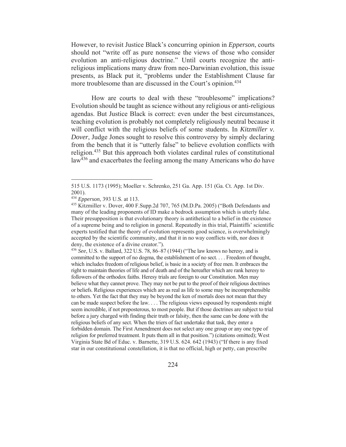However, to revisit Justice Black's concurring opinion in *Epperson*, courts should not "write off as pure nonsense the views of those who consider evolution an anti-religious doctrine." Until courts recognize the antireligious implications many draw from neo-Darwinian evolution, this issue presents, as Black put it, "problems under the Establishment Clause far more troublesome than are discussed in the Court's opinion.<sup>434</sup>

How are courts to deal with these "troublesome" implications? Evolution should be taught as science without any religious or anti-religious agendas. But Justice Black is correct: even under the best circumstances, teaching evolution is probably not completely religiously neutral because it will conflict with the religious beliefs of some students. In Kitzmiller v. Dover, Judge Jones sought to resolve this controversy by simply declaring from the bench that it is "utterly false" to believe evolution conflicts with religion.<sup>435</sup> But this approach both violates cardinal rules of constitutional  $law<sup>436</sup>$  and exacerbates the feeling among the many Americans who do have

 $436$  See, U.S. v. Ballard, 322 U.S. 78, 86-87 (1944) ("The law knows no heresy, and is committed to the support of no dogma, the establishment of no sect.... Freedom of thought, which includes freedom of religious belief, is basic in a society of free men. It embraces the right to maintain theories of life and of death and of the hereafter which are rank heresy to followers of the orthodox faiths. Heresy trials are foreign to our Constitution. Men may believe what they cannot prove. They may not be put to the proof of their religious doctrines or beliefs. Religious experiences which are as real as life to some may be incomprehensible to others. Yet the fact that they may be beyond the ken of mortals does not mean that they can be made suspect before the law.... The religious views espoused by respondents might seem incredible, if not preposterous, to most people. But if those doctrines are subject to trial before a jury charged with finding their truth or falsity, then the same can be done with the religious beliefs of any sect. When the triers of fact undertake that task, they enter a forbidden domain. The First Amendment does not select any one group or any one type of religion for preferred treatment. It puts them all in that position.") (citations omitted); West Virginia State Bd of Educ. v. Barnette, 319 U.S. 624. 642 (1943) ("If there is any fixed star in our constitutional constellation, it is that no official, high or petty, can prescribe

<sup>515</sup> U.S. 1173 (1995); Moeller v. Schrenko, 251 Ga. App. 151 (Ga. Ct. App. 1st Div.  $2001$ ).

<sup>434</sup> Epperson, 393 U.S. at 113.

<sup>&</sup>lt;sup>435</sup> Kitzmiller v. Dover, 400 F.Supp.2d 707, 765 (M.D.Pa. 2005) ("Both Defendants and many of the leading proponents of ID make a bedrock assumption which is utterly false. Their presupposition is that evolutionary theory is antithetical to a belief in the existence of a supreme being and to religion in general. Repeatedly in this trial, Plaintiffs' scientific experts testified that the theory of evolution represents good science, is overwhelmingly accepted by the scientific community, and that it in no way conflicts with, nor does it deny, the existence of a divine creator.").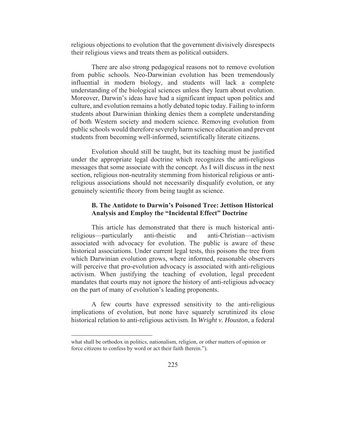religious objections to evolution that the government divisively disrespects their religious views and treats them as political outsiders.

There are also strong pedagogical reasons not to remove evolution from public schools. Neo-Darwinian evolution has been tremendously influential in modern biology, and students will lack a complete understanding of the biological sciences unless they learn about evolution. Moreover, Darwin's ideas have had a significant impact upon politics and culture, and evolution remains a hotly debated topic today. Failing to inform students about Darwinian thinking denies them a complete understanding of both Western society and modern science. Removing evolution from public schools would therefore severely harm science education and prevent students from becoming well-informed, scientifically literate citizens.

Evolution should still be taught, but its teaching must be justified under the appropriate legal doctrine which recognizes the anti-religious messages that some associate with the concept. As I will discuss in the next section, religious non-neutrality stemming from historical religious or antireligious associations should not necessarily disqualify evolution, or any genuinely scientific theory from being taught as science.

# **B. The Antidote to Darwin's Poisoned Tree: Jettison Historical Analysis and Employ the "Incidental Effect" Doctrine**

This article has demonstrated that there is much historical antireligious—particularly anti-theistic and anti-Christian—activism associated with advocacy for evolution. The public is aware of these historical associations. Under current legal tests, this poisons the tree from which Darwinian evolution grows, where informed, reasonable observers will perceive that pro-evolution advocacy is associated with anti-religious activism. When justifying the teaching of evolution, legal precedent mandates that courts may not ignore the history of anti-religious advocacy on the part of many of evolution's leading proponents.

A few courts have expressed sensitivity to the anti-religious implications of evolution, but none have squarely scrutinized its close historical relation to anti-religious activism. In Wright v. Houston, a federal

what shall be orthodox in politics, nationalism, religion, or other matters of opinion or force citizens to confess by word or act their faith therein.").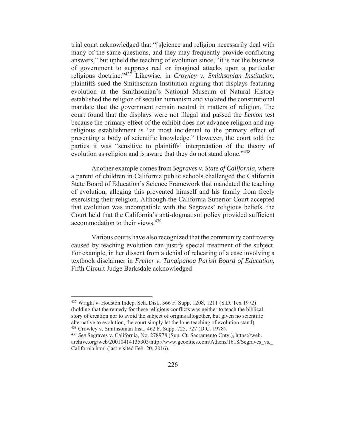trial court acknowledged that "[s]cience and religion necessarily deal with many of the same questions, and they may frequently provide conflicting answers," but upheld the teaching of evolution since, "it is not the business" of government to suppress real or imagined attacks upon a particular religious doctrine.<sup> $37$ </sup> Likewise, in *Crowley v. Smithsonian Institution*, plaintiffs sued the Smithsonian Institution arguing that displays featuring evolution at the Smithsonian's National Museum of Natural History established the religion of secular humanism and violated the constitutional mandate that the government remain neutral in matters of religion. The court found that the displays were not illegal and passed the *Lemon* test because the primary effect of the exhibit does not advance religion and any religious establishment is "at most incidental to the primary effect of presenting a body of scientific knowledge." However, the court told the parties it was "sensitive to plaintiffs' interpretation of the theory of evolution as religion and is aware that they do not stand alone." $438$ 

Another example comes from *Segraves v. State of California*, where a parent of children in California public schools challenged the California State Board of Education's Science Framework that mandated the teaching of evolution, alleging this prevented himself and his family from freely exercising their religion. Although the California Superior Court accepted that evolution was incompatible with the Segraves' religious beliefs, the Court held that the California's anti-dogmatism policy provided sufficient accommodation to their views.<sup>439</sup>

Various courts have also recognized that the community controversy caused by teaching evolution can justify special treatment of the subject. For example, in her dissent from a denial of rehearing of a case involving a textbook disclaimer in Freiler v. Tangipahoa Parish Board of Education, Fifth Circuit Judge Barksdale acknowledged:

 $437$  Wright v. Houston Indep. Sch. Dist., 366 F. Supp. 1208, 1211 (S.D. Tex 1972) (holding that the remedy for these religious conflicts was neither to teach the biblical story of creation nor to avoid the subject of origins altogether, but given no scientific alternative to evolution, the court simply let the lone teaching of evolution stand). <sup>438</sup> Crowley v. Smithsonian Inst., 462 F. Supp. 725, 727 (D.C. 1978).

<sup>&</sup>lt;sup>439</sup> See Segraves v. California, No. 278978 (Sup. Ct. Sacramento Cnty.), https://web. archive.org/web/20010414135303/http://www.geocities.com/Athens/1618/Segraves vs. California.html (last visited Feb. 20, 2016).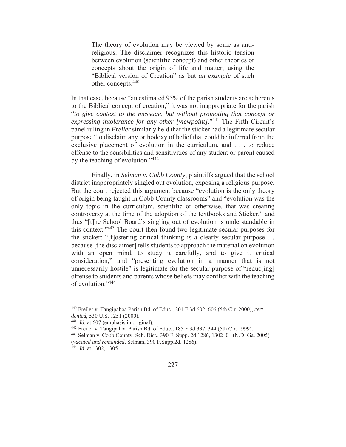The theory of evolution may be viewed by some as antireligious. The disclaimer recognizes this historic tension between evolution (scientific concept) and other theories or concepts about the origin of life and matter, using the "Biblical version of Creation" as but an example of such other concepts.<sup>440</sup>

In that case, because "an estimated 95% of the parish students are adherents to the Biblical concept of creation," it was not inappropriate for the parish "to give context to the message, but without promoting that concept or expressing intolerance for any other [viewpoint],"441 The Fifth Circuit's panel ruling in *Freiler* similarly held that the sticker had a legitimate secular purpose "to disclaim any orthodoxy of belief that could be inferred from the exclusive placement of evolution in the curriculum, and . . . to reduce offense to the sensibilities and sensitivities of any student or parent caused by the teaching of evolution." $442$ 

Finally, in Selman v. Cobb County, plaintiffs argued that the school district inappropriately singled out evolution, exposing a religious purpose. But the court rejected this argument because "evolution is the only theory" of origin being taught in Cobb County classrooms" and "evolution was the only topic in the curriculum, scientific or otherwise, that was creating controversy at the time of the adoption of the textbooks and Sticker," and thus "[t] he School Board's singling out of evolution is understandable in this context."<sup>443</sup> The court then found two legitimate secular purposes for the sticker: "[f] ostering critical thinking is a clearly secular purpose ... because [the disclaimer] tells students to approach the material on evolution with an open mind, to study it carefully, and to give it critical consideration," and "presenting evolution in a manner that is not unnecessarily hostile" is legitimate for the secular purpose of "reduc[ing] offense to students and parents whose beliefs may conflict with the teaching of evolution."<sup>444</sup>

<sup>440</sup> Freiler v. Tangipahoa Parish Bd. of Educ., 201 F.3d 602, 606 (5th Cir. 2000), cert. denied, 530 U.S. 1251 (2000).

 $441$  *Id.* at 607 (emphasis in original).

<sup>442</sup> Freiler v. Tangipahoa Parish Bd. of Educ., 185 F.3d 337, 344 (5th Cir. 1999).

<sup>443</sup> Selman v. Cobb County. Sch. Dist., 390 F. Supp. 2d 1286, 1302-0- (N.D. Ga. 2005) (vacated and remanded, Selman, 390 F.Supp.2d. 1286).

 $^{444}$  *Id.* at 1302, 1305.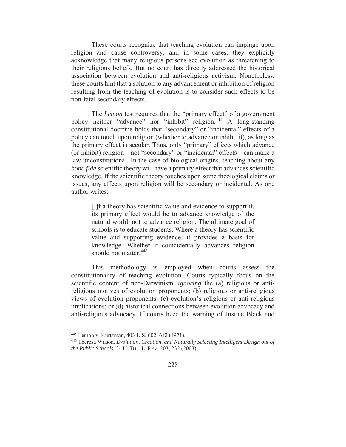These courts recognize that teaching evolution can impinge upon religion and cause controversy, and in some cases, they explicitly acknowledge that many religious persons see evolution as threatening to their religious beliefs. But no court has directly addressed the historical association between evolution and anti-religious activism. Nonetheless, these courts hint that a solution to any advancement or inhibition of religion resulting from the teaching of evolution is to consider such effects to be non-fatal secondary effects.

The *Lemon* test requires that the "primary effect" of a government policy neither "advance" nor "inhibit" religion.<sup>445</sup> A long-standing constitutional doctrine holds that "secondary" or "incidental" effects of a policy can touch upon religion (whether to advance or inhibit it), as long as the primary effect is secular. Thus, only "primary" effects which advance (or inhibit) religion—not "secondary" or "incidental" effects—can make a law unconstitutional. In the case of biological origins, teaching about any bona fide scientific theory will have a primary effect that advances scientific knowledge. If the scientific theory touches upon some theological claims or issues, any effects upon religion will be secondary or incidental. As one author writes:

[I]f a theory has scientific value and evidence to support it, its primary effect would be to advance knowledge of the natural world, not to advance religion. The ultimate goal of schools is to educate students. Where a theory has scientific value and supporting evidence, it provides a basis for knowledge. Whether it coincidentally advances religion should not matter.<sup>446</sup>

This methodology is employed when courts assess the constitutionality of teaching evolution. Courts typically focus on the scientific content of neo-Darwinism, *ignoring* the (a) religious or antireligious motives of evolution proponents; (b) religious or anti-religious views of evolution proponents; (c) evolution's religious or anti-religious implications; or (d) historical connections between evolution advocacy and anti-religious advocacy. If courts heed the warning of Justice Black and

<sup>445</sup> Lemon v. Kurtzman, 403 U.S. 602, 612 (1971).

<sup>446</sup> Theresa Wilson, Evolution, Creation, and Naturally Selecting Intelligent Design out of the Public Schools, 34 U. TOL. L. REV. 203, 232 (2003).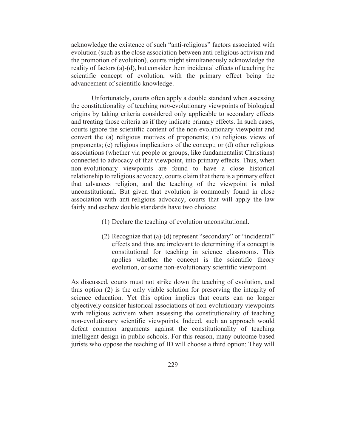acknowledge the existence of such "anti-religious" factors associated with evolution (such as the close association between anti-religious activism and the promotion of evolution), courts might simultaneously acknowledge the reality of factors (a)-(d), but consider them incidental effects of teaching the scientific concept of evolution, with the primary effect being the advancement of scientific knowledge.

Unfortunately, courts often apply a double standard when assessing the constitutionality of teaching *non*-evolutionary viewpoints of biological origins by taking criteria considered only applicable to secondary effects and treating those criteria as if they indicate primary effects. In such cases, courts ignore the scientific content of the non-evolutionary viewpoint and convert the (a) religious motives of proponents; (b) religious views of proponents; (c) religious implications of the concept; or (d) other religious associations (whether via people or groups, like fundamentalist Christians) connected to advocacy of that viewpoint, into primary effects. Thus, when non-evolutionary viewpoints are found to have a close historical relationship to religious advocacy, courts claim that there is a primary effect that advances religion, and the teaching of the viewpoint is ruled unconstitutional. But given that evolution is commonly found in close association with anti-religious advocacy, courts that will apply the law fairly and eschew double standards have two choices:

- (1) Declare the teaching of evolution unconstitutional.
- (2) Recognize that (a)-(d) represent "secondary" or "incidental" effects and thus are irrelevant to determining if a concept is constitutional for teaching in science classrooms. This applies whether the concept is the scientific theory evolution, or some non-evolutionary scientific viewpoint.

As discussed, courts must not strike down the teaching of evolution, and thus option (2) is the only viable solution for preserving the integrity of science education. Yet this option implies that courts can no longer objectively consider historical associations of non-evolutionary viewpoints with religious activism when assessing the constitutionality of teaching non-evolutionary scientific viewpoints. Indeed, such an approach would defeat common arguments against the constitutionality of teaching intelligent design in public schools. For this reason, many outcome-based jurists who oppose the teaching of ID will choose a third option: They will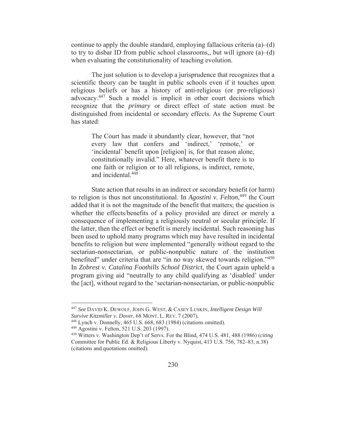continue to apply the double standard, employing fallacious criteria  $(a)$ – $(d)$ to try to disbar ID from public school classrooms,, but will ignore  $(a)$ – $(d)$ when evaluating the constitutionality of teaching evolution.

The just solution is to develop a jurisprudence that recognizes that a scientific theory can be taught in public schools even if it touches upon religious beliefs or has a history of anti-religious (or pro-religious) advocacy.<sup>447</sup> Such a model is implicit in other court decisions which recognize that the *primary* or direct effect of state action must be distinguished from incidental or secondary effects. As the Supreme Court has stated:

The Court has made it abundantly clear, however, that "not every law that confers and 'indirect,' 'remote,' or 'incidental' benefit upon [religion] is, for that reason alone, constitutionally invalid." Here, whatever benefit there is to one faith or religion or to all religions, is indirect, remote, and incidental.<sup>448</sup>

State action that results in an indirect or secondary benefit (or harm) to religion is thus not unconstitutional. In Agostini v. Felton,  $449$  the Court added that it is not the magnitude of the benefit that matters; the question is whether the effects/benefits of a policy provided are direct or merely a consequence of implementing a religiously neutral or secular principle. If the latter, then the effect or benefit is merely incidental. Such reasoning has been used to uphold many programs which may have resulted in incidental benefits to religion but were implemented "generally without regard to the sectarian-nonsectarian, or public-nonpublic nature of the institution benefited" under criteria that are "in no way skewed towards religion."450 In Zobrest v. Catalina Foothills School District, the Court again upheld a program giving aid "neutrally to any child qualifying as 'disabled' under the [act], without regard to the 'sectarian-nonsectarian, or public-nonpublic

<sup>447</sup> See DAVID K, DEWOLF, JOHN G, WEST, & CASEY LUSKIN, Intelligent Design Will Survive Kitzmiller v. Dover, 68 MONT. L. REV. 7 (2007).

<sup>448</sup> Lynch v. Donnelly, 465 U.S. 668, 683 (1984) (citations omitted).

<sup>449</sup> Agostini v. Felton, 521 U.S. 203 (1997).

<sup>450</sup> Witters v. Washington Dep't of Servs. For the Blind, 474 U.S. 481, 488 (1986) (citing Committee for Public Ed. & Religious Liberty v. Nyquist, 413 U.S. 756, 782–83, n.38) (citations and quotations omitted).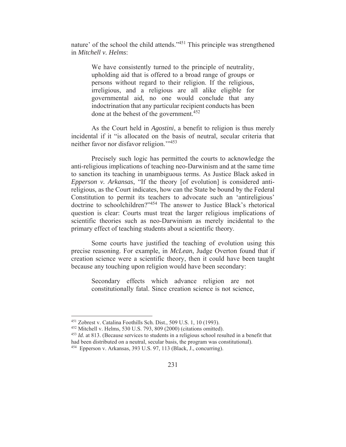nature' of the school the child attends."<sup>451</sup> This principle was strengthened in Mitchell v. Helms:

We have consistently turned to the principle of neutrality, upholding aid that is offered to a broad range of groups or persons without regard to their religion. If the religious, irreligious, and a religious are all alike eligible for governmental aid, no one would conclude that any indoctrination that any particular recipient conducts has been done at the behest of the government.<sup>452</sup>

As the Court held in *Agostini*, a benefit to religion is thus merely incidental if it "is allocated on the basis of neutral, secular criteria that neither favor nor disfavor religion."<sup>153</sup>

Precisely such logic has permitted the courts to acknowledge the anti-religious implications of teaching neo-Darwinism and at the same time to sanction its teaching in unambiguous terms. As Justice Black asked in Epperson v. Arkansas, "If the theory [of evolution] is considered antireligious, as the Court indicates, how can the State be bound by the Federal Constitution to permit its teachers to advocate such an 'antireligious' doctrine to schoolchildren?"454 The answer to Justice Black's rhetorical question is clear: Courts must treat the larger religious implications of scientific theories such as neo-Darwinism as merely incidental to the primary effect of teaching students about a scientific theory.

Some courts have justified the teaching of evolution using this precise reasoning. For example, in *McLean*, Judge Overton found that if creation science were a scientific theory, then it could have been taught because any touching upon religion would have been secondary:

Secondary effects which advance religion are not constitutionally fatal. Since creation science is not science,

<sup>&</sup>lt;sup>451</sup> Zobrest v. Catalina Foothills Sch. Dist., 509 U.S. 1, 10 (1993).

 $452$  Mitchell v. Helms, 530 U.S. 793, 809 (2000) (citations omitted).

 $453$  *Id.* at 813. (Because services to students in a religious school resulted in a benefit that had been distributed on a neutral, secular basis, the program was constitutional).

<sup>&</sup>lt;sup>454</sup> Epperson v. Arkansas, 393 U.S. 97, 113 (Black, J., concurring).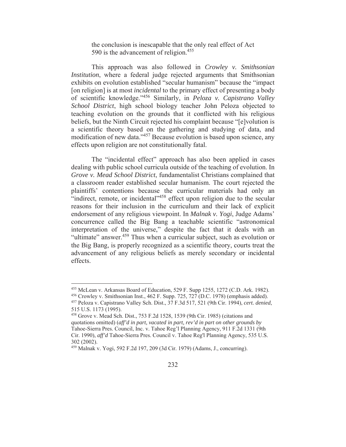the conclusion is inescapable that the only real effect of Act 590 is the advancement of religion. $455$ 

This approach was also followed in *Crowley v. Smithsonian Institution*, where a federal judge rejected arguments that Smithsonian exhibits on evolution established "secular humanism" because the "impact [on religion] is at most *incidental* to the primary effect of presenting a body of scientific knowledge."<sup>456</sup> Similarly, in Peloza v. Capistrano Valley *School District*, high school biology teacher John Peloza objected to teaching evolution on the grounds that it conflicted with his religious beliefs, but the Ninth Circuit rejected his complaint because "selvolution is a scientific theory based on the gathering and studying of data, and modification of new data." $457$  Because evolution is based upon science, any effects upon religion are not constitutionally fatal.

The "incidental effect" approach has also been applied in cases dealing with public school curricula outside of the teaching of evolution. In *Grove v. Mead School District*, fundamentalist Christians complained that a classroom reader established secular humanism. The court rejected the plaintiffs' contentions because the curricular materials had only an  $\ddot{\text{m}}$  indirect, remote, or incidental<sup>3458</sup> effect upon religion due to the secular reasons for their inclusion in the curriculum and their lack of explicit endorsement of any religious viewpoint. In Malnak v. Yogi, Judge Adams' concurrence called the Big Bang a teachable scientific "astronomical interpretation of the universe," despite the fact that it deals with an "ultimate" answer.<sup>459</sup> Thus when a curricular subject, such as evolution or the Big Bang, is properly recognized as a scientific theory, courts treat the advancement of any religious beliefs as merely secondary or incidental effects.

 $455$  McLean v. Arkansas Board of Education, 529 F. Supp 1255, 1272 (C.D. Ark. 1982).

<sup>456</sup> Crowley v. Smithsonian Inst., 462 F. Supp. 725, 727 (D.C. 1978) (emphasis added).

<sup>&</sup>lt;sup>457</sup> Peloza v. Capistrano Valley Sch. Dist., 37 F.3d 517, 521 (9th Cir. 1994), cert. denied, 515 U.S. 1173 (1995).

<sup>&</sup>lt;sup>458</sup> Grove v. Mead Sch. Dist., 753 F.2d 1528, 1539 (9th Cir. 1985) (citations and quotations omitted) (aff'd in part, vacated in part, rev'd in part on other grounds by Tahoe-Sierra Pres. Council, Inc. v. Tahoe Reg'l Planning Agency, 911 F.2d 1331 (9th Cir. 1990), aff'd Tahoe-Sierra Pres. Council v. Tahoe Reg'l Planning Agency, 535 U.S. 302 (2002).

<sup>459</sup> Malnak v. Yogi, 592 F.2d 197, 209 (3d Cir. 1979) (Adams, J., concurring).